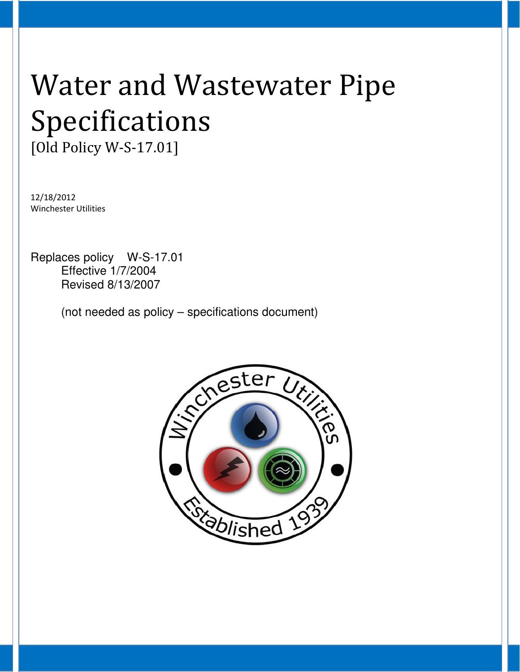# Water and Wastewater Pipe Specifications

[Old Policy W-S-17.01]

12/18/2012 Winchester Utilities

Replaces policy W-S-17.01 Effective 1/7/2004 Revised 8/13/2007

(not needed as policy – specifications document)

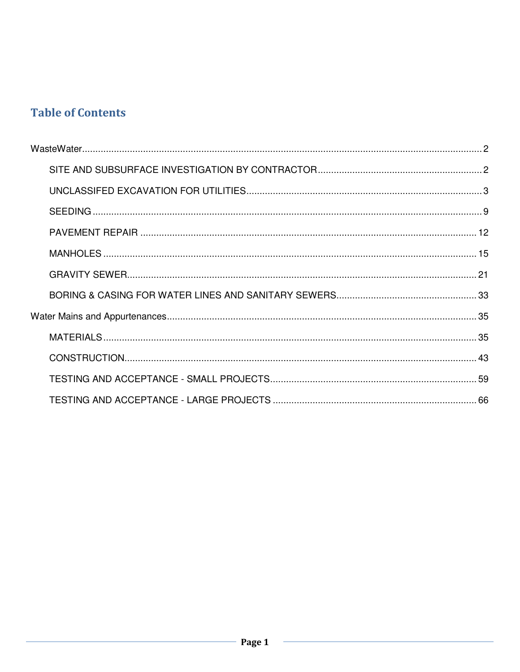# **Table of Contents**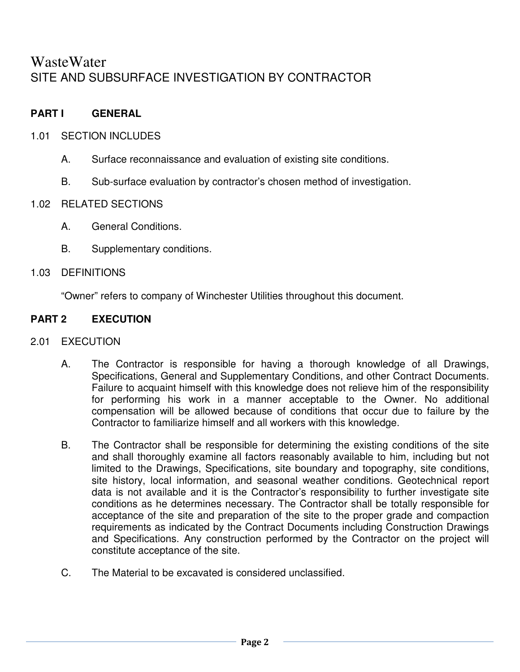# **WasteWater** SITE AND SUBSURFACE INVESTIGATION BY CONTRACTOR

# **PART I GENERAL**

- 1.01 SECTION INCLUDES
	- A. Surface reconnaissance and evaluation of existing site conditions.
	- B. Sub-surface evaluation by contractor's chosen method of investigation.

## 1.02 RELATED SECTIONS

- A. General Conditions.
- B. Supplementary conditions.

## 1.03 DEFINITIONS

"Owner" refers to company of Winchester Utilities throughout this document.

# **PART 2 EXECUTION**

#### 2.01 EXECUTION

- A. The Contractor is responsible for having a thorough knowledge of all Drawings, Specifications, General and Supplementary Conditions, and other Contract Documents. Failure to acquaint himself with this knowledge does not relieve him of the responsibility for performing his work in a manner acceptable to the Owner. No additional compensation will be allowed because of conditions that occur due to failure by the Contractor to familiarize himself and all workers with this knowledge.
- B. The Contractor shall be responsible for determining the existing conditions of the site and shall thoroughly examine all factors reasonably available to him, including but not limited to the Drawings, Specifications, site boundary and topography, site conditions, site history, local information, and seasonal weather conditions. Geotechnical report data is not available and it is the Contractor's responsibility to further investigate site conditions as he determines necessary. The Contractor shall be totally responsible for acceptance of the site and preparation of the site to the proper grade and compaction requirements as indicated by the Contract Documents including Construction Drawings and Specifications. Any construction performed by the Contractor on the project will constitute acceptance of the site.
- C. The Material to be excavated is considered unclassified.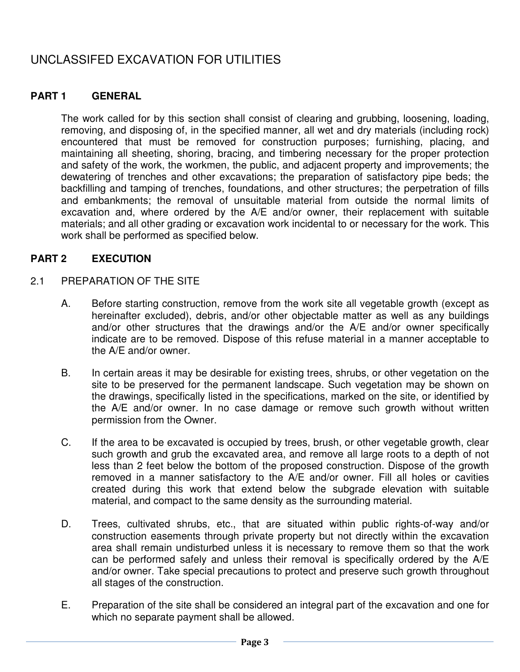# UNCLASSIFED EXCAVATION FOR UTILITIES

## **PART 1 GENERAL**

The work called for by this section shall consist of clearing and grubbing, loosening, loading, removing, and disposing of, in the specified manner, all wet and dry materials (including rock) encountered that must be removed for construction purposes; furnishing, placing, and maintaining all sheeting, shoring, bracing, and timbering necessary for the proper protection and safety of the work, the workmen, the public, and adjacent property and improvements; the dewatering of trenches and other excavations; the preparation of satisfactory pipe beds; the backfilling and tamping of trenches, foundations, and other structures; the perpetration of fills and embankments; the removal of unsuitable material from outside the normal limits of excavation and, where ordered by the A/E and/or owner, their replacement with suitable materials; and all other grading or excavation work incidental to or necessary for the work. This work shall be performed as specified below.

## **PART 2 EXECUTION**

#### 2.1 PREPARATION OF THE SITE

- A. Before starting construction, remove from the work site all vegetable growth (except as hereinafter excluded), debris, and/or other objectable matter as well as any buildings and/or other structures that the drawings and/or the A/E and/or owner specifically indicate are to be removed. Dispose of this refuse material in a manner acceptable to the A/E and/or owner.
- B. In certain areas it may be desirable for existing trees, shrubs, or other vegetation on the site to be preserved for the permanent landscape. Such vegetation may be shown on the drawings, specifically listed in the specifications, marked on the site, or identified by the A/E and/or owner. In no case damage or remove such growth without written permission from the Owner.
- C. If the area to be excavated is occupied by trees, brush, or other vegetable growth, clear such growth and grub the excavated area, and remove all large roots to a depth of not less than 2 feet below the bottom of the proposed construction. Dispose of the growth removed in a manner satisfactory to the A/E and/or owner. Fill all holes or cavities created during this work that extend below the subgrade elevation with suitable material, and compact to the same density as the surrounding material.
- D. Trees, cultivated shrubs, etc., that are situated within public rights-of-way and/or construction easements through private property but not directly within the excavation area shall remain undisturbed unless it is necessary to remove them so that the work can be performed safely and unless their removal is specifically ordered by the A/E and/or owner. Take special precautions to protect and preserve such growth throughout all stages of the construction.
- E. Preparation of the site shall be considered an integral part of the excavation and one for which no separate payment shall be allowed.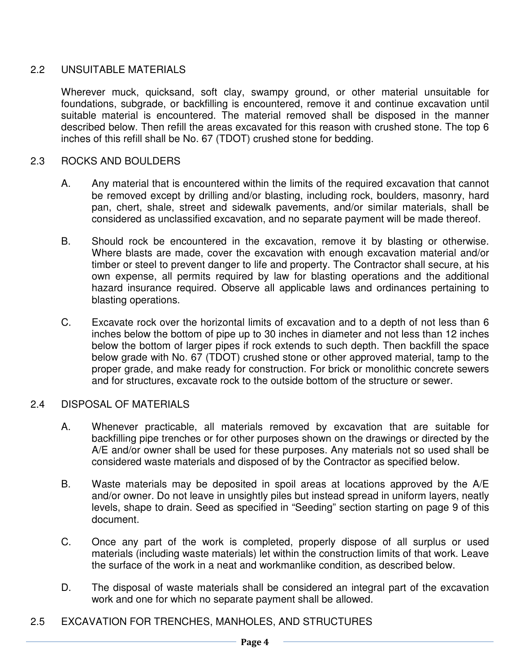## 2.2 UNSUITABLE MATERIALS

Wherever muck, quicksand, soft clay, swampy ground, or other material unsuitable for foundations, subgrade, or backfilling is encountered, remove it and continue excavation until suitable material is encountered. The material removed shall be disposed in the manner described below. Then refill the areas excavated for this reason with crushed stone. The top 6 inches of this refill shall be No. 67 (TDOT) crushed stone for bedding.

## 2.3 ROCKS AND BOULDERS

- A. Any material that is encountered within the limits of the required excavation that cannot be removed except by drilling and/or blasting, including rock, boulders, masonry, hard pan, chert, shale, street and sidewalk pavements, and/or similar materials, shall be considered as unclassified excavation, and no separate payment will be made thereof.
- B. Should rock be encountered in the excavation, remove it by blasting or otherwise. Where blasts are made, cover the excavation with enough excavation material and/or timber or steel to prevent danger to life and property. The Contractor shall secure, at his own expense, all permits required by law for blasting operations and the additional hazard insurance required. Observe all applicable laws and ordinances pertaining to blasting operations.
- C. Excavate rock over the horizontal limits of excavation and to a depth of not less than 6 inches below the bottom of pipe up to 30 inches in diameter and not less than 12 inches below the bottom of larger pipes if rock extends to such depth. Then backfill the space below grade with No. 67 (TDOT) crushed stone or other approved material, tamp to the proper grade, and make ready for construction. For brick or monolithic concrete sewers and for structures, excavate rock to the outside bottom of the structure or sewer.

#### 2.4 DISPOSAL OF MATERIALS

- A. Whenever practicable, all materials removed by excavation that are suitable for backfilling pipe trenches or for other purposes shown on the drawings or directed by the A/E and/or owner shall be used for these purposes. Any materials not so used shall be considered waste materials and disposed of by the Contractor as specified below.
- B. Waste materials may be deposited in spoil areas at locations approved by the A/E and/or owner. Do not leave in unsightly piles but instead spread in uniform layers, neatly levels, shape to drain. Seed as specified in "Seeding" section starting on page 9 of this document.
- C. Once any part of the work is completed, properly dispose of all surplus or used materials (including waste materials) let within the construction limits of that work. Leave the surface of the work in a neat and workmanlike condition, as described below.
- D. The disposal of waste materials shall be considered an integral part of the excavation work and one for which no separate payment shall be allowed.
- 2.5 EXCAVATION FOR TRENCHES, MANHOLES, AND STRUCTURES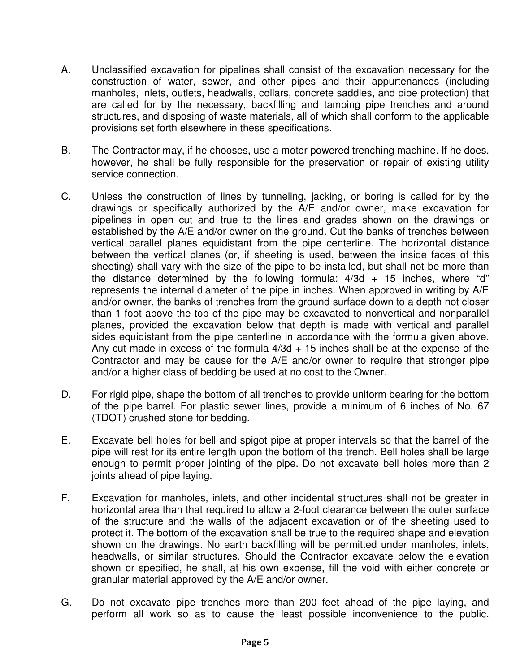- A. Unclassified excavation for pipelines shall consist of the excavation necessary for the construction of water, sewer, and other pipes and their appurtenances (including manholes, inlets, outlets, headwalls, collars, concrete saddles, and pipe protection) that are called for by the necessary, backfilling and tamping pipe trenches and around structures, and disposing of waste materials, all of which shall conform to the applicable provisions set forth elsewhere in these specifications.
- B. The Contractor may, if he chooses, use a motor powered trenching machine. If he does, however, he shall be fully responsible for the preservation or repair of existing utility service connection.
- C. Unless the construction of lines by tunneling, jacking, or boring is called for by the drawings or specifically authorized by the A/E and/or owner, make excavation for pipelines in open cut and true to the lines and grades shown on the drawings or established by the A/E and/or owner on the ground. Cut the banks of trenches between vertical parallel planes equidistant from the pipe centerline. The horizontal distance between the vertical planes (or, if sheeting is used, between the inside faces of this sheeting) shall vary with the size of the pipe to be installed, but shall not be more than the distance determined by the following formula:  $4/3d + 15$  inches, where "d" represents the internal diameter of the pipe in inches. When approved in writing by A/E and/or owner, the banks of trenches from the ground surface down to a depth not closer than 1 foot above the top of the pipe may be excavated to nonvertical and nonparallel planes, provided the excavation below that depth is made with vertical and parallel sides equidistant from the pipe centerline in accordance with the formula given above. Any cut made in excess of the formula  $4/3d + 15$  inches shall be at the expense of the Contractor and may be cause for the A/E and/or owner to require that stronger pipe and/or a higher class of bedding be used at no cost to the Owner.
- D. For rigid pipe, shape the bottom of all trenches to provide uniform bearing for the bottom of the pipe barrel. For plastic sewer lines, provide a minimum of 6 inches of No. 67 (TDOT) crushed stone for bedding.
- E. Excavate bell holes for bell and spigot pipe at proper intervals so that the barrel of the pipe will rest for its entire length upon the bottom of the trench. Bell holes shall be large enough to permit proper jointing of the pipe. Do not excavate bell holes more than 2 joints ahead of pipe laying.
- F. Excavation for manholes, inlets, and other incidental structures shall not be greater in horizontal area than that required to allow a 2-foot clearance between the outer surface of the structure and the waIls of the adjacent excavation or of the sheeting used to protect it. The bottom of the excavation shall be true to the required shape and elevation shown on the drawings. No earth backfilling will be permitted under manholes, inlets, headwalls, or similar structures. Should the Contractor excavate below the elevation shown or specified, he shall, at his own expense, fill the void with either concrete or granular material approved by the A/E and/or owner.
- G. Do not excavate pipe trenches more than 200 feet ahead of the pipe laying, and perform all work so as to cause the least possible inconvenience to the public.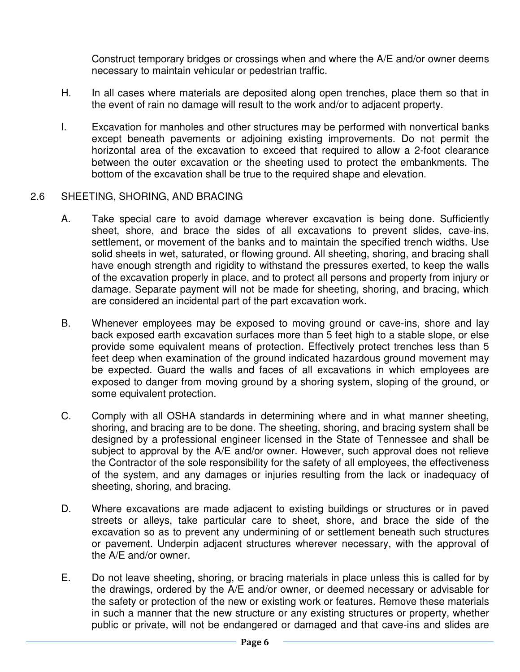Construct temporary bridges or crossings when and where the A/E and/or owner deems necessary to maintain vehicular or pedestrian traffic.

- H. In all cases where materials are deposited along open trenches, place them so that in the event of rain no damage will result to the work and/or to adjacent property.
- I. Excavation for manholes and other structures may be performed with nonvertical banks except beneath pavements or adjoining existing improvements. Do not permit the horizontal area of the excavation to exceed that required to allow a 2-foot clearance between the outer excavation or the sheeting used to protect the embankments. The bottom of the excavation shall be true to the required shape and elevation.

#### 2.6 SHEETING, SHORING, AND BRACING

- A. Take special care to avoid damage wherever excavation is being done. Sufficiently sheet, shore, and brace the sides of all excavations to prevent slides, cave-ins, settlement, or movement of the banks and to maintain the specified trench widths. Use solid sheets in wet, saturated, or flowing ground. All sheeting, shoring, and bracing shall have enough strength and rigidity to withstand the pressures exerted, to keep the walls of the excavation properly in place, and to protect all persons and property from injury or damage. Separate payment will not be made for sheeting, shoring, and bracing, which are considered an incidental part of the part excavation work.
- B. Whenever employees may be exposed to moving ground or cave-ins, shore and lay back exposed earth excavation surfaces more than 5 feet high to a stable slope, or else provide some equivalent means of protection. Effectively protect trenches less than 5 feet deep when examination of the ground indicated hazardous ground movement may be expected. Guard the walls and faces of all excavations in which employees are exposed to danger from moving ground by a shoring system, sloping of the ground, or some equivalent protection.
- C. Comply with all OSHA standards in determining where and in what manner sheeting, shoring, and bracing are to be done. The sheeting, shoring, and bracing system shall be designed by a professional engineer licensed in the State of Tennessee and shall be subject to approval by the A/E and/or owner. However, such approval does not relieve the Contractor of the sole responsibility for the safety of all employees, the effectiveness of the system, and any damages or injuries resulting from the lack or inadequacy of sheeting, shoring, and bracing.
- D. Where excavations are made adjacent to existing buildings or structures or in paved streets or alleys, take particular care to sheet, shore, and brace the side of the excavation so as to prevent any undermining of or settlement beneath such structures or pavement. Underpin adjacent structures wherever necessary, with the approval of the A/E and/or owner.
- E. Do not leave sheeting, shoring, or bracing materials in place unless this is called for by the drawings, ordered by the A/E and/or owner, or deemed necessary or advisable for the safety or protection of the new or existing work or features. Remove these materials in such a manner that the new structure or any existing structures or property, whether public or private, will not be endangered or damaged and that cave-ins and slides are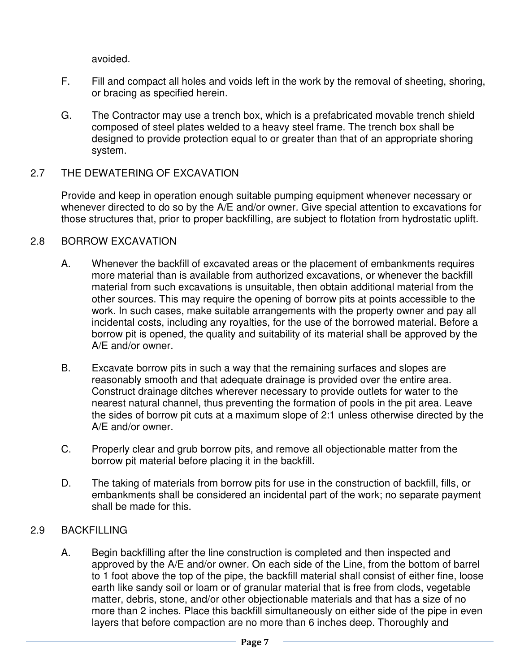avoided.

- F. Fill and compact all holes and voids left in the work by the removal of sheeting, shoring, or bracing as specified herein.
- G. The Contractor may use a trench box, which is a prefabricated movable trench shield composed of steel plates welded to a heavy steel frame. The trench box shall be designed to provide protection equal to or greater than that of an appropriate shoring system.

# 2.7 THE DEWATERING OF EXCAVATION

Provide and keep in operation enough suitable pumping equipment whenever necessary or whenever directed to do so by the A/E and/or owner. Give special attention to excavations for those structures that, prior to proper backfilling, are subject to flotation from hydrostatic uplift.

#### 2.8 BORROW EXCAVATION

- A. Whenever the backfill of excavated areas or the placement of embankments requires more material than is available from authorized excavations, or whenever the backfill material from such excavations is unsuitable, then obtain additional material from the other sources. This may require the opening of borrow pits at points accessible to the work. In such cases, make suitable arrangements with the property owner and pay all incidental costs, including any royalties, for the use of the borrowed material. Before a borrow pit is opened, the quality and suitability of its material shall be approved by the A/E and/or owner.
- B. Excavate borrow pits in such a way that the remaining surfaces and slopes are reasonably smooth and that adequate drainage is provided over the entire area. Construct drainage ditches wherever necessary to provide outlets for water to the nearest natural channel, thus preventing the formation of pools in the pit area. Leave the sides of borrow pit cuts at a maximum slope of 2:1 unless otherwise directed by the A/E and/or owner.
- C. Properly clear and grub borrow pits, and remove all objectionable matter from the borrow pit material before placing it in the backfill.
- D. The taking of materials from borrow pits for use in the construction of backfill, fills, or embankments shall be considered an incidental part of the work; no separate payment shall be made for this.

# 2.9 BACKFILLING

A. Begin backfilling after the line construction is completed and then inspected and approved by the A/E and/or owner. On each side of the Line, from the bottom of barrel to 1 foot above the top of the pipe, the backfill material shall consist of either fine, loose earth like sandy soil or loam or of granular material that is free from clods, vegetable matter, debris, stone, and/or other objectionable materials and that has a size of no more than 2 inches. Place this backfill simultaneously on either side of the pipe in even layers that before compaction are no more than 6 inches deep. Thoroughly and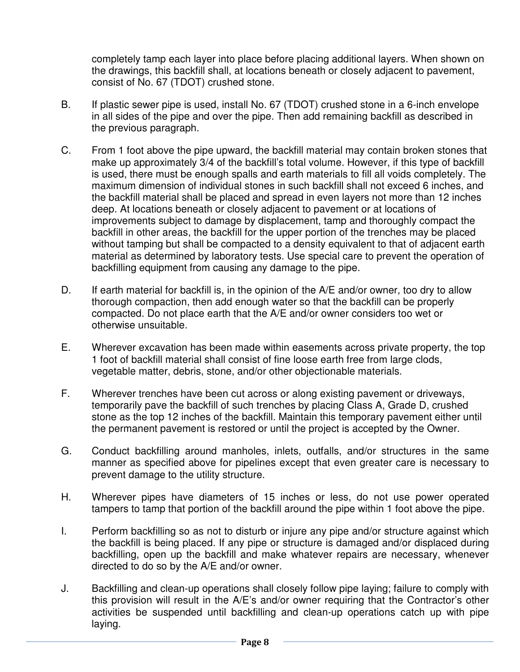completely tamp each layer into place before placing additional layers. When shown on the drawings, this backfill shall, at locations beneath or closely adjacent to pavement, consist of No. 67 (TDOT) crushed stone.

- B. If plastic sewer pipe is used, install No. 67 (TDOT) crushed stone in a 6-inch envelope in all sides of the pipe and over the pipe. Then add remaining backfill as described in the previous paragraph.
- C. From 1 foot above the pipe upward, the backfill material may contain broken stones that make up approximately 3/4 of the backfill's total volume. However, if this type of backfill is used, there must be enough spalls and earth materials to fill all voids completely. The maximum dimension of individual stones in such backfill shall not exceed 6 inches, and the backfill material shall be placed and spread in even layers not more than 12 inches deep. At locations beneath or closely adjacent to pavement or at locations of improvements subject to damage by displacement, tamp and thoroughly compact the backfill in other areas, the backfill for the upper portion of the trenches may be placed without tamping but shall be compacted to a density equivalent to that of adjacent earth material as determined by laboratory tests. Use special care to prevent the operation of backfilling equipment from causing any damage to the pipe.
- D. If earth material for backfill is, in the opinion of the A/E and/or owner, too dry to allow thorough compaction, then add enough water so that the backfill can be properly compacted. Do not place earth that the A/E and/or owner considers too wet or otherwise unsuitable.
- E. Wherever excavation has been made within easements across private property, the top 1 foot of backfill material shall consist of fine loose earth free from large clods, vegetable matter, debris, stone, and/or other objectionable materials.
- F. Wherever trenches have been cut across or along existing pavement or driveways, temporarily pave the backfill of such trenches by placing Class A, Grade D, crushed stone as the top 12 inches of the backfill. Maintain this temporary pavement either until the permanent pavement is restored or until the project is accepted by the Owner.
- G. Conduct backfilling around manholes, inlets, outfalls, and/or structures in the same manner as specified above for pipelines except that even greater care is necessary to prevent damage to the utility structure.
- H. Wherever pipes have diameters of 15 inches or less, do not use power operated tampers to tamp that portion of the backfill around the pipe within 1 foot above the pipe.
- I. Perform backfilling so as not to disturb or injure any pipe and/or structure against which the backfill is being placed. If any pipe or structure is damaged and/or displaced during backfilling, open up the backfill and make whatever repairs are necessary, whenever directed to do so by the A/E and/or owner.
- J. Backfilling and clean-up operations shall closely follow pipe laying; failure to comply with this provision will result in the A/E's and/or owner requiring that the Contractor's other activities be suspended until backfilling and clean-up operations catch up with pipe laying.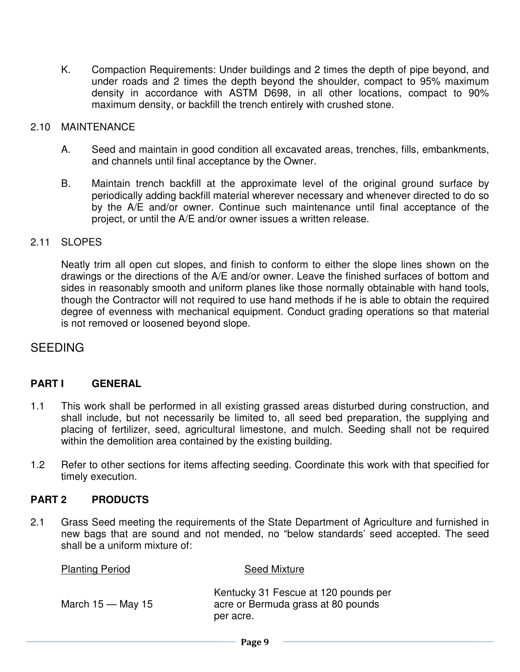K. Compaction Requirements: Under buildings and 2 times the depth of pipe beyond, and under roads and 2 times the depth beyond the shoulder, compact to 95% maximum density in accordance with ASTM D698, in all other locations, compact to 90% maximum density, or backfill the trench entirely with crushed stone.

#### 2.10 MAINTENANCE

- A. Seed and maintain in good condition all excavated areas, trenches, fills, embankments, and channels until final acceptance by the Owner.
- B. Maintain trench backfill at the approximate level of the original ground surface by periodically adding backfill material wherever necessary and whenever directed to do so by the A/E and/or owner. Continue such maintenance until final acceptance of the project, or until the A/E and/or owner issues a written release.

#### 2.11 SLOPES

Neatly trim all open cut slopes, and finish to conform to either the slope lines shown on the drawings or the directions of the A/E and/or owner. Leave the finished surfaces of bottom and sides in reasonably smooth and uniform planes like those normally obtainable with hand tools, though the Contractor will not required to use hand methods if he is able to obtain the required degree of evenness with mechanical equipment. Conduct grading operations so that material is not removed or loosened beyond slope.

# SEEDING

#### **PART I GENERAL**

- 1.1 This work shall be performed in all existing grassed areas disturbed during construction, and shall include, but not necessarily be limited to, all seed bed preparation, the supplying and placing of fertilizer, seed, agricultural limestone, and mulch. Seeding shall not be required within the demolition area contained by the existing building.
- 1.2 Refer to other sections for items affecting seeding. Coordinate this work with that specified for timely execution.

#### **PART 2 PRODUCTS**

2.1 Grass Seed meeting the requirements of the State Department of Agriculture and furnished in new bags that are sound and not mended, no "below standards' seed accepted. The seed shall be a uniform mixture of:

| <b>Planting Period</b> | <b>Seed Mixture</b>                                                                     |
|------------------------|-----------------------------------------------------------------------------------------|
| March $15 -$ May 15    | Kentucky 31 Fescue at 120 pounds per<br>acre or Bermuda grass at 80 pounds<br>per acre. |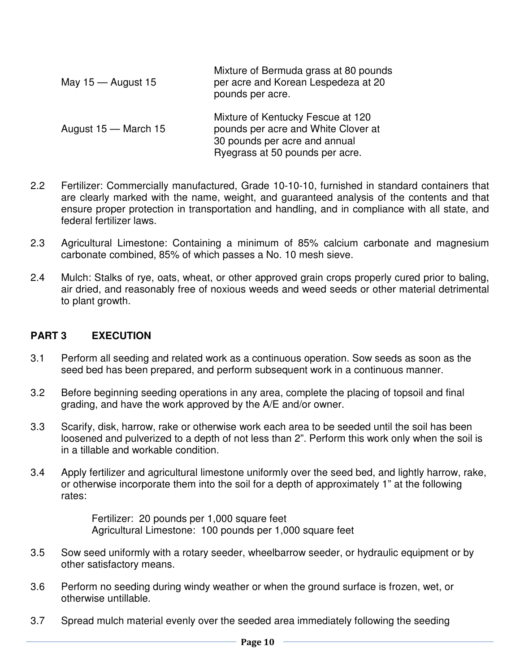| May $15 -$ August 15 | Mixture of Bermuda grass at 80 pounds<br>per acre and Korean Lespedeza at 20<br>pounds per acre.                                             |
|----------------------|----------------------------------------------------------------------------------------------------------------------------------------------|
| August 15 – March 15 | Mixture of Kentucky Fescue at 120<br>pounds per acre and White Clover at<br>30 pounds per acre and annual<br>Ryegrass at 50 pounds per acre. |

- 2.2 Fertilizer: Commercially manufactured, Grade 10-10-10, furnished in standard containers that are clearly marked with the name, weight, and guaranteed analysis of the contents and that ensure proper protection in transportation and handling, and in compliance with all state, and federal fertilizer laws.
- 2.3 Agricultural Limestone: Containing a minimum of 85% calcium carbonate and magnesium carbonate combined, 85% of which passes a No. 10 mesh sieve.
- 2.4 Mulch: Stalks of rye, oats, wheat, or other approved grain crops properly cured prior to baling, air dried, and reasonably free of noxious weeds and weed seeds or other material detrimental to plant growth.

# **PART 3 EXECUTION**

- 3.1 Perform all seeding and related work as a continuous operation. Sow seeds as soon as the seed bed has been prepared, and perform subsequent work in a continuous manner.
- 3.2 Before beginning seeding operations in any area, complete the placing of topsoil and final grading, and have the work approved by the A/E and/or owner.
- 3.3 Scarify, disk, harrow, rake or otherwise work each area to be seeded until the soil has been loosened and pulverized to a depth of not less than 2". Perform this work only when the soil is in a tillable and workable condition.
- 3.4 Apply fertilizer and agricultural limestone uniformly over the seed bed, and lightly harrow, rake, or otherwise incorporate them into the soil for a depth of approximately 1" at the following rates:

Fertilizer: 20 pounds per 1,000 square feet Agricultural Limestone: 100 pounds per 1,000 square feet

- 3.5 Sow seed uniformly with a rotary seeder, wheelbarrow seeder, or hydraulic equipment or by other satisfactory means.
- 3.6 Perform no seeding during windy weather or when the ground surface is frozen, wet, or otherwise untillable.
- 3.7 Spread mulch material evenly over the seeded area immediately following the seeding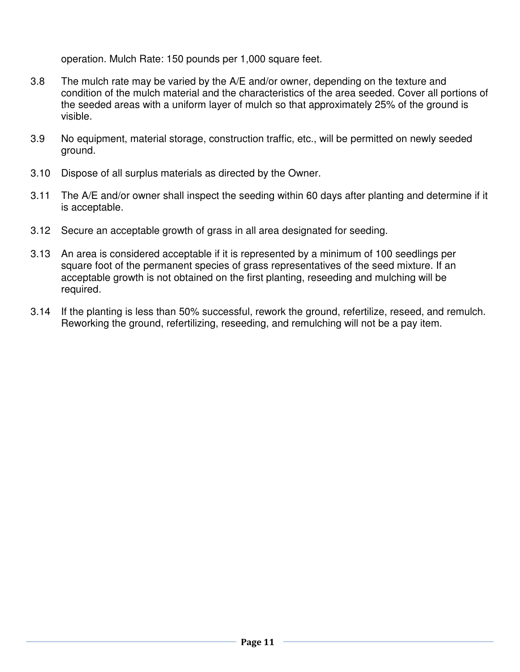operation. Mulch Rate: 150 pounds per 1,000 square feet.

- 3.8 The mulch rate may be varied by the A/E and/or owner, depending on the texture and condition of the mulch material and the characteristics of the area seeded. Cover all portions of the seeded areas with a uniform layer of mulch so that approximately 25% of the ground is visible.
- 3.9 No equipment, material storage, construction traffic, etc., will be permitted on newly seeded ground.
- 3.10 Dispose of all surplus materials as directed by the Owner.
- 3.11 The A/E and/or owner shall inspect the seeding within 60 days after planting and determine if it is acceptable.
- 3.12 Secure an acceptable growth of grass in all area designated for seeding.
- 3.13 An area is considered acceptable if it is represented by a minimum of 100 seedlings per square foot of the permanent species of grass representatives of the seed mixture. If an acceptable growth is not obtained on the first planting, reseeding and mulching will be required.
- 3.14 If the planting is less than 50% successful, rework the ground, refertilize, reseed, and remulch. Reworking the ground, refertilizing, reseeding, and remulching will not be a pay item.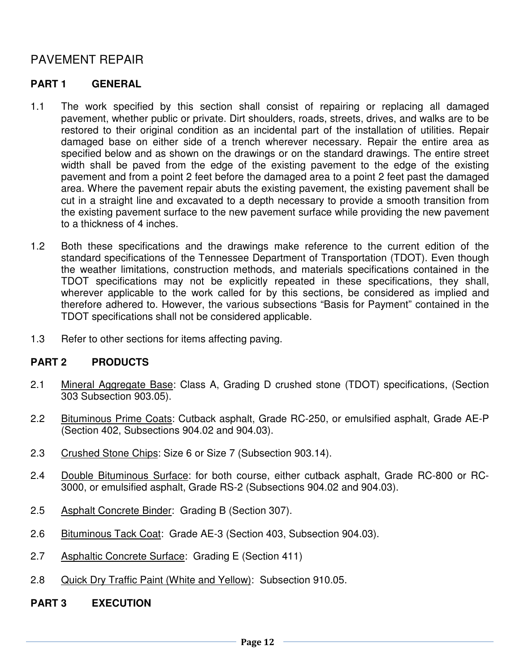# PAVEMENT REPAIR

# **PART 1 GENERAL**

- 1.1 The work specified by this section shall consist of repairing or replacing all damaged pavement, whether public or private. Dirt shoulders, roads, streets, drives, and walks are to be restored to their original condition as an incidental part of the installation of utilities. Repair damaged base on either side of a trench wherever necessary. Repair the entire area as specified below and as shown on the drawings or on the standard drawings. The entire street width shall be paved from the edge of the existing pavement to the edge of the existing pavement and from a point 2 feet before the damaged area to a point 2 feet past the damaged area. Where the pavement repair abuts the existing pavement, the existing pavement shall be cut in a straight line and excavated to a depth necessary to provide a smooth transition from the existing pavement surface to the new pavement surface while providing the new pavement to a thickness of 4 inches.
- 1.2 Both these specifications and the drawings make reference to the current edition of the standard specifications of the Tennessee Department of Transportation (TDOT). Even though the weather limitations, construction methods, and materials specifications contained in the TDOT specifications may not be explicitly repeated in these specifications, they shall, wherever applicable to the work called for by this sections, be considered as implied and therefore adhered to. However, the various subsections "Basis for Payment" contained in the TDOT specifications shall not be considered applicable.
- 1.3 Refer to other sections for items affecting paving.

# **PART 2 PRODUCTS**

- 2.1 Mineral Aggregate Base: Class A, Grading D crushed stone (TDOT) specifications, (Section 303 Subsection 903.05).
- 2.2 Bituminous Prime Coats: Cutback asphalt, Grade RC-250, or emulsified asphalt, Grade AE-P (Section 402, Subsections 904.02 and 904.03).
- 2.3 Crushed Stone Chips: Size 6 or Size 7 (Subsection 903.14).
- 2.4 Double Bituminous Surface: for both course, either cutback asphalt, Grade RC-800 or RC-3000, or emulsified asphalt, Grade RS-2 (Subsections 904.02 and 904.03).
- 2.5 Asphalt Concrete Binder: Grading B (Section 307).
- 2.6 Bituminous Tack Coat: Grade AE-3 (Section 403, Subsection 904.03).
- 2.7 Asphaltic Concrete Surface: Grading E (Section 411)
- 2.8 Quick Dry Traffic Paint (White and Yellow): Subsection 910.05.
- **PART 3 EXECUTION**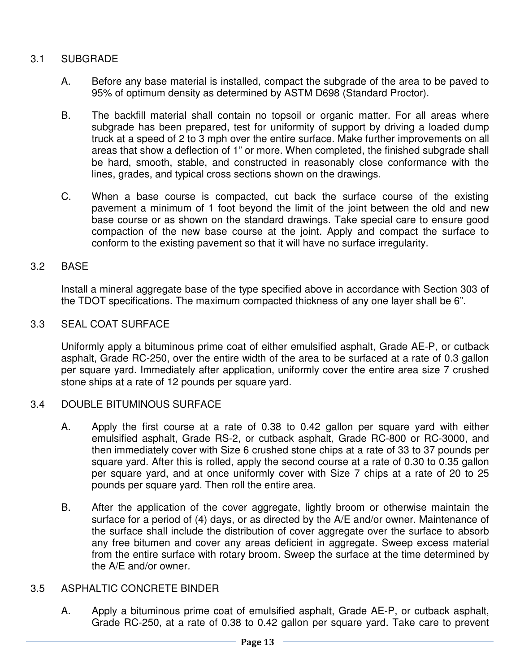# 3.1 SUBGRADE

- A. Before any base material is installed, compact the subgrade of the area to be paved to 95% of optimum density as determined by ASTM D698 (Standard Proctor).
- B. The backfill material shall contain no topsoil or organic matter. For all areas where subgrade has been prepared, test for uniformity of support by driving a loaded dump truck at a speed of 2 to 3 mph over the entire surface. Make further improvements on all areas that show a deflection of 1" or more. When completed, the finished subgrade shall be hard, smooth, stable, and constructed in reasonably close conformance with the lines, grades, and typical cross sections shown on the drawings.
- C. When a base course is compacted, cut back the surface course of the existing pavement a minimum of 1 foot beyond the limit of the joint between the old and new base course or as shown on the standard drawings. Take special care to ensure good compaction of the new base course at the joint. Apply and compact the surface to conform to the existing pavement so that it will have no surface irregularity.

## 3.2 BASE

Install a mineral aggregate base of the type specified above in accordance with Section 303 of the TDOT specifications. The maximum compacted thickness of any one layer shall be 6".

## 3.3 SEAL COAT SURFACE

Uniformly apply a bituminous prime coat of either emulsified asphalt, Grade AE-P, or cutback asphalt, Grade RC-250, over the entire width of the area to be surfaced at a rate of 0.3 gallon per square yard. Immediately after application, uniformly cover the entire area size 7 crushed stone ships at a rate of 12 pounds per square yard.

#### 3.4 DOUBLE BITUMINOUS SURFACE

- A. Apply the first course at a rate of 0.38 to 0.42 gallon per square yard with either emulsified asphalt, Grade RS-2, or cutback asphalt, Grade RC-800 or RC-3000, and then immediately cover with Size 6 crushed stone chips at a rate of 33 to 37 pounds per square yard. After this is rolled, apply the second course at a rate of 0.30 to 0.35 gallon per square yard, and at once uniformly cover with Size 7 chips at a rate of 20 to 25 pounds per square yard. Then roll the entire area.
- B. After the application of the cover aggregate, lightly broom or otherwise maintain the surface for a period of (4) days, or as directed by the A/E and/or owner. Maintenance of the surface shall include the distribution of cover aggregate over the surface to absorb any free bitumen and cover any areas deficient in aggregate. Sweep excess material from the entire surface with rotary broom. Sweep the surface at the time determined by the A/E and/or owner.

## 3.5 ASPHALTIC CONCRETE BINDER

A. Apply a bituminous prime coat of emulsified asphalt, Grade AE-P, or cutback asphalt, Grade RC-250, at a rate of 0.38 to 0.42 gallon per square yard. Take care to prevent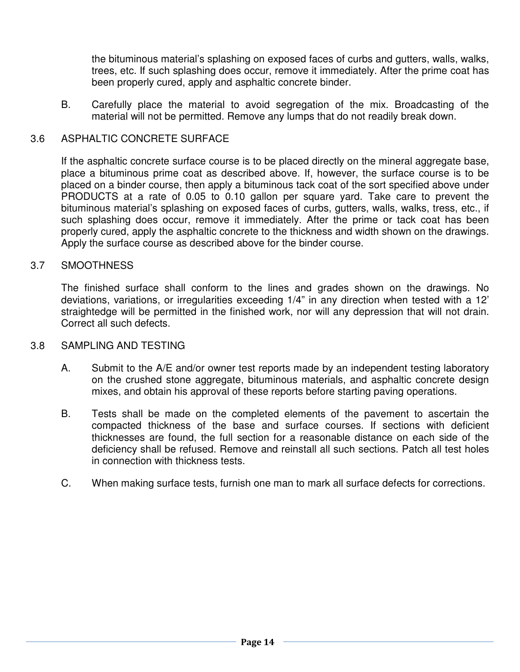the bituminous material's splashing on exposed faces of curbs and gutters, walls, walks, trees, etc. If such splashing does occur, remove it immediately. After the prime coat has been properly cured, apply and asphaltic concrete binder.

B. Carefully place the material to avoid segregation of the mix. Broadcasting of the material will not be permitted. Remove any lumps that do not readily break down.

#### 3.6 ASPHALTIC CONCRETE SURFACE

If the asphaltic concrete surface course is to be placed directly on the mineral aggregate base, place a bituminous prime coat as described above. If, however, the surface course is to be placed on a binder course, then apply a bituminous tack coat of the sort specified above under PRODUCTS at a rate of 0.05 to 0.10 gallon per square yard. Take care to prevent the bituminous material's splashing on exposed faces of curbs, gutters, walls, walks, tress, etc., if such splashing does occur, remove it immediately. After the prime or tack coat has been properly cured, apply the asphaltic concrete to the thickness and width shown on the drawings. Apply the surface course as described above for the binder course.

#### 3.7 SMOOTHNESS

The finished surface shall conform to the lines and grades shown on the drawings. No deviations, variations, or irregularities exceeding 1/4" in any direction when tested with a 12' straightedge will be permitted in the finished work, nor will any depression that will not drain. Correct all such defects.

#### 3.8 SAMPLING AND TESTING

- A. Submit to the A/E and/or owner test reports made by an independent testing laboratory on the crushed stone aggregate, bituminous materials, and asphaltic concrete design mixes, and obtain his approval of these reports before starting paving operations.
- B. Tests shall be made on the completed elements of the pavement to ascertain the compacted thickness of the base and surface courses. If sections with deficient thicknesses are found, the full section for a reasonable distance on each side of the deficiency shall be refused. Remove and reinstall all such sections. Patch all test holes in connection with thickness tests.
- C. When making surface tests, furnish one man to mark all surface defects for corrections.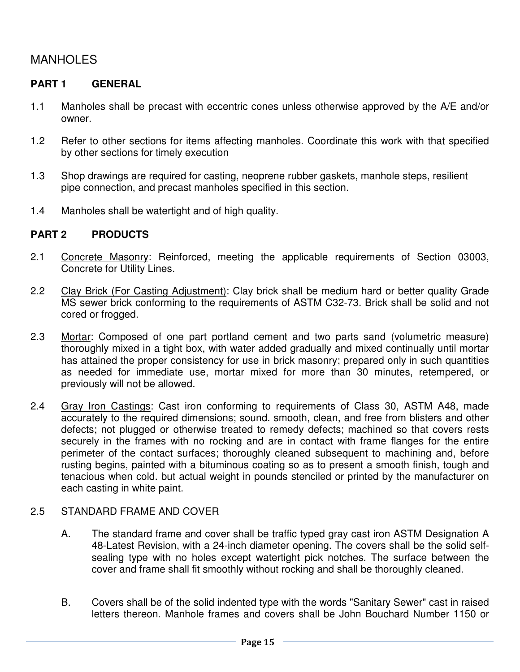# MANHOLES

# **PART 1 GENERAL**

- 1.1 Manholes shall be precast with eccentric cones unless otherwise approved by the A/E and/or owner.
- 1.2 Refer to other sections for items affecting manholes. Coordinate this work with that specified by other sections for timely execution
- 1.3 Shop drawings are required for casting, neoprene rubber gaskets, manhole steps, resilient pipe connection, and precast manholes specified in this section.
- 1.4 Manholes shall be watertight and of high quality.

## **PART 2 PRODUCTS**

- 2.1 Concrete Masonry: Reinforced, meeting the applicable requirements of Section 03003, Concrete for Utility Lines.
- 2.2 Clay Brick (For Casting Adjustment): Clay brick shall be medium hard or better quality Grade MS sewer brick conforming to the requirements of ASTM C32-73. Brick shall be solid and not cored or frogged.
- 2.3 Mortar: Composed of one part portland cement and two parts sand (volumetric measure) thoroughly mixed in a tight box, with water added gradually and mixed continually until mortar has attained the proper consistency for use in brick masonry; prepared only in such quantities as needed for immediate use, mortar mixed for more than 30 minutes, retempered, or previously will not be allowed.
- 2.4 Gray Iron Castings: Cast iron conforming to requirements of Class 30, ASTM A48, made accurately to the required dimensions; sound. smooth, clean, and free from blisters and other defects; not plugged or otherwise treated to remedy defects; machined so that covers rests securely in the frames with no rocking and are in contact with frame flanges for the entire perimeter of the contact surfaces; thoroughly cleaned subsequent to machining and, before rusting begins, painted with a bituminous coating so as to present a smooth finish, tough and tenacious when cold. but actual weight in pounds stenciled or printed by the manufacturer on each casting in white paint.

# 2.5 STANDARD FRAME AND COVER

- A. The standard frame and cover shall be traffic typed gray cast iron ASTM Designation A 48-Latest Revision, with a 24-inch diameter opening. The covers shall be the solid selfsealing type with no holes except watertight pick notches. The surface between the cover and frame shall fit smoothly without rocking and shall be thoroughly cleaned.
- B. Covers shall be of the solid indented type with the words "Sanitary Sewer" cast in raised letters thereon. Manhole frames and covers shall be John Bouchard Number 1150 or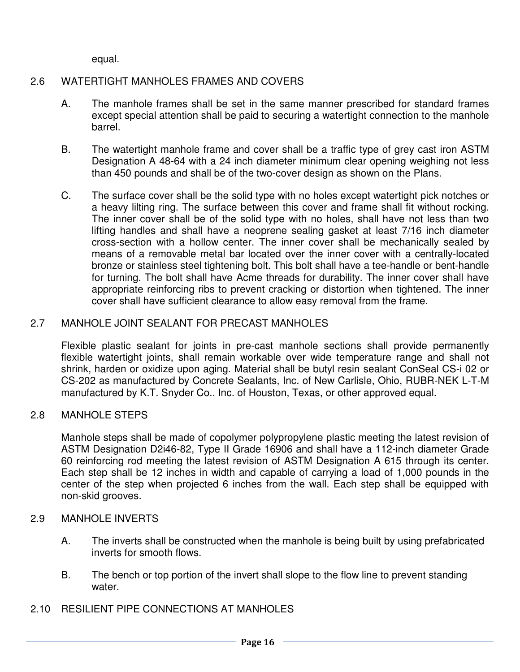equal.

# 2.6 WATERTIGHT MANHOLES FRAMES AND COVERS

- A. The manhole frames shall be set in the same manner prescribed for standard frames except special attention shall be paid to securing a watertight connection to the manhole barrel.
- B. The watertight manhole frame and cover shall be a traffic type of grey cast iron ASTM Designation A 48-64 with a 24 inch diameter minimum clear opening weighing not less than 450 pounds and shall be of the two-cover design as shown on the Plans.
- C. The surface cover shall be the solid type with no holes except watertight pick notches or a heavy lilting ring. The surface between this cover and frame shall fit without rocking. The inner cover shall be of the solid type with no holes, shall have not less than two lifting handles and shall have a neoprene sealing gasket at least 7/16 inch diameter cross-section with a hollow center. The inner cover shall be mechanically sealed by means of a removable metal bar located over the inner cover with a centrally-located bronze or stainless steel tightening bolt. This bolt shall have a tee-handle or bent-handle for turning. The bolt shall have Acme threads for durability. The inner cover shall have appropriate reinforcing ribs to prevent cracking or distortion when tightened. The inner cover shall have sufficient clearance to allow easy removal from the frame.

# 2.7 MANHOLE JOINT SEALANT FOR PRECAST MANHOLES

Flexible plastic sealant for joints in pre-cast manhole sections shall provide permanently flexible watertight joints, shall remain workable over wide temperature range and shall not shrink, harden or oxidize upon aging. Material shall be butyl resin sealant ConSeal CS-i 02 or CS-202 as manufactured by Concrete Sealants, Inc. of New Carlisle, Ohio, RUBR-NEK L-T-M manufactured by K.T. Snyder Co.. Inc. of Houston, Texas, or other approved equal.

# 2.8 MANHOLE STEPS

Manhole steps shall be made of copolymer polypropylene plastic meeting the latest revision of ASTM Designation D2i46-82, Type II Grade 16906 and shall have a 112-inch diameter Grade 60 reinforcing rod meeting the latest revision of ASTM Designation A 615 through its center. Each step shall be 12 inches in width and capable of carrying a load of 1,000 pounds in the center of the step when projected 6 inches from the wall. Each step shall be equipped with non-skid grooves.

#### 2.9 MANHOLE INVERTS

- A. The inverts shall be constructed when the manhole is being built by using prefabricated inverts for smooth flows.
- B. The bench or top portion of the invert shall slope to the flow line to prevent standing water.
- 2.10 RESILIENT PIPE CONNECTIONS AT MANHOLES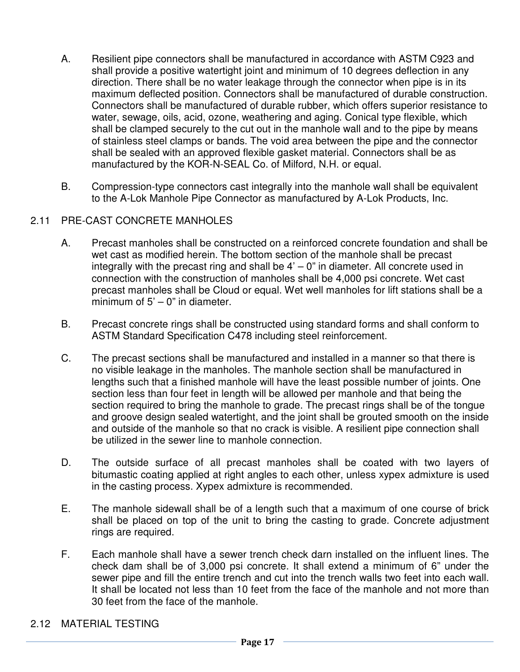- A. Resilient pipe connectors shall be manufactured in accordance with ASTM C923 and shall provide a positive watertight joint and minimum of 10 degrees deflection in any direction. There shall be no water leakage through the connector when pipe is in its maximum deflected position. Connectors shall be manufactured of durable construction. Connectors shall be manufactured of durable rubber, which offers superior resistance to water, sewage, oils, acid, ozone, weathering and aging. Conical type flexible, which shall be clamped securely to the cut out in the manhole wall and to the pipe by means of stainless steel clamps or bands. The void area between the pipe and the connector shall be sealed with an approved flexible gasket material. Connectors shall be as manufactured by the KOR-N-SEAL Co. of Milford, N.H. or equal.
- B. Compression-type connectors cast integrally into the manhole wall shall be equivalent to the A-Lok Manhole Pipe Connector as manufactured by A-Lok Products, Inc.

# 2.11 PRE-CAST CONCRETE MANHOLES

- A. Precast manholes shall be constructed on a reinforced concrete foundation and shall be wet cast as modified herein. The bottom section of the manhole shall be precast integrally with the precast ring and shall be  $4<sup>3</sup> - 0<sup>3</sup>$  in diameter. All concrete used in connection with the construction of manholes shall be 4,000 psi concrete. Wet cast precast manholes shall be Cloud or equal. Wet well manholes for lift stations shall be a minimum of  $5' - 0''$  in diameter.
- B. Precast concrete rings shall be constructed using standard forms and shall conform to ASTM Standard Specification C478 including steel reinforcement.
- C. The precast sections shall be manufactured and installed in a manner so that there is no visible leakage in the manholes. The manhole section shall be manufactured in lengths such that a finished manhole will have the least possible number of joints. One section less than four feet in length will be allowed per manhole and that being the section required to bring the manhole to grade. The precast rings shall be of the tongue and groove design sealed watertight, and the joint shall be grouted smooth on the inside and outside of the manhole so that no crack is visible. A resilient pipe connection shall be utilized in the sewer line to manhole connection.
- D. The outside surface of all precast manholes shall be coated with two layers of bitumastic coating applied at right angles to each other, unless xypex admixture is used in the casting process. Xypex admixture is recommended.
- E. The manhole sidewall shall be of a length such that a maximum of one course of brick shall be placed on top of the unit to bring the casting to grade. Concrete adjustment rings are required.
- F. Each manhole shall have a sewer trench check darn installed on the influent lines. The check dam shall be of 3,000 psi concrete. It shall extend a minimum of 6" under the sewer pipe and fill the entire trench and cut into the trench walls two feet into each wall. It shall be located not less than 10 feet from the face of the manhole and not more than 30 feet from the face of the manhole.

#### 2.12 MATERIAL TESTING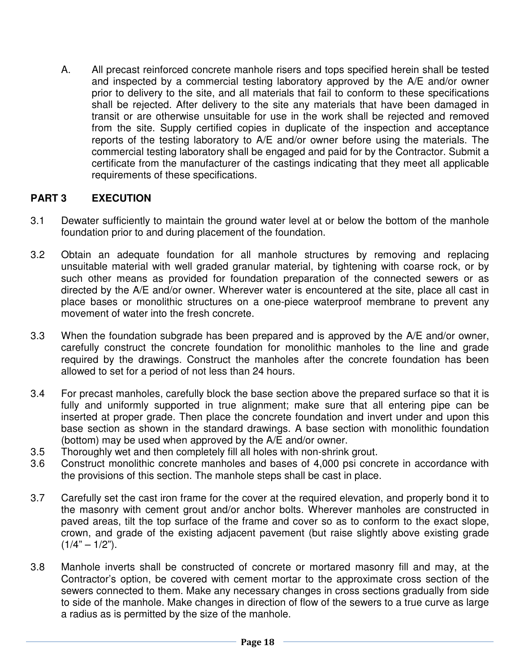A. All precast reinforced concrete manhole risers and tops specified herein shall be tested and inspected by a commercial testing laboratory approved by the A/E and/or owner prior to delivery to the site, and all materials that fail to conform to these specifications shall be rejected. After delivery to the site any materials that have been damaged in transit or are otherwise unsuitable for use in the work shall be rejected and removed from the site. Supply certified copies in duplicate of the inspection and acceptance reports of the testing laboratory to A/E and/or owner before using the materials. The commercial testing laboratory shall be engaged and paid for by the Contractor. Submit a certificate from the manufacturer of the castings indicating that they meet all applicable requirements of these specifications.

## **PART 3 EXECUTION**

- 3.1 Dewater sufficiently to maintain the ground water level at or below the bottom of the manhole foundation prior to and during placement of the foundation.
- 3.2 Obtain an adequate foundation for all manhole structures by removing and replacing unsuitable material with well graded granular material, by tightening with coarse rock, or by such other means as provided for foundation preparation of the connected sewers or as directed by the A/E and/or owner. Wherever water is encountered at the site, place all cast in place bases or monolithic structures on a one-piece waterproof membrane to prevent any movement of water into the fresh concrete.
- 3.3 When the foundation subgrade has been prepared and is approved by the A/E and/or owner, carefully construct the concrete foundation for monolithic manholes to the line and grade required by the drawings. Construct the manholes after the concrete foundation has been allowed to set for a period of not less than 24 hours.
- 3.4 For precast manholes, carefully block the base section above the prepared surface so that it is fully and uniformly supported in true alignment; make sure that all entering pipe can be inserted at proper grade. Then place the concrete foundation and invert under and upon this base section as shown in the standard drawings. A base section with monolithic foundation (bottom) may be used when approved by the A/E and/or owner.
- 3.5 Thoroughly wet and then completely fill all holes with non-shrink grout.
- 3.6 Construct monolithic concrete manholes and bases of 4,000 psi concrete in accordance with the provisions of this section. The manhole steps shall be cast in place.
- 3.7 Carefully set the cast iron frame for the cover at the required elevation, and properly bond it to the masonry with cement grout and/or anchor bolts. Wherever manholes are constructed in paved areas, tilt the top surface of the frame and cover so as to conform to the exact slope, crown, and grade of the existing adjacent pavement (but raise slightly above existing grade  $(1/4" - 1/2")$ .
- 3.8 Manhole inverts shall be constructed of concrete or mortared masonry fill and may, at the Contractor's option, be covered with cement mortar to the approximate cross section of the sewers connected to them. Make any necessary changes in cross sections gradually from side to side of the manhole. Make changes in direction of flow of the sewers to a true curve as large a radius as is permitted by the size of the manhole.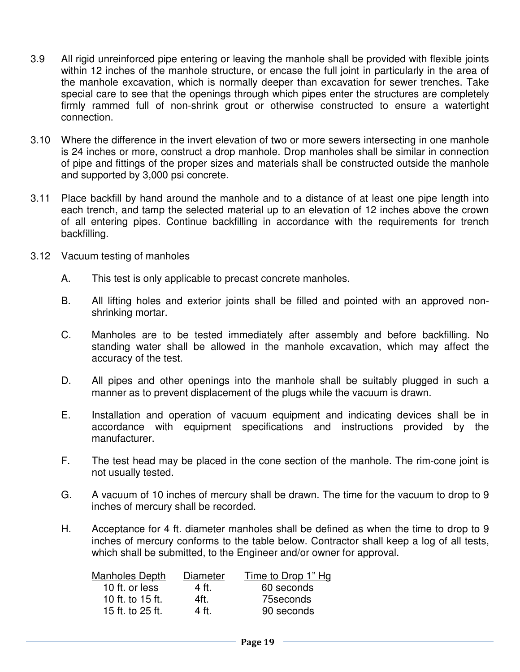- 3.9 All rigid unreinforced pipe entering or leaving the manhole shall be provided with flexible joints within 12 inches of the manhole structure, or encase the full joint in particularly in the area of the manhole excavation, which is normally deeper than excavation for sewer trenches. Take special care to see that the openings through which pipes enter the structures are completely firmly rammed full of non-shrink grout or otherwise constructed to ensure a watertight connection.
- 3.10 Where the difference in the invert elevation of two or more sewers intersecting in one manhole is 24 inches or more, construct a drop manhole. Drop manholes shall be similar in connection of pipe and fittings of the proper sizes and materials shall be constructed outside the manhole and supported by 3,000 psi concrete.
- 3.11 Place backfill by hand around the manhole and to a distance of at least one pipe length into each trench, and tamp the selected material up to an elevation of 12 inches above the crown of all entering pipes. Continue backfilling in accordance with the requirements for trench backfilling.
- 3.12 Vacuum testing of manholes
	- A. This test is only applicable to precast concrete manholes.
	- B. All lifting holes and exterior joints shall be filled and pointed with an approved nonshrinking mortar.
	- C. Manholes are to be tested immediately after assembly and before backfilling. No standing water shall be allowed in the manhole excavation, which may affect the accuracy of the test.
	- D. All pipes and other openings into the manhole shall be suitably plugged in such a manner as to prevent displacement of the plugs while the vacuum is drawn.
	- E. Installation and operation of vacuum equipment and indicating devices shall be in accordance with equipment specifications and instructions provided by the manufacturer.
	- F. The test head may be placed in the cone section of the manhole. The rim-cone joint is not usually tested.
	- G. A vacuum of 10 inches of mercury shall be drawn. The time for the vacuum to drop to 9 inches of mercury shall be recorded.
	- H. Acceptance for 4 ft. diameter manholes shall be defined as when the time to drop to 9 inches of mercury conforms to the table below. Contractor shall keep a log of all tests, which shall be submitted, to the Engineer and/or owner for approval.

| Manholes Depth   | Diameter | Time to Drop 1" Hg |
|------------------|----------|--------------------|
| 10 ft. or less   | 4 ft.    | 60 seconds         |
| 10 ft. to 15 ft. | 4ft.     | 75 seconds         |
| 15 ft. to 25 ft. | 4 ft.    | 90 seconds         |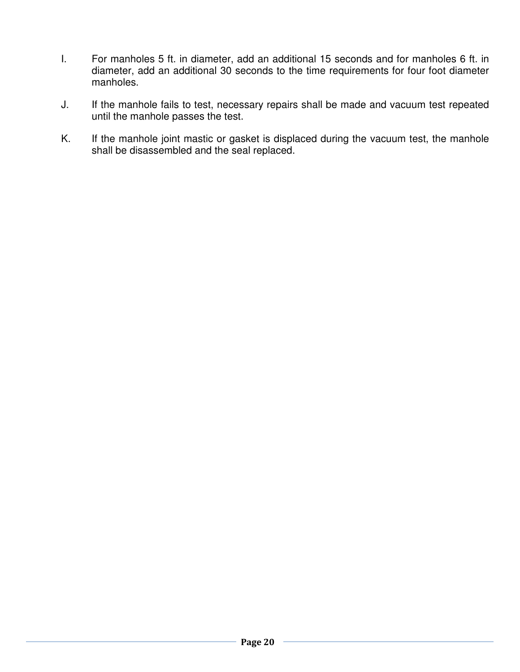- I. For manholes 5 ft. in diameter, add an additional 15 seconds and for manholes 6 ft. in diameter, add an additional 30 seconds to the time requirements for four foot diameter manholes.
- J. If the manhole fails to test, necessary repairs shall be made and vacuum test repeated until the manhole passes the test.
- K. If the manhole joint mastic or gasket is displaced during the vacuum test, the manhole shall be disassembled and the seal replaced.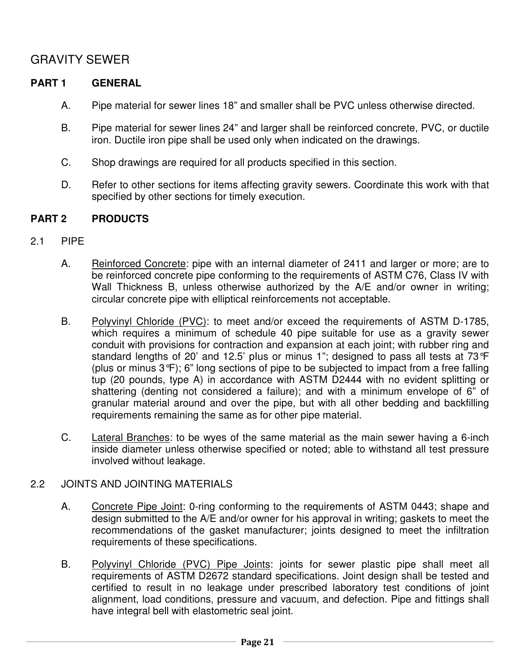# GRAVITY SEWER

# **PART 1 GENERAL**

- A. Pipe material for sewer lines 18" and smaller shall be PVC unless otherwise directed.
- B. Pipe material for sewer lines 24" and larger shall be reinforced concrete, PVC, or ductile iron. Ductile iron pipe shall be used only when indicated on the drawings.
- C. Shop drawings are required for all products specified in this section.
- D. Refer to other sections for items affecting gravity sewers. Coordinate this work with that specified by other sections for timely execution.

# **PART 2 PRODUCTS**

- 2.1 PIPE
	- A. Reinforced Concrete: pipe with an internal diameter of 2411 and larger or more; are to be reinforced concrete pipe conforming to the requirements of ASTM C76, Class IV with Wall Thickness B, unless otherwise authorized by the A/E and/or owner in writing; circular concrete pipe with elliptical reinforcements not acceptable.
	- B. Polyvinyl Chloride (PVC): to meet and/or exceed the requirements of ASTM D-1785, which requires a minimum of schedule 40 pipe suitable for use as a gravity sewer conduit with provisions for contraction and expansion at each joint; with rubber ring and standard lengths of 20' and 12.5' plus or minus 1"; designed to pass all tests at  $73^{\circ}F$ (plus or minus 3°F); 6" long sections of pipe to be subjected to impact from a free falling tup (20 pounds, type A) in accordance with ASTM D2444 with no evident splitting or shattering (denting not considered a failure); and with a minimum envelope of 6" of granular material around and over the pipe, but with all other bedding and backfilling requirements remaining the same as for other pipe material.
	- C. Lateral Branches: to be wyes of the same material as the main sewer having a 6-inch inside diameter unless otherwise specified or noted; able to withstand all test pressure involved without leakage.

# 2.2 JOINTS AND JOINTING MATERIALS

- A. Concrete Pipe Joint: 0-ring conforming to the requirements of ASTM 0443; shape and design submitted to the A/E and/or owner for his approval in writing; gaskets to meet the recommendations of the gasket manufacturer; joints designed to meet the infiltration requirements of these specifications.
- B. Polyvinyl Chloride (PVC) Pipe Joints: joints for sewer plastic pipe shall meet all requirements of ASTM D2672 standard specifications. Joint design shall be tested and certified to result in no leakage under prescribed laboratory test conditions of joint alignment, load conditions, pressure and vacuum, and defection. Pipe and fittings shall have integral bell with elastometric seal joint.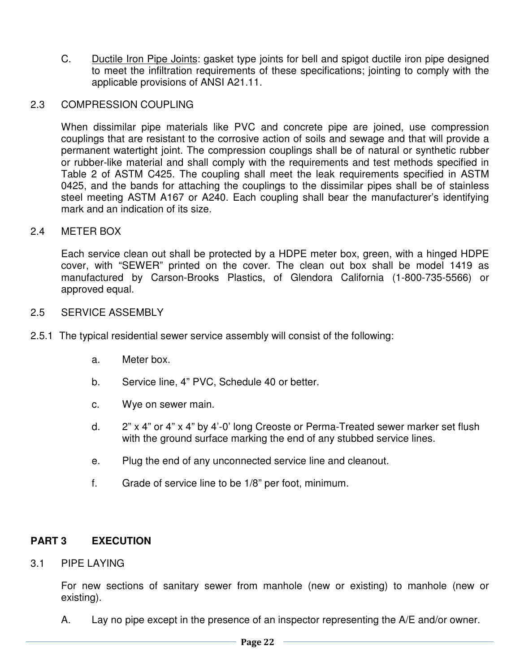C. Ductile Iron Pipe Joints: gasket type joints for bell and spigot ductile iron pipe designed to meet the infiltration requirements of these specifications; jointing to comply with the applicable provisions of ANSI A21.11.

#### 2.3 COMPRESSION COUPLING

When dissimilar pipe materials like PVC and concrete pipe are joined, use compression couplings that are resistant to the corrosive action of soils and sewage and that will provide a permanent watertight joint. The compression couplings shall be of natural or synthetic rubber or rubber-like material and shall comply with the requirements and test methods specified in Table 2 of ASTM C425. The coupling shall meet the leak requirements specified in ASTM 0425, and the bands for attaching the couplings to the dissimilar pipes shall be of stainless steel meeting ASTM A167 or A240. Each coupling shall bear the manufacturer's identifying mark and an indication of its size.

#### 2.4 METER BOX

Each service clean out shall be protected by a HDPE meter box, green, with a hinged HDPE cover, with "SEWER" printed on the cover. The clean out box shall be model 1419 as manufactured by Carson-Brooks Plastics, of Glendora California (1-800-735-5566) or approved equal.

## 2.5 SERVICE ASSEMBLY

- 2.5.1 The typical residential sewer service assembly will consist of the following:
	- a. Meter box.
	- b. Service line, 4" PVC, Schedule 40 or better.
	- c. Wye on sewer main.
	- d. 2" x 4" or 4" x 4" by 4'-0' long Creoste or Perma-Treated sewer marker set flush with the ground surface marking the end of any stubbed service lines.
	- e. Plug the end of any unconnected service line and cleanout.
	- f. Grade of service line to be 1/8" per foot, minimum.

# **PART 3 EXECUTION**

#### 3.1 PIPE LAYING

For new sections of sanitary sewer from manhole (new or existing) to manhole (new or existing).

A. Lay no pipe except in the presence of an inspector representing the A/E and/or owner.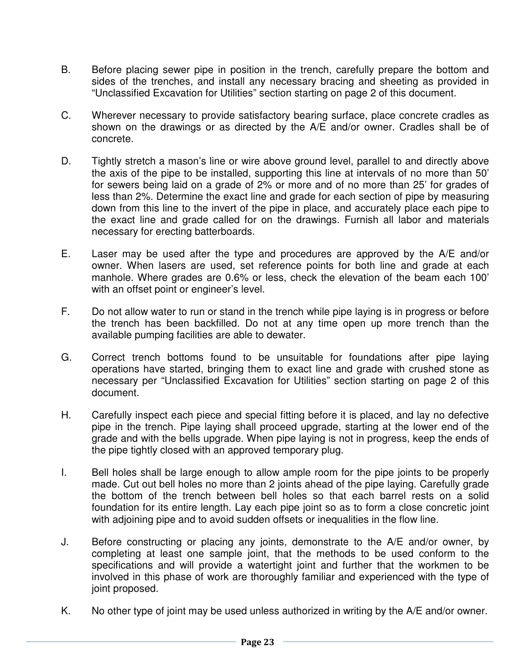- B. Before placing sewer pipe in position in the trench, carefully prepare the bottom and sides of the trenches, and install any necessary bracing and sheeting as provided in "Unclassified Excavation for Utilities" section starting on page 2 of this document.
- C. Wherever necessary to provide satisfactory bearing surface, place concrete cradles as shown on the drawings or as directed by the A/E and/or owner. Cradles shall be of concrete.
- D. Tightly stretch a mason's line or wire above ground level, parallel to and directly above the axis of the pipe to be installed, supporting this line at intervals of no more than 50' for sewers being laid on a grade of 2% or more and of no more than 25' for grades of less than 2%. Determine the exact line and grade for each section of pipe by measuring down from this line to the invert of the pipe in place, and accurately place each pipe to the exact line and grade called for on the drawings. Furnish all labor and materials necessary for erecting batterboards.
- E. Laser may be used after the type and procedures are approved by the A/E and/or owner. When lasers are used, set reference points for both line and grade at each manhole. Where grades are 0.6% or less, check the elevation of the beam each 100' with an offset point or engineer's level.
- F. Do not allow water to run or stand in the trench while pipe laying is in progress or before the trench has been backfilled. Do not at any time open up more trench than the available pumping facilities are able to dewater.
- G. Correct trench bottoms found to be unsuitable for foundations after pipe laying operations have started, bringing them to exact line and grade with crushed stone as necessary per "Unclassified Excavation for Utilities" section starting on page 2 of this document.
- H. Carefully inspect each piece and special fitting before it is placed, and lay no defective pipe in the trench. Pipe laying shall proceed upgrade, starting at the lower end of the grade and with the bells upgrade. When pipe laying is not in progress, keep the ends of the pipe tightly closed with an approved temporary plug.
- I. Bell holes shall be large enough to allow ample room for the pipe joints to be properly made. Cut out bell holes no more than 2 joints ahead of the pipe laying. Carefully grade the bottom of the trench between bell holes so that each barrel rests on a solid foundation for its entire length. Lay each pipe joint so as to form a close concretic joint with adjoining pipe and to avoid sudden offsets or inequalities in the flow line.
- J. Before constructing or placing any joints, demonstrate to the A/E and/or owner, by completing at least one sample joint, that the methods to be used conform to the specifications and will provide a watertight joint and further that the workmen to be involved in this phase of work are thoroughly familiar and experienced with the type of joint proposed.
- K. No other type of joint may be used unless authorized in writing by the A/E and/or owner.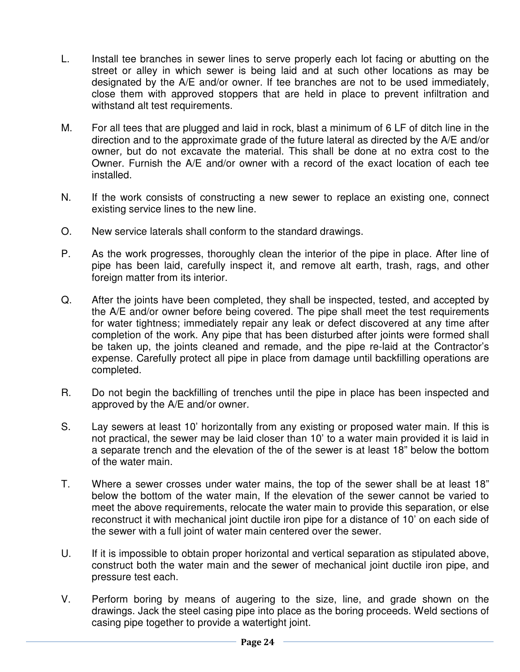- L. Install tee branches in sewer lines to serve properly each lot facing or abutting on the street or alley in which sewer is being laid and at such other locations as may be designated by the A/E and/or owner. If tee branches are not to be used immediately, close them with approved stoppers that are held in place to prevent infiltration and withstand alt test requirements.
- M. For all tees that are plugged and laid in rock, blast a minimum of 6 LF of ditch line in the direction and to the approximate grade of the future lateral as directed by the A/E and/or owner, but do not excavate the material. This shall be done at no extra cost to the Owner. Furnish the A/E and/or owner with a record of the exact location of each tee installed.
- N. If the work consists of constructing a new sewer to replace an existing one, connect existing service lines to the new line.
- O. New service laterals shall conform to the standard drawings.
- P. As the work progresses, thoroughly clean the interior of the pipe in place. After line of pipe has been laid, carefully inspect it, and remove alt earth, trash, rags, and other foreign matter from its interior.
- Q. After the joints have been completed, they shall be inspected, tested, and accepted by the A/E and/or owner before being covered. The pipe shall meet the test requirements for water tightness; immediately repair any leak or defect discovered at any time after completion of the work. Any pipe that has been disturbed after joints were formed shall be taken up, the joints cleaned and remade, and the pipe re-laid at the Contractor's expense. Carefully protect all pipe in place from damage until backfilling operations are completed.
- R. Do not begin the backfilling of trenches until the pipe in place has been inspected and approved by the A/E and/or owner.
- S. Lay sewers at least 10' horizontally from any existing or proposed water main. If this is not practical, the sewer may be laid closer than 10' to a water main provided it is laid in a separate trench and the elevation of the of the sewer is at least 18" below the bottom of the water main.
- T. Where a sewer crosses under water mains, the top of the sewer shall be at least 18" below the bottom of the water main, If the elevation of the sewer cannot be varied to meet the above requirements, relocate the water main to provide this separation, or else reconstruct it with mechanical joint ductile iron pipe for a distance of 10' on each side of the sewer with a full joint of water main centered over the sewer.
- U. If it is impossible to obtain proper horizontal and vertical separation as stipulated above, construct both the water main and the sewer of mechanical joint ductile iron pipe, and pressure test each.
- V. Perform boring by means of augering to the size, line, and grade shown on the drawings. Jack the steel casing pipe into place as the boring proceeds. Weld sections of casing pipe together to provide a watertight joint.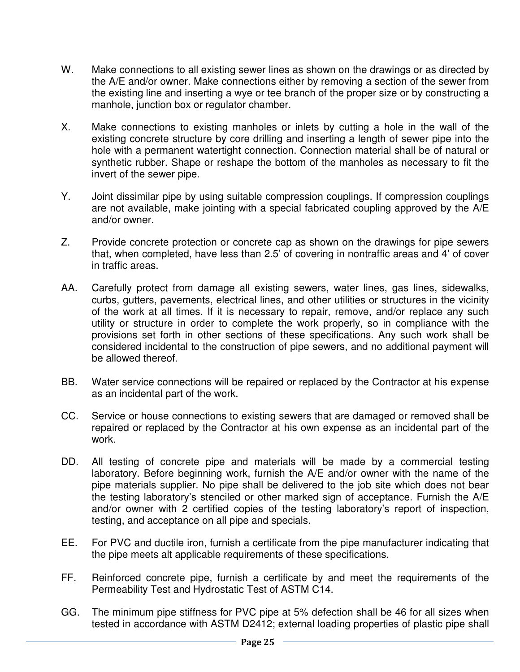- W. Make connections to all existing sewer lines as shown on the drawings or as directed by the A/E and/or owner. Make connections either by removing a section of the sewer from the existing line and inserting a wye or tee branch of the proper size or by constructing a manhole, junction box or regulator chamber.
- X. Make connections to existing manholes or inlets by cutting a hole in the wall of the existing concrete structure by core drilling and inserting a length of sewer pipe into the hole with a permanent watertight connection. Connection material shall be of natural or synthetic rubber. Shape or reshape the bottom of the manholes as necessary to fit the invert of the sewer pipe.
- Y. Joint dissimilar pipe by using suitable compression couplings. If compression couplings are not available, make jointing with a special fabricated coupling approved by the A/E and/or owner.
- Z. Provide concrete protection or concrete cap as shown on the drawings for pipe sewers that, when completed, have less than 2.5' of covering in nontraffic areas and 4' of cover in traffic areas.
- AA. Carefully protect from damage all existing sewers, water lines, gas lines, sidewalks, curbs, gutters, pavements, electrical lines, and other utilities or structures in the vicinity of the work at all times. If it is necessary to repair, remove, and/or replace any such utility or structure in order to complete the work properly, so in compliance with the provisions set forth in other sections of these specifications. Any such work shall be considered incidental to the construction of pipe sewers, and no additional payment will be allowed thereof.
- BB. Water service connections will be repaired or replaced by the Contractor at his expense as an incidental part of the work.
- CC. Service or house connections to existing sewers that are damaged or removed shall be repaired or replaced by the Contractor at his own expense as an incidental part of the work.
- DD. All testing of concrete pipe and materials will be made by a commercial testing laboratory. Before beginning work, furnish the A/E and/or owner with the name of the pipe materials supplier. No pipe shall be delivered to the job site which does not bear the testing laboratory's stenciled or other marked sign of acceptance. Furnish the A/E and/or owner with 2 certified copies of the testing laboratory's report of inspection, testing, and acceptance on all pipe and specials.
- EE. For PVC and ductile iron, furnish a certificate from the pipe manufacturer indicating that the pipe meets alt applicable requirements of these specifications.
- FF. Reinforced concrete pipe, furnish a certificate by and meet the requirements of the Permeability Test and Hydrostatic Test of ASTM C14.
- GG. The minimum pipe stiffness for PVC pipe at 5% defection shall be 46 for all sizes when tested in accordance with ASTM D2412; external loading properties of plastic pipe shall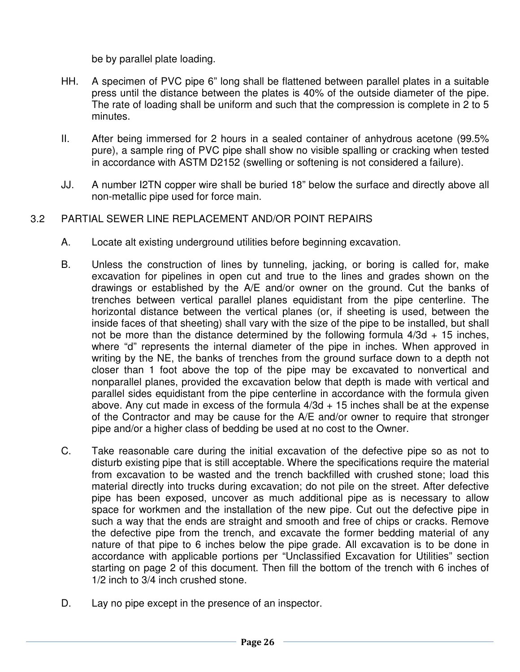be by parallel plate loading.

- HH. A specimen of PVC pipe 6" long shall be flattened between parallel plates in a suitable press until the distance between the plates is 40% of the outside diameter of the pipe. The rate of loading shall be uniform and such that the compression is complete in 2 to 5 minutes.
- II. After being immersed for 2 hours in a sealed container of anhydrous acetone (99.5% pure), a sample ring of PVC pipe shall show no visible spalling or cracking when tested in accordance with ASTM D2152 (swelling or softening is not considered a failure).
- JJ. A number I2TN copper wire shall be buried 18" below the surface and directly above all non-metallic pipe used for force main.

# 3.2 PARTIAL SEWER LINE REPLACEMENT AND/OR POINT REPAIRS

- A. Locate alt existing underground utilities before beginning excavation.
- B. Unless the construction of lines by tunneling, jacking, or boring is called for, make excavation for pipelines in open cut and true to the lines and grades shown on the drawings or established by the A/E and/or owner on the ground. Cut the banks of trenches between vertical parallel planes equidistant from the pipe centerline. The horizontal distance between the vertical planes (or, if sheeting is used, between the inside faces of that sheeting) shall vary with the size of the pipe to be installed, but shall not be more than the distance determined by the following formula  $4/3d + 15$  inches, where "d" represents the internal diameter of the pipe in inches. When approved in writing by the NE, the banks of trenches from the ground surface down to a depth not closer than 1 foot above the top of the pipe may be excavated to nonvertical and nonparallel planes, provided the excavation below that depth is made with vertical and parallel sides equidistant from the pipe centerline in accordance with the formula given above. Any cut made in excess of the formula  $4/3d + 15$  inches shall be at the expense of the Contractor and may be cause for the A/E and/or owner to require that stronger pipe and/or a higher class of bedding be used at no cost to the Owner.
- C. Take reasonable care during the initial excavation of the defective pipe so as not to disturb existing pipe that is still acceptable. Where the specifications require the material from excavation to be wasted and the trench backfilled with crushed stone; load this material directly into trucks during excavation; do not pile on the street. After defective pipe has been exposed, uncover as much additional pipe as is necessary to allow space for workmen and the installation of the new pipe. Cut out the defective pipe in such a way that the ends are straight and smooth and free of chips or cracks. Remove the defective pipe from the trench, and excavate the former bedding material of any nature of that pipe to 6 inches below the pipe grade. All excavation is to be done in accordance with applicable portions per "Unclassified Excavation for Utilities" section starting on page 2 of this document. Then fill the bottom of the trench with 6 inches of 1/2 inch to 3/4 inch crushed stone.
- D. Lay no pipe except in the presence of an inspector.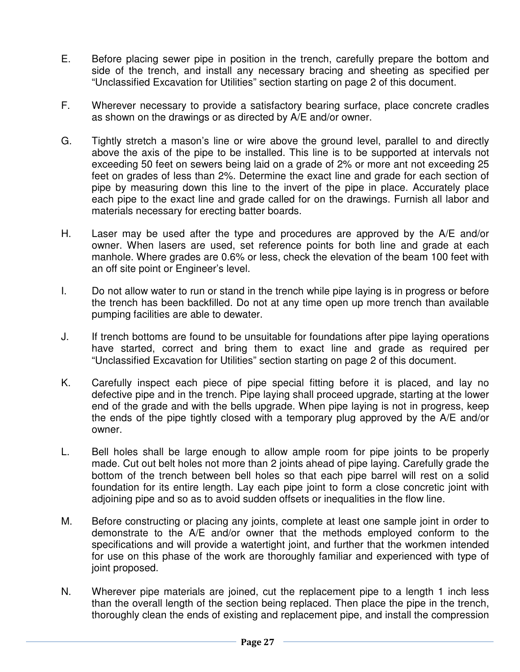- E. Before placing sewer pipe in position in the trench, carefully prepare the bottom and side of the trench, and install any necessary bracing and sheeting as specified per "Unclassified Excavation for Utilities" section starting on page 2 of this document.
- F. Wherever necessary to provide a satisfactory bearing surface, place concrete cradles as shown on the drawings or as directed by A/E and/or owner.
- G. Tightly stretch a mason's line or wire above the ground level, parallel to and directly above the axis of the pipe to be installed. This line is to be supported at intervals not exceeding 50 feet on sewers being laid on a grade of 2% or more ant not exceeding 25 feet on grades of less than 2%. Determine the exact line and grade for each section of pipe by measuring down this line to the invert of the pipe in place. Accurately place each pipe to the exact line and grade called for on the drawings. Furnish all labor and materials necessary for erecting batter boards.
- H. Laser may be used after the type and procedures are approved by the A/E and/or owner. When lasers are used, set reference points for both line and grade at each manhole. Where grades are 0.6% or less, check the elevation of the beam 100 feet with an off site point or Engineer's level.
- I. Do not allow water to run or stand in the trench while pipe laying is in progress or before the trench has been backfilled. Do not at any time open up more trench than available pumping facilities are able to dewater.
- J. If trench bottoms are found to be unsuitable for foundations after pipe laying operations have started, correct and bring them to exact line and grade as required per "Unclassified Excavation for Utilities" section starting on page 2 of this document.
- K. Carefully inspect each piece of pipe special fitting before it is placed, and lay no defective pipe and in the trench. Pipe laying shall proceed upgrade, starting at the lower end of the grade and with the bells upgrade. When pipe laying is not in progress, keep the ends of the pipe tightly closed with a temporary plug approved by the A/E and/or owner.
- L. Bell holes shall be large enough to allow ample room for pipe joints to be properly made. Cut out belt holes not more than 2 joints ahead of pipe laying. Carefully grade the bottom of the trench between bell holes so that each pipe barrel will rest on a solid foundation for its entire length. Lay each pipe joint to form a close concretic joint with adjoining pipe and so as to avoid sudden offsets or inequalities in the flow line.
- M. Before constructing or placing any joints, complete at least one sample joint in order to demonstrate to the A/E and/or owner that the methods employed conform to the specifications and will provide a watertight joint, and further that the workmen intended for use on this phase of the work are thoroughly familiar and experienced with type of joint proposed.
- N. Wherever pipe materials are joined, cut the replacement pipe to a length 1 inch less than the overall length of the section being replaced. Then place the pipe in the trench, thoroughly clean the ends of existing and replacement pipe, and install the compression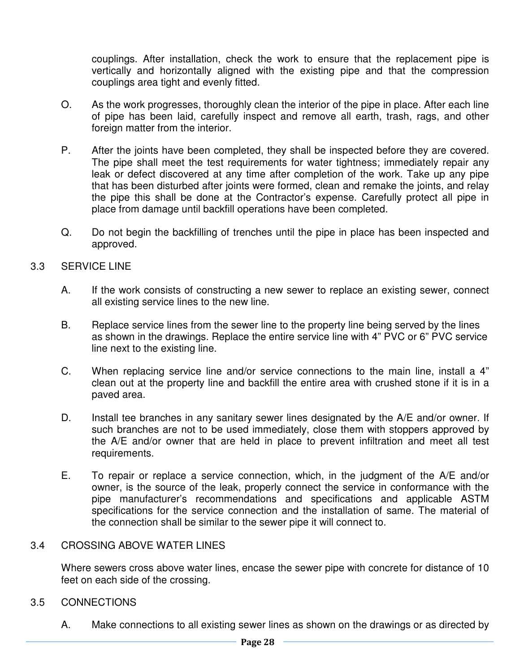couplings. After installation, check the work to ensure that the replacement pipe is vertically and horizontally aligned with the existing pipe and that the compression couplings area tight and evenly fitted.

- O. As the work progresses, thoroughly clean the interior of the pipe in place. After each line of pipe has been laid, carefully inspect and remove all earth, trash, rags, and other foreign matter from the interior.
- P. After the joints have been completed, they shall be inspected before they are covered. The pipe shall meet the test requirements for water tightness; immediately repair any leak or defect discovered at any time after completion of the work. Take up any pipe that has been disturbed after joints were formed, clean and remake the joints, and relay the pipe this shall be done at the Contractor's expense. Carefully protect all pipe in place from damage until backfill operations have been completed.
- Q. Do not begin the backfilling of trenches until the pipe in place has been inspected and approved.

## 3.3 SERVICE LINE

- A. If the work consists of constructing a new sewer to replace an existing sewer, connect all existing service lines to the new line.
- B. Replace service lines from the sewer line to the property line being served by the lines as shown in the drawings. Replace the entire service line with 4" PVC or 6" PVC service line next to the existing line.
- C. When replacing service line and/or service connections to the main line, install a 4" clean out at the property line and backfill the entire area with crushed stone if it is in a paved area.
- D. Install tee branches in any sanitary sewer lines designated by the A/E and/or owner. If such branches are not to be used immediately, close them with stoppers approved by the A/E and/or owner that are held in place to prevent infiltration and meet all test requirements.
- E. To repair or replace a service connection, which, in the judgment of the A/E and/or owner, is the source of the leak, properly connect the service in conformance with the pipe manufacturer's recommendations and specifications and applicable ASTM specifications for the service connection and the installation of same. The material of the connection shall be similar to the sewer pipe it will connect to.

#### 3.4 CROSSING ABOVE WATER LINES

Where sewers cross above water lines, encase the sewer pipe with concrete for distance of 10 feet on each side of the crossing.

# 3.5 CONNECTIONS

A. Make connections to all existing sewer lines as shown on the drawings or as directed by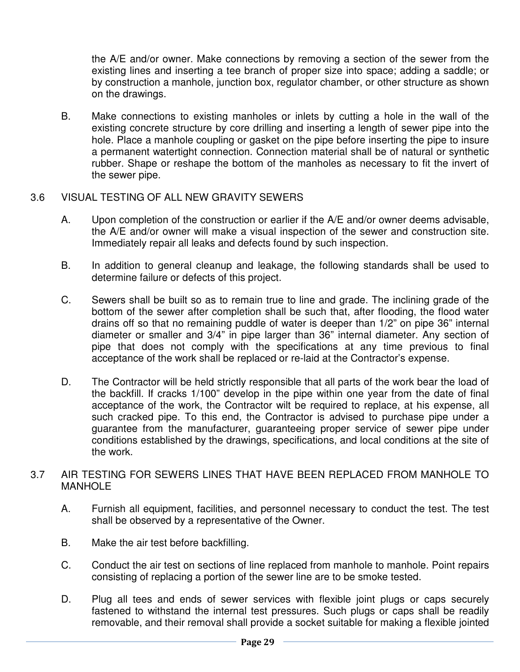the A/E and/or owner. Make connections by removing a section of the sewer from the existing lines and inserting a tee branch of proper size into space; adding a saddle; or by construction a manhole, junction box, regulator chamber, or other structure as shown on the drawings.

B. Make connections to existing manholes or inlets by cutting a hole in the wall of the existing concrete structure by core drilling and inserting a length of sewer pipe into the hole. Place a manhole coupling or gasket on the pipe before inserting the pipe to insure a permanent watertight connection. Connection material shall be of natural or synthetic rubber. Shape or reshape the bottom of the manholes as necessary to fit the invert of the sewer pipe.

## 3.6 VISUAL TESTING OF ALL NEW GRAVITY SEWERS

- A. Upon completion of the construction or earlier if the A/E and/or owner deems advisable, the A/E and/or owner will make a visual inspection of the sewer and construction site. Immediately repair all leaks and defects found by such inspection.
- B. In addition to general cleanup and leakage, the following standards shall be used to determine failure or defects of this project.
- C. Sewers shall be built so as to remain true to line and grade. The inclining grade of the bottom of the sewer after completion shall be such that, after flooding, the flood water drains off so that no remaining puddle of water is deeper than 1/2" on pipe 36" internal diameter or smaller and 3/4" in pipe larger than 36" internal diameter. Any section of pipe that does not comply with the specifications at any time previous to final acceptance of the work shall be replaced or re-laid at the Contractor's expense.
- D. The Contractor will be held strictly responsible that all parts of the work bear the load of the backfill. If cracks 1/100" develop in the pipe within one year from the date of final acceptance of the work, the Contractor wilt be required to replace, at his expense, all such cracked pipe. To this end, the Contractor is advised to purchase pipe under a guarantee from the manufacturer, guaranteeing proper service of sewer pipe under conditions established by the drawings, specifications, and local conditions at the site of the work.
- 3.7 AIR TESTING FOR SEWERS LINES THAT HAVE BEEN REPLACED FROM MANHOLE TO **MANHOLE** 
	- A. Furnish all equipment, facilities, and personnel necessary to conduct the test. The test shall be observed by a representative of the Owner.
	- B. Make the air test before backfilling.
	- C. Conduct the air test on sections of line replaced from manhole to manhole. Point repairs consisting of replacing a portion of the sewer line are to be smoke tested.
	- D. Plug all tees and ends of sewer services with flexible joint plugs or caps securely fastened to withstand the internal test pressures. Such plugs or caps shall be readily removable, and their removal shall provide a socket suitable for making a flexible jointed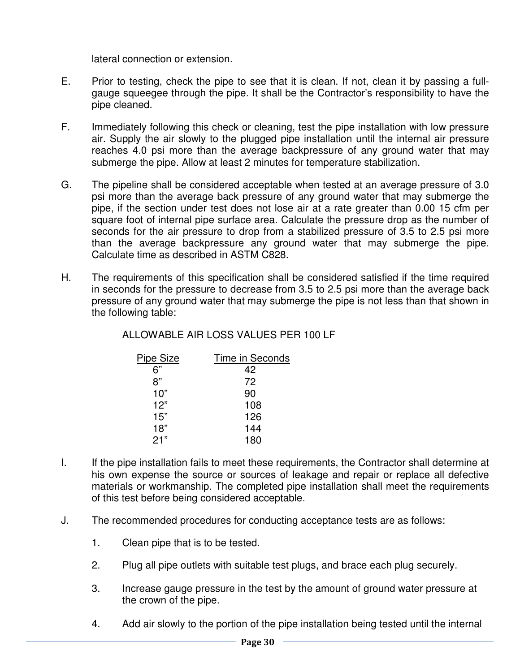lateral connection or extension.

- E. Prior to testing, check the pipe to see that it is clean. If not, clean it by passing a fullgauge squeegee through the pipe. It shall be the Contractor's responsibility to have the pipe cleaned.
- F. Immediately following this check or cleaning, test the pipe installation with low pressure air. Supply the air slowly to the plugged pipe installation until the internal air pressure reaches 4.0 psi more than the average backpressure of any ground water that may submerge the pipe. Allow at least 2 minutes for temperature stabilization.
- G. The pipeline shall be considered acceptable when tested at an average pressure of 3.0 psi more than the average back pressure of any ground water that may submerge the pipe, if the section under test does not lose air at a rate greater than 0.00 15 cfm per square foot of internal pipe surface area. Calculate the pressure drop as the number of seconds for the air pressure to drop from a stabilized pressure of 3.5 to 2.5 psi more than the average backpressure any ground water that may submerge the pipe. Calculate time as described in ASTM C828.
- H. The requirements of this specification shall be considered satisfied if the time required in seconds for the pressure to decrease from 3.5 to 2.5 psi more than the average back pressure of any ground water that may submerge the pipe is not less than that shown in the following table:

# ALLOWABLE AIR LOSS VALUES PER 100 LF

| <b>Pipe Size</b> | Time in Seconds |
|------------------|-----------------|
| 6"               | 42              |
| 8"               | 72              |
| 10"              | 90              |
| 12"              | 108             |
| 15"              | 126             |
| 18"              | 144             |
| 21"              | 180             |

- I. If the pipe installation fails to meet these requirements, the Contractor shall determine at his own expense the source or sources of leakage and repair or replace all defective materials or workmanship. The completed pipe installation shall meet the requirements of this test before being considered acceptable.
- J. The recommended procedures for conducting acceptance tests are as follows:
	- 1. Clean pipe that is to be tested.
	- 2. Plug all pipe outlets with suitable test plugs, and brace each plug securely.
	- 3. Increase gauge pressure in the test by the amount of ground water pressure at the crown of the pipe.
	- 4. Add air slowly to the portion of the pipe installation being tested until the internal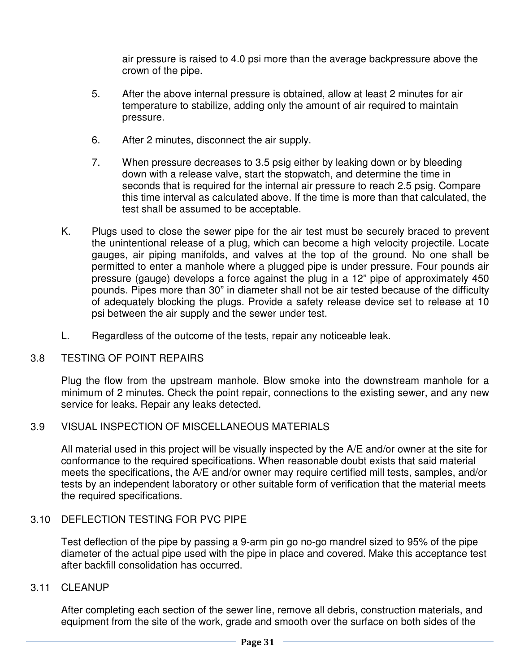air pressure is raised to 4.0 psi more than the average backpressure above the crown of the pipe.

- 5. After the above internal pressure is obtained, allow at least 2 minutes for air temperature to stabilize, adding only the amount of air required to maintain pressure.
- 6. After 2 minutes, disconnect the air supply.
- 7. When pressure decreases to 3.5 psig either by leaking down or by bleeding down with a release valve, start the stopwatch, and determine the time in seconds that is required for the internal air pressure to reach 2.5 psig. Compare this time interval as calculated above. If the time is more than that calculated, the test shall be assumed to be acceptable.
- K. Plugs used to close the sewer pipe for the air test must be securely braced to prevent the unintentional release of a plug, which can become a high velocity projectile. Locate gauges, air piping manifolds, and valves at the top of the ground. No one shall be permitted to enter a manhole where a plugged pipe is under pressure. Four pounds air pressure (gauge) develops a force against the plug in a 12" pipe of approximately 450 pounds. Pipes more than 30" in diameter shall not be air tested because of the difficulty of adequately blocking the plugs. Provide a safety release device set to release at 10 psi between the air supply and the sewer under test.
- L. Regardless of the outcome of the tests, repair any noticeable leak.

#### 3.8 TESTING OF POINT REPAIRS

Plug the flow from the upstream manhole. Blow smoke into the downstream manhole for a minimum of 2 minutes. Check the point repair, connections to the existing sewer, and any new service for leaks. Repair any leaks detected.

# 3.9 VISUAL INSPECTION OF MISCELLANEOUS MATERIALS

All material used in this project will be visually inspected by the A/E and/or owner at the site for conformance to the required specifications. When reasonable doubt exists that said material meets the specifications, the A/E and/or owner may require certified mill tests, samples, and/or tests by an independent laboratory or other suitable form of verification that the material meets the required specifications.

#### 3.10 DEFLECTION TESTING FOR PVC PIPE

Test deflection of the pipe by passing a 9-arm pin go no-go mandrel sized to 95% of the pipe diameter of the actual pipe used with the pipe in place and covered. Make this acceptance test after backfill consolidation has occurred.

#### 3.11 CLEANUP

After completing each section of the sewer line, remove all debris, construction materials, and equipment from the site of the work, grade and smooth over the surface on both sides of the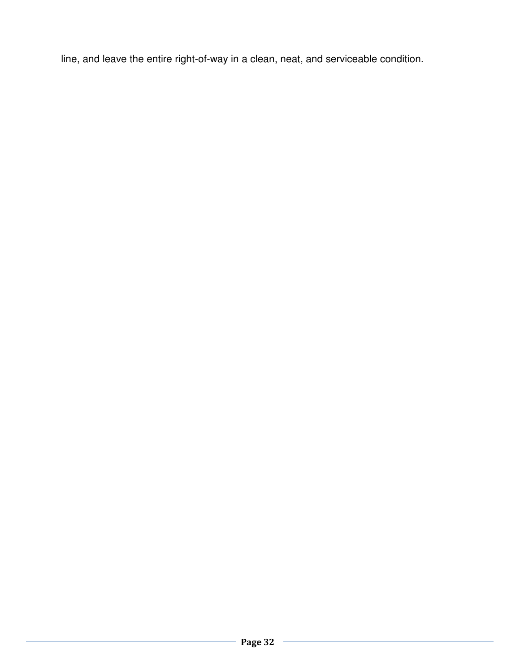line, and leave the entire right-of-way in a clean, neat, and serviceable condition.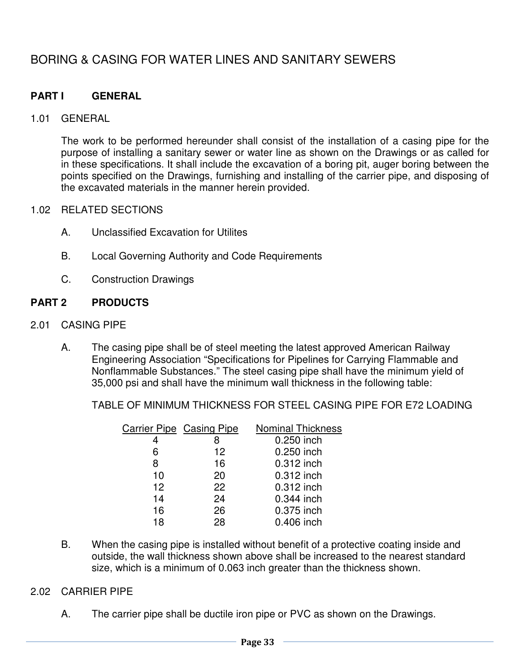# BORING & CASING FOR WATER LINES AND SANITARY SEWERS

# **PART I GENERAL**

## 1.01 GENERAL

The work to be performed hereunder shall consist of the installation of a casing pipe for the purpose of installing a sanitary sewer or water line as shown on the Drawings or as called for in these specifications. It shall include the excavation of a boring pit, auger boring between the points specified on the Drawings, furnishing and installing of the carrier pipe, and disposing of the excavated materials in the manner herein provided.

## 1.02 RELATED SECTIONS

- A. Unclassified Excavation for Utilites
- B. Local Governing Authority and Code Requirements
- C. Construction Drawings

# **PART 2 PRODUCTS**

- 2.01 CASING PIPE
	- A. The casing pipe shall be of steel meeting the latest approved American Railway Engineering Association "Specifications for Pipelines for Carrying Flammable and Nonflammable Substances." The steel casing pipe shall have the minimum yield of 35,000 psi and shall have the minimum wall thickness in the following table:

TABLE OF MINIMUM THICKNESS FOR STEEL CASING PIPE FOR E72 LOADING

|    | <b>Carrier Pipe Casing Pipe</b> | <b>Nominal Thickness</b> |
|----|---------------------------------|--------------------------|
|    |                                 | 0.250 inch               |
| 6  | 12                              | 0.250 inch               |
| 8  | 16                              | 0.312 inch               |
| 10 | 20                              | 0.312 inch               |
| 12 | 22                              | 0.312 inch               |
| 14 | 24                              | 0.344 inch               |
| 16 | 26                              | 0.375 inch               |
| 18 | 28                              | 0.406 inch               |
|    |                                 |                          |

B. When the casing pipe is installed without benefit of a protective coating inside and outside, the wall thickness shown above shall be increased to the nearest standard size, which is a minimum of 0.063 inch greater than the thickness shown.

# 2.02 CARRIER PIPE

A. The carrier pipe shall be ductile iron pipe or PVC as shown on the Drawings.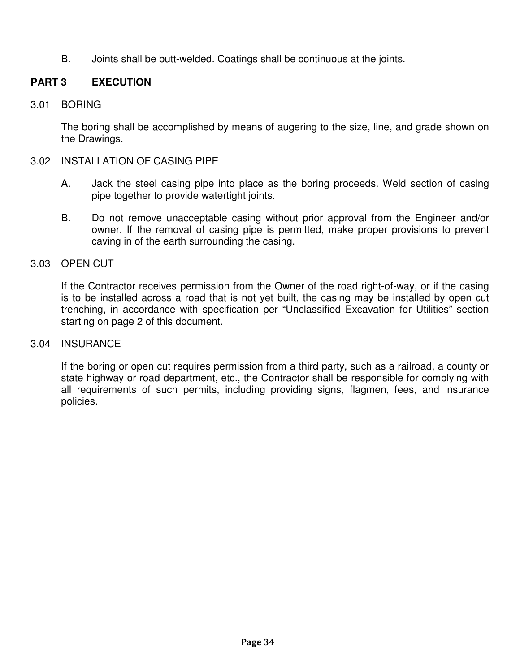B. Joints shall be butt-welded. Coatings shall be continuous at the joints.

# **PART 3 EXECUTION**

# 3.01 BORING

The boring shall be accomplished by means of augering to the size, line, and grade shown on the Drawings.

## 3.02 INSTALLATION OF CASING PIPE

- A. Jack the steel casing pipe into place as the boring proceeds. Weld section of casing pipe together to provide watertight joints.
- B. Do not remove unacceptable casing without prior approval from the Engineer and/or owner. If the removal of casing pipe is permitted, make proper provisions to prevent caving in of the earth surrounding the casing.

## 3.03 OPEN CUT

If the Contractor receives permission from the Owner of the road right-of-way, or if the casing is to be installed across a road that is not yet built, the casing may be installed by open cut trenching, in accordance with specification per "Unclassified Excavation for Utilities" section starting on page 2 of this document.

#### 3.04 INSURANCE

If the boring or open cut requires permission from a third party, such as a railroad, a county or state highway or road department, etc., the Contractor shall be responsible for complying with all requirements of such permits, including providing signs, flagmen, fees, and insurance policies.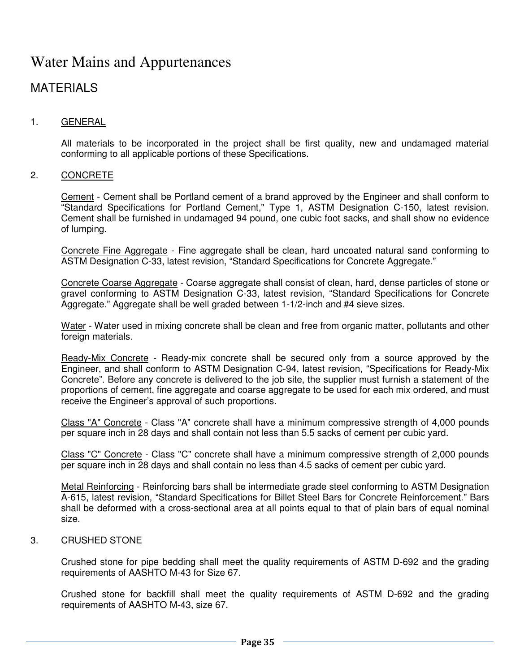# Water Mains and Appurtenances

# MATERIALS

#### 1. GENERAL

 All materials to be incorporated in the project shall be first quality, new and undamaged material conforming to all applicable portions of these Specifications.

#### 2. CONCRETE

 Cement - Cement shall be Portland cement of a brand approved by the Engineer and shall conform to "Standard Specifications for Portland Cement," Type 1, ASTM Designation C-150, latest revision. Cement shall be furnished in undamaged 94 pound, one cubic foot sacks, and shall show no evidence of lumping.

 Concrete Fine Aggregate - Fine aggregate shall be clean, hard uncoated natural sand conforming to ASTM Designation C-33, latest revision, "Standard Specifications for Concrete Aggregate."

 Concrete Coarse Aggregate - Coarse aggregate shall consist of clean, hard, dense particles of stone or gravel conforming to ASTM Designation C-33, latest revision, "Standard Specifications for Concrete Aggregate." Aggregate shall be well graded between 1-1/2-inch and #4 sieve sizes.

Water - Water used in mixing concrete shall be clean and free from organic matter, pollutants and other foreign materials.

 Ready-Mix Concrete - Ready-mix concrete shall be secured only from a source approved by the Engineer, and shall conform to ASTM Designation C-94, latest revision, "Specifications for Ready-Mix Concrete". Before any concrete is delivered to the job site, the supplier must furnish a statement of the proportions of cement, fine aggregate and coarse aggregate to be used for each mix ordered, and must receive the Engineer's approval of such proportions.

 Class "A" Concrete - Class "A" concrete shall have a minimum compressive strength of 4,000 pounds per square inch in 28 days and shall contain not less than 5.5 sacks of cement per cubic yard.

 Class "C" Concrete - Class "C" concrete shall have a minimum compressive strength of 2,000 pounds per square inch in 28 days and shall contain no less than 4.5 sacks of cement per cubic yard.

 Metal Reinforcing - Reinforcing bars shall be intermediate grade steel conforming to ASTM Designation A-615, latest revision, "Standard Specifications for Billet Steel Bars for Concrete Reinforcement." Bars shall be deformed with a cross-sectional area at all points equal to that of plain bars of equal nominal size.

#### 3. CRUSHED STONE

 Crushed stone for pipe bedding shall meet the quality requirements of ASTM D-692 and the grading requirements of AASHTO M-43 for Size 67.

 Crushed stone for backfill shall meet the quality requirements of ASTM D-692 and the grading requirements of AASHTO M-43, size 67.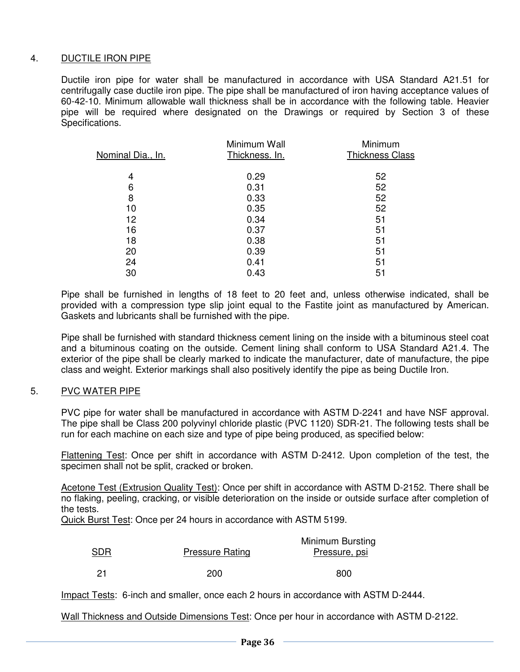#### 4. DUCTILE IRON PIPE

 Ductile iron pipe for water shall be manufactured in accordance with USA Standard A21.51 for centrifugally case ductile iron pipe. The pipe shall be manufactured of iron having acceptance values of 60-42-10. Minimum allowable wall thickness shall be in accordance with the following table. Heavier pipe will be required where designated on the Drawings or required by Section 3 of these Specifications.

| Nominal Dia., In. | Minimum Wall<br>Thickness. In. | Minimum<br>Thickness Class |
|-------------------|--------------------------------|----------------------------|
|                   |                                |                            |
| 4                 | 0.29                           | 52                         |
| 6                 | 0.31                           | 52                         |
| 8                 | 0.33                           | 52                         |
| 10                | 0.35                           | 52                         |
| 12                | 0.34                           | 51                         |
| 16                | 0.37                           | 51                         |
| 18                | 0.38                           | 51                         |
| 20                | 0.39                           | 51                         |
| 24                | 0.41                           | 51                         |
| 30                | 0.43                           | 51                         |
|                   |                                |                            |

 Pipe shall be furnished in lengths of 18 feet to 20 feet and, unless otherwise indicated, shall be provided with a compression type slip joint equal to the Fastite joint as manufactured by American. Gaskets and lubricants shall be furnished with the pipe.

 Pipe shall be furnished with standard thickness cement lining on the inside with a bituminous steel coat and a bituminous coating on the outside. Cement lining shall conform to USA Standard A21.4. The exterior of the pipe shall be clearly marked to indicate the manufacturer, date of manufacture, the pipe class and weight. Exterior markings shall also positively identify the pipe as being Ductile Iron.

#### 5. PVC WATER PIPE

 PVC pipe for water shall be manufactured in accordance with ASTM D-2241 and have NSF approval. The pipe shall be Class 200 polyvinyl chloride plastic (PVC 1120) SDR-21. The following tests shall be run for each machine on each size and type of pipe being produced, as specified below:

 Flattening Test: Once per shift in accordance with ASTM D-2412. Upon completion of the test, the specimen shall not be split, cracked or broken.

Acetone Test (Extrusion Quality Test): Once per shift in accordance with ASTM D-2152. There shall be no flaking, peeling, cracking, or visible deterioration on the inside or outside surface after completion of the tests.

Quick Burst Test: Once per 24 hours in accordance with ASTM 5199.

| SDR | <b>Pressure Rating</b> | Minimum Bursting<br>Pressure, psi |
|-----|------------------------|-----------------------------------|
|     | 200                    | 800                               |

Impact Tests: 6-inch and smaller, once each 2 hours in accordance with ASTM D-2444.

Wall Thickness and Outside Dimensions Test: Once per hour in accordance with ASTM D-2122.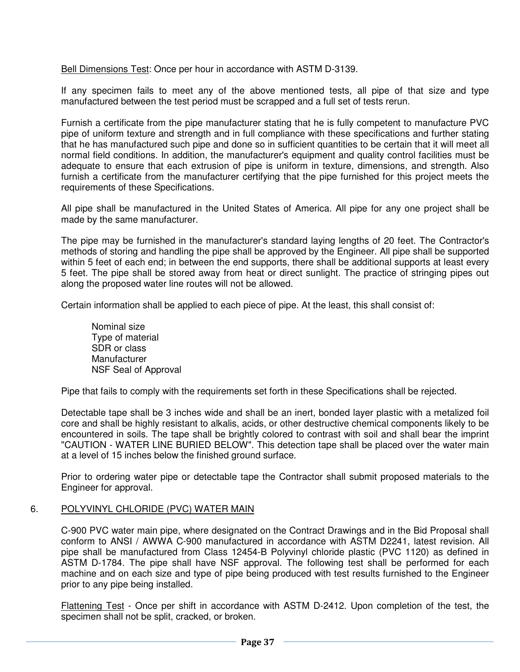Bell Dimensions Test: Once per hour in accordance with ASTM D-3139.

 If any specimen fails to meet any of the above mentioned tests, all pipe of that size and type manufactured between the test period must be scrapped and a full set of tests rerun.

 Furnish a certificate from the pipe manufacturer stating that he is fully competent to manufacture PVC pipe of uniform texture and strength and in full compliance with these specifications and further stating that he has manufactured such pipe and done so in sufficient quantities to be certain that it will meet all normal field conditions. In addition, the manufacturer's equipment and quality control facilities must be adequate to ensure that each extrusion of pipe is uniform in texture, dimensions, and strength. Also furnish a certificate from the manufacturer certifying that the pipe furnished for this project meets the requirements of these Specifications.

 All pipe shall be manufactured in the United States of America. All pipe for any one project shall be made by the same manufacturer.

 The pipe may be furnished in the manufacturer's standard laying lengths of 20 feet. The Contractor's methods of storing and handling the pipe shall be approved by the Engineer. All pipe shall be supported within 5 feet of each end; in between the end supports, there shall be additional supports at least every 5 feet. The pipe shall be stored away from heat or direct sunlight. The practice of stringing pipes out along the proposed water line routes will not be allowed.

Certain information shall be applied to each piece of pipe. At the least, this shall consist of:

 Nominal size Type of material SDR or class **Manufacturer** NSF Seal of Approval

Pipe that fails to comply with the requirements set forth in these Specifications shall be rejected.

 Detectable tape shall be 3 inches wide and shall be an inert, bonded layer plastic with a metalized foil core and shall be highly resistant to alkalis, acids, or other destructive chemical components likely to be encountered in soils. The tape shall be brightly colored to contrast with soil and shall bear the imprint "CAUTION - WATER LINE BURIED BELOW". This detection tape shall be placed over the water main at a level of 15 inches below the finished ground surface.

 Prior to ordering water pipe or detectable tape the Contractor shall submit proposed materials to the Engineer for approval.

#### 6. POLYVINYL CHLORIDE (PVC) WATER MAIN

 C-900 PVC water main pipe, where designated on the Contract Drawings and in the Bid Proposal shall conform to ANSI / AWWA C-900 manufactured in accordance with ASTM D2241, latest revision. All pipe shall be manufactured from Class 12454-B Polyvinyl chloride plastic (PVC 1120) as defined in ASTM D-1784. The pipe shall have NSF approval. The following test shall be performed for each machine and on each size and type of pipe being produced with test results furnished to the Engineer prior to any pipe being installed.

 Flattening Test - Once per shift in accordance with ASTM D-2412. Upon completion of the test, the specimen shall not be split, cracked, or broken.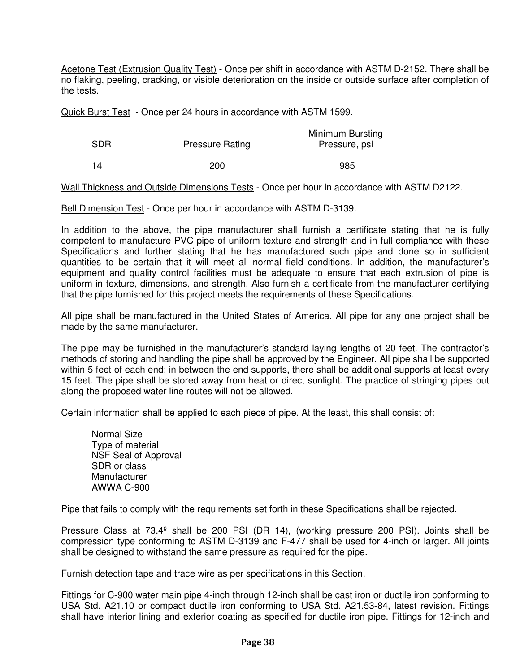Acetone Test (Extrusion Quality Test) - Once per shift in accordance with ASTM D-2152. There shall be no flaking, peeling, cracking, or visible deterioration on the inside or outside surface after completion of the tests.

Quick Burst Test - Once per 24 hours in accordance with ASTM 1599.

| SDR | <b>Pressure Rating</b> | Minimum Bursting<br>Pressure, psi |
|-----|------------------------|-----------------------------------|
|     | 200                    | 985                               |

Wall Thickness and Outside Dimensions Tests - Once per hour in accordance with ASTM D2122.

Bell Dimension Test - Once per hour in accordance with ASTM D-3139.

 In addition to the above, the pipe manufacturer shall furnish a certificate stating that he is fully competent to manufacture PVC pipe of uniform texture and strength and in full compliance with these Specifications and further stating that he has manufactured such pipe and done so in sufficient quantities to be certain that it will meet all normal field conditions. In addition, the manufacturer's equipment and quality control facilities must be adequate to ensure that each extrusion of pipe is uniform in texture, dimensions, and strength. Also furnish a certificate from the manufacturer certifying that the pipe furnished for this project meets the requirements of these Specifications.

 All pipe shall be manufactured in the United States of America. All pipe for any one project shall be made by the same manufacturer.

 The pipe may be furnished in the manufacturer's standard laying lengths of 20 feet. The contractor's methods of storing and handling the pipe shall be approved by the Engineer. All pipe shall be supported within 5 feet of each end; in between the end supports, there shall be additional supports at least every 15 feet. The pipe shall be stored away from heat or direct sunlight. The practice of stringing pipes out along the proposed water line routes will not be allowed.

Certain information shall be applied to each piece of pipe. At the least, this shall consist of:

Normal Size Type of material NSF Seal of Approval SDR or class Manufacturer AWWA C-900

Pipe that fails to comply with the requirements set forth in these Specifications shall be rejected.

 Pressure Class at 73.4º shall be 200 PSI (DR 14), (working pressure 200 PSI). Joints shall be compression type conforming to ASTM D-3139 and F-477 shall be used for 4-inch or larger. All joints shall be designed to withstand the same pressure as required for the pipe.

Furnish detection tape and trace wire as per specifications in this Section.

 Fittings for C-900 water main pipe 4-inch through 12-inch shall be cast iron or ductile iron conforming to USA Std. A21.10 or compact ductile iron conforming to USA Std. A21.53-84, latest revision. Fittings shall have interior lining and exterior coating as specified for ductile iron pipe. Fittings for 12-inch and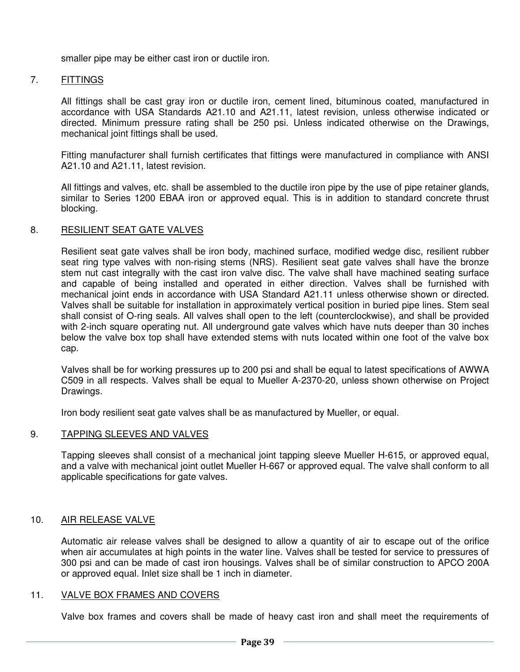smaller pipe may be either cast iron or ductile iron.

#### 7. FITTINGS

 All fittings shall be cast gray iron or ductile iron, cement lined, bituminous coated, manufactured in accordance with USA Standards A21.10 and A21.11, latest revision, unless otherwise indicated or directed. Minimum pressure rating shall be 250 psi. Unless indicated otherwise on the Drawings, mechanical joint fittings shall be used.

 Fitting manufacturer shall furnish certificates that fittings were manufactured in compliance with ANSI A21.10 and A21.11, latest revision.

 All fittings and valves, etc. shall be assembled to the ductile iron pipe by the use of pipe retainer glands, similar to Series 1200 EBAA iron or approved equal. This is in addition to standard concrete thrust blocking.

#### 8. RESILIENT SEAT GATE VALVES

 Resilient seat gate valves shall be iron body, machined surface, modified wedge disc, resilient rubber seat ring type valves with non-rising stems (NRS). Resilient seat gate valves shall have the bronze stem nut cast integrally with the cast iron valve disc. The valve shall have machined seating surface and capable of being installed and operated in either direction. Valves shall be furnished with mechanical joint ends in accordance with USA Standard A21.11 unless otherwise shown or directed. Valves shall be suitable for installation in approximately vertical position in buried pipe lines. Stem seal shall consist of O-ring seals. All valves shall open to the left (counterclockwise), and shall be provided with 2-inch square operating nut. All underground gate valves which have nuts deeper than 30 inches below the valve box top shall have extended stems with nuts located within one foot of the valve box cap.

 Valves shall be for working pressures up to 200 psi and shall be equal to latest specifications of AWWA C509 in all respects. Valves shall be equal to Mueller A-2370-20, unless shown otherwise on Project Drawings.

Iron body resilient seat gate valves shall be as manufactured by Mueller, or equal.

#### 9. TAPPING SLEEVES AND VALVES

 Tapping sleeves shall consist of a mechanical joint tapping sleeve Mueller H-615, or approved equal, and a valve with mechanical joint outlet Mueller H-667 or approved equal. The valve shall conform to all applicable specifications for gate valves.

#### 10. AIR RELEASE VALVE

 Automatic air release valves shall be designed to allow a quantity of air to escape out of the orifice when air accumulates at high points in the water line. Valves shall be tested for service to pressures of 300 psi and can be made of cast iron housings. Valves shall be of similar construction to APCO 200A or approved equal. Inlet size shall be 1 inch in diameter.

#### 11. VALVE BOX FRAMES AND COVERS

Valve box frames and covers shall be made of heavy cast iron and shall meet the requirements of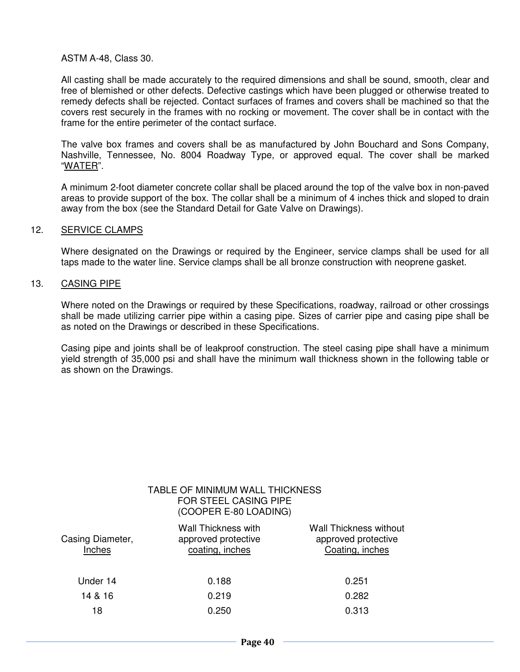#### ASTM A-48, Class 30.

 All casting shall be made accurately to the required dimensions and shall be sound, smooth, clear and free of blemished or other defects. Defective castings which have been plugged or otherwise treated to remedy defects shall be rejected. Contact surfaces of frames and covers shall be machined so that the covers rest securely in the frames with no rocking or movement. The cover shall be in contact with the frame for the entire perimeter of the contact surface.

 The valve box frames and covers shall be as manufactured by John Bouchard and Sons Company, Nashville, Tennessee, No. 8004 Roadway Type, or approved equal. The cover shall be marked "WATER".

 A minimum 2-foot diameter concrete collar shall be placed around the top of the valve box in non-paved areas to provide support of the box. The collar shall be a minimum of 4 inches thick and sloped to drain away from the box (see the Standard Detail for Gate Valve on Drawings).

#### 12. SERVICE CLAMPS

 Where designated on the Drawings or required by the Engineer, service clamps shall be used for all taps made to the water line. Service clamps shall be all bronze construction with neoprene gasket.

#### 13. CASING PIPE

 Where noted on the Drawings or required by these Specifications, roadway, railroad or other crossings shall be made utilizing carrier pipe within a casing pipe. Sizes of carrier pipe and casing pipe shall be as noted on the Drawings or described in these Specifications.

 Casing pipe and joints shall be of leakproof construction. The steel casing pipe shall have a minimum yield strength of 35,000 psi and shall have the minimum wall thickness shown in the following table or as shown on the Drawings.

|                            | TABLE OF MINIMUM WALL THICKNESS<br><b>FOR STEEL CASING PIPE</b><br>(COOPER E-80 LOADING) |                                                                  |
|----------------------------|------------------------------------------------------------------------------------------|------------------------------------------------------------------|
| Casing Diameter,<br>Inches | <b>Wall Thickness with</b><br>approved protective<br>coating, inches                     | Wall Thickness without<br>approved protective<br>Coating, inches |
| Under 14                   | 0.188                                                                                    | 0.251                                                            |
| 14 & 16                    | 0.219                                                                                    | 0.282                                                            |
| 18                         | 0.250                                                                                    | 0.313                                                            |
|                            |                                                                                          |                                                                  |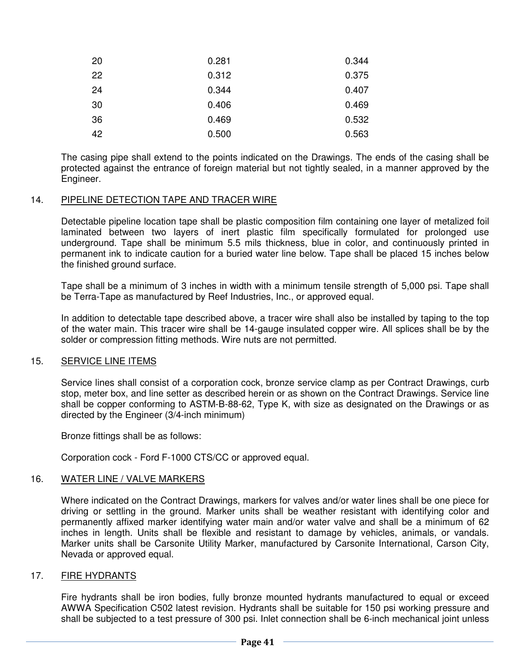| 20 | 0.281 | 0.344 |
|----|-------|-------|
| 22 | 0.312 | 0.375 |
| 24 | 0.344 | 0.407 |
| 30 | 0.406 | 0.469 |
| 36 | 0.469 | 0.532 |
| 42 | 0.500 | 0.563 |

 The casing pipe shall extend to the points indicated on the Drawings. The ends of the casing shall be protected against the entrance of foreign material but not tightly sealed, in a manner approved by the Engineer.

#### 14. PIPELINE DETECTION TAPE AND TRACER WIRE

 Detectable pipeline location tape shall be plastic composition film containing one layer of metalized foil laminated between two layers of inert plastic film specifically formulated for prolonged use underground. Tape shall be minimum 5.5 mils thickness, blue in color, and continuously printed in permanent ink to indicate caution for a buried water line below. Tape shall be placed 15 inches below the finished ground surface.

 Tape shall be a minimum of 3 inches in width with a minimum tensile strength of 5,000 psi. Tape shall be Terra-Tape as manufactured by Reef Industries, Inc., or approved equal.

 In addition to detectable tape described above, a tracer wire shall also be installed by taping to the top of the water main. This tracer wire shall be 14-gauge insulated copper wire. All splices shall be by the solder or compression fitting methods. Wire nuts are not permitted.

#### 15. SERVICE LINE ITEMS

 Service lines shall consist of a corporation cock, bronze service clamp as per Contract Drawings, curb stop, meter box, and line setter as described herein or as shown on the Contract Drawings. Service line shall be copper conforming to ASTM-B-88-62, Type K, with size as designated on the Drawings or as directed by the Engineer (3/4-inch minimum)

Bronze fittings shall be as follows:

Corporation cock - Ford F-1000 CTS/CC or approved equal.

#### 16. WATER LINE / VALVE MARKERS

 Where indicated on the Contract Drawings, markers for valves and/or water lines shall be one piece for driving or settling in the ground. Marker units shall be weather resistant with identifying color and permanently affixed marker identifying water main and/or water valve and shall be a minimum of 62 inches in length. Units shall be flexible and resistant to damage by vehicles, animals, or vandals. Marker units shall be Carsonite Utility Marker, manufactured by Carsonite International, Carson City, Nevada or approved equal.

#### 17. FIRE HYDRANTS

 Fire hydrants shall be iron bodies, fully bronze mounted hydrants manufactured to equal or exceed AWWA Specification C502 latest revision. Hydrants shall be suitable for 150 psi working pressure and shall be subjected to a test pressure of 300 psi. Inlet connection shall be 6-inch mechanical joint unless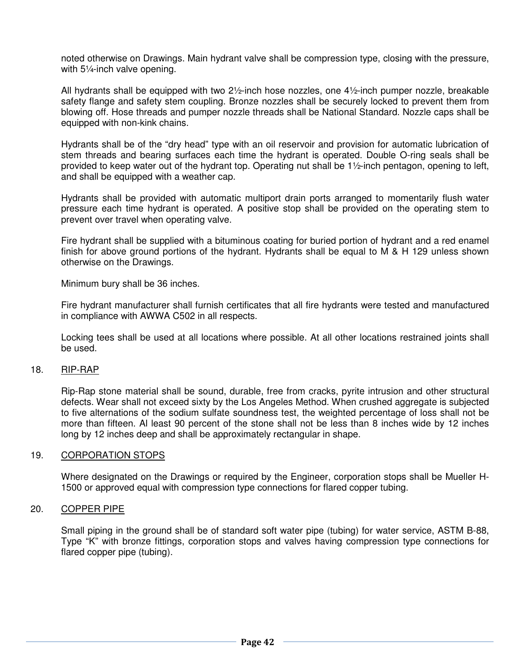noted otherwise on Drawings. Main hydrant valve shall be compression type, closing with the pressure, with 5¼-inch valve opening.

All hydrants shall be equipped with two  $2\frac{1}{2}$ -inch hose nozzles, one  $4\frac{1}{2}$ -inch pumper nozzle, breakable safety flange and safety stem coupling. Bronze nozzles shall be securely locked to prevent them from blowing off. Hose threads and pumper nozzle threads shall be National Standard. Nozzle caps shall be equipped with non-kink chains.

 Hydrants shall be of the "dry head" type with an oil reservoir and provision for automatic lubrication of stem threads and bearing surfaces each time the hydrant is operated. Double O-ring seals shall be provided to keep water out of the hydrant top. Operating nut shall be 1½-inch pentagon, opening to left, and shall be equipped with a weather cap.

 Hydrants shall be provided with automatic multiport drain ports arranged to momentarily flush water pressure each time hydrant is operated. A positive stop shall be provided on the operating stem to prevent over travel when operating valve.

 Fire hydrant shall be supplied with a bituminous coating for buried portion of hydrant and a red enamel finish for above ground portions of the hydrant. Hydrants shall be equal to M & H 129 unless shown otherwise on the Drawings.

Minimum bury shall be 36 inches.

 Fire hydrant manufacturer shall furnish certificates that all fire hydrants were tested and manufactured in compliance with AWWA C502 in all respects.

 Locking tees shall be used at all locations where possible. At all other locations restrained joints shall be used.

#### 18. RIP-RAP

 Rip-Rap stone material shall be sound, durable, free from cracks, pyrite intrusion and other structural defects. Wear shall not exceed sixty by the Los Angeles Method. When crushed aggregate is subjected to five alternations of the sodium sulfate soundness test, the weighted percentage of loss shall not be more than fifteen. Al least 90 percent of the stone shall not be less than 8 inches wide by 12 inches long by 12 inches deep and shall be approximately rectangular in shape.

#### 19. CORPORATION STOPS

 Where designated on the Drawings or required by the Engineer, corporation stops shall be Mueller H-1500 or approved equal with compression type connections for flared copper tubing.

#### 20. COPPER PIPE

 Small piping in the ground shall be of standard soft water pipe (tubing) for water service, ASTM B-88, Type "K" with bronze fittings, corporation stops and valves having compression type connections for flared copper pipe (tubing).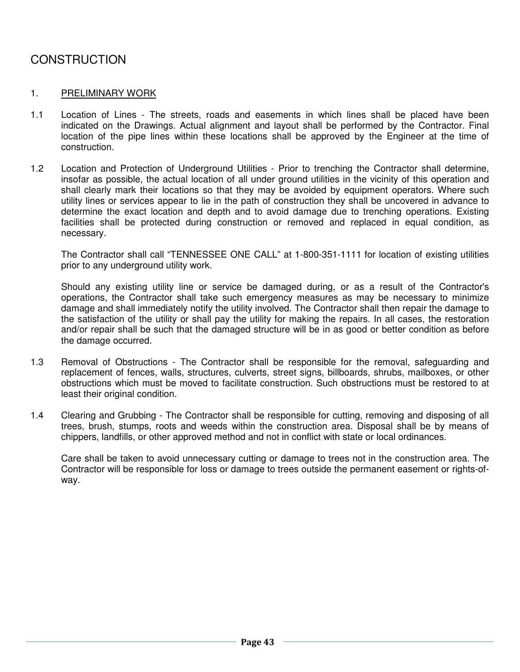# **CONSTRUCTION**

#### 1. PRELIMINARY WORK

- 1.1 Location of Lines The streets, roads and easements in which lines shall be placed have been indicated on the Drawings. Actual alignment and layout shall be performed by the Contractor. Final location of the pipe lines within these locations shall be approved by the Engineer at the time of construction.
- 1.2 Location and Protection of Underground Utilities Prior to trenching the Contractor shall determine, insofar as possible, the actual location of all under ground utilities in the vicinity of this operation and shall clearly mark their locations so that they may be avoided by equipment operators. Where such utility lines or services appear to lie in the path of construction they shall be uncovered in advance to determine the exact location and depth and to avoid damage due to trenching operations. Existing facilities shall be protected during construction or removed and replaced in equal condition, as necessary.

 The Contractor shall call "TENNESSEE ONE CALL" at 1-800-351-1111 for location of existing utilities prior to any underground utility work.

 Should any existing utility line or service be damaged during, or as a result of the Contractor's operations, the Contractor shall take such emergency measures as may be necessary to minimize damage and shall immediately notify the utility involved. The Contractor shall then repair the damage to the satisfaction of the utility or shall pay the utility for making the repairs. In all cases, the restoration and/or repair shall be such that the damaged structure will be in as good or better condition as before the damage occurred.

- 1.3 Removal of Obstructions The Contractor shall be responsible for the removal, safeguarding and replacement of fences, walls, structures, culverts, street signs, billboards, shrubs, mailboxes, or other obstructions which must be moved to facilitate construction. Such obstructions must be restored to at least their original condition.
- 1.4 Clearing and Grubbing The Contractor shall be responsible for cutting, removing and disposing of all trees, brush, stumps, roots and weeds within the construction area. Disposal shall be by means of chippers, landfills, or other approved method and not in conflict with state or local ordinances.

Care shall be taken to avoid unnecessary cutting or damage to trees not in the construction area. The Contractor will be responsible for loss or damage to trees outside the permanent easement or rights-ofway.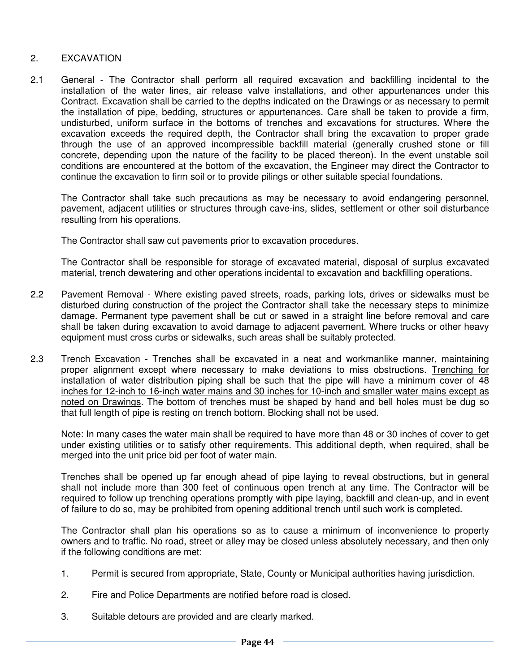#### 2. EXCAVATION

2.1 General - The Contractor shall perform all required excavation and backfilling incidental to the installation of the water lines, air release valve installations, and other appurtenances under this Contract. Excavation shall be carried to the depths indicated on the Drawings or as necessary to permit the installation of pipe, bedding, structures or appurtenances. Care shall be taken to provide a firm, undisturbed, uniform surface in the bottoms of trenches and excavations for structures. Where the excavation exceeds the required depth, the Contractor shall bring the excavation to proper grade through the use of an approved incompressible backfill material (generally crushed stone or fill concrete, depending upon the nature of the facility to be placed thereon). In the event unstable soil conditions are encountered at the bottom of the excavation, the Engineer may direct the Contractor to continue the excavation to firm soil or to provide pilings or other suitable special foundations.

 The Contractor shall take such precautions as may be necessary to avoid endangering personnel, pavement, adjacent utilities or structures through cave-ins, slides, settlement or other soil disturbance resulting from his operations.

The Contractor shall saw cut pavements prior to excavation procedures.

 The Contractor shall be responsible for storage of excavated material, disposal of surplus excavated material, trench dewatering and other operations incidental to excavation and backfilling operations.

- 2.2 Pavement Removal Where existing paved streets, roads, parking lots, drives or sidewalks must be disturbed during construction of the project the Contractor shall take the necessary steps to minimize damage. Permanent type pavement shall be cut or sawed in a straight line before removal and care shall be taken during excavation to avoid damage to adjacent pavement. Where trucks or other heavy equipment must cross curbs or sidewalks, such areas shall be suitably protected.
- 2.3 Trench Excavation Trenches shall be excavated in a neat and workmanlike manner, maintaining proper alignment except where necessary to make deviations to miss obstructions. Trenching for installation of water distribution piping shall be such that the pipe will have a minimum cover of 48 inches for 12-inch to 16-inch water mains and 30 inches for 10-inch and smaller water mains except as noted on Drawings. The bottom of trenches must be shaped by hand and bell holes must be dug so that full length of pipe is resting on trench bottom. Blocking shall not be used.

 Note: In many cases the water main shall be required to have more than 48 or 30 inches of cover to get under existing utilities or to satisfy other requirements. This additional depth, when required, shall be merged into the unit price bid per foot of water main.

 Trenches shall be opened up far enough ahead of pipe laying to reveal obstructions, but in general shall not include more than 300 feet of continuous open trench at any time. The Contractor will be required to follow up trenching operations promptly with pipe laying, backfill and clean-up, and in event of failure to do so, may be prohibited from opening additional trench until such work is completed.

 The Contractor shall plan his operations so as to cause a minimum of inconvenience to property owners and to traffic. No road, street or alley may be closed unless absolutely necessary, and then only if the following conditions are met:

- 1. Permit is secured from appropriate, State, County or Municipal authorities having jurisdiction.
- 2. Fire and Police Departments are notified before road is closed.
- 3. Suitable detours are provided and are clearly marked.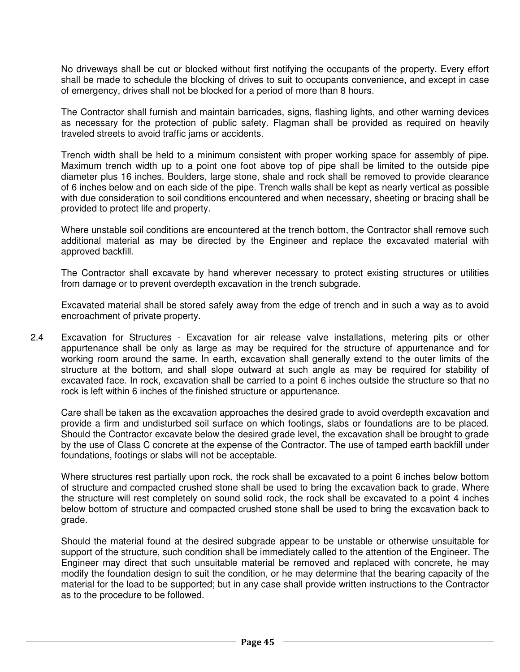No driveways shall be cut or blocked without first notifying the occupants of the property. Every effort shall be made to schedule the blocking of drives to suit to occupants convenience, and except in case of emergency, drives shall not be blocked for a period of more than 8 hours.

 The Contractor shall furnish and maintain barricades, signs, flashing lights, and other warning devices as necessary for the protection of public safety. Flagman shall be provided as required on heavily traveled streets to avoid traffic jams or accidents.

 Trench width shall be held to a minimum consistent with proper working space for assembly of pipe. Maximum trench width up to a point one foot above top of pipe shall be limited to the outside pipe diameter plus 16 inches. Boulders, large stone, shale and rock shall be removed to provide clearance of 6 inches below and on each side of the pipe. Trench walls shall be kept as nearly vertical as possible with due consideration to soil conditions encountered and when necessary, sheeting or bracing shall be provided to protect life and property.

 Where unstable soil conditions are encountered at the trench bottom, the Contractor shall remove such additional material as may be directed by the Engineer and replace the excavated material with approved backfill.

 The Contractor shall excavate by hand wherever necessary to protect existing structures or utilities from damage or to prevent overdepth excavation in the trench subgrade.

 Excavated material shall be stored safely away from the edge of trench and in such a way as to avoid encroachment of private property.

2.4 Excavation for Structures - Excavation for air release valve installations, metering pits or other appurtenance shall be only as large as may be required for the structure of appurtenance and for working room around the same. In earth, excavation shall generally extend to the outer limits of the structure at the bottom, and shall slope outward at such angle as may be required for stability of excavated face. In rock, excavation shall be carried to a point 6 inches outside the structure so that no rock is left within 6 inches of the finished structure or appurtenance.

 Care shall be taken as the excavation approaches the desired grade to avoid overdepth excavation and provide a firm and undisturbed soil surface on which footings, slabs or foundations are to be placed. Should the Contractor excavate below the desired grade level, the excavation shall be brought to grade by the use of Class C concrete at the expense of the Contractor. The use of tamped earth backfill under foundations, footings or slabs will not be acceptable.

 Where structures rest partially upon rock, the rock shall be excavated to a point 6 inches below bottom of structure and compacted crushed stone shall be used to bring the excavation back to grade. Where the structure will rest completely on sound solid rock, the rock shall be excavated to a point 4 inches below bottom of structure and compacted crushed stone shall be used to bring the excavation back to grade.

 Should the material found at the desired subgrade appear to be unstable or otherwise unsuitable for support of the structure, such condition shall be immediately called to the attention of the Engineer. The Engineer may direct that such unsuitable material be removed and replaced with concrete, he may modify the foundation design to suit the condition, or he may determine that the bearing capacity of the material for the load to be supported; but in any case shall provide written instructions to the Contractor as to the procedure to be followed.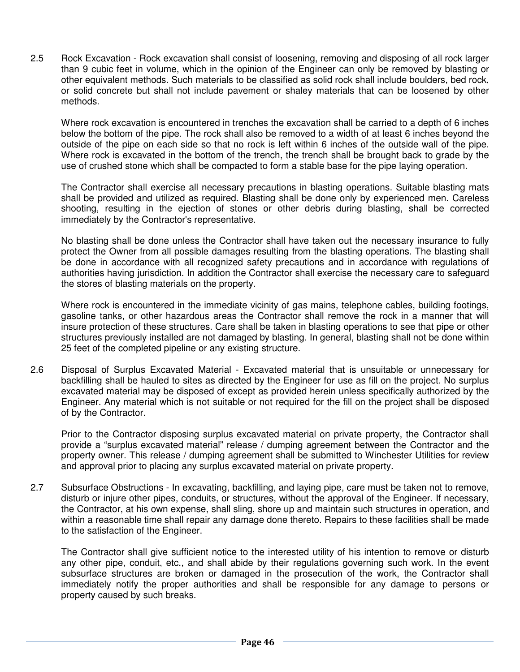2.5 Rock Excavation - Rock excavation shall consist of loosening, removing and disposing of all rock larger than 9 cubic feet in volume, which in the opinion of the Engineer can only be removed by blasting or other equivalent methods. Such materials to be classified as solid rock shall include boulders, bed rock, or solid concrete but shall not include pavement or shaley materials that can be loosened by other methods.

 Where rock excavation is encountered in trenches the excavation shall be carried to a depth of 6 inches below the bottom of the pipe. The rock shall also be removed to a width of at least 6 inches beyond the outside of the pipe on each side so that no rock is left within 6 inches of the outside wall of the pipe. Where rock is excavated in the bottom of the trench, the trench shall be brought back to grade by the use of crushed stone which shall be compacted to form a stable base for the pipe laying operation.

 The Contractor shall exercise all necessary precautions in blasting operations. Suitable blasting mats shall be provided and utilized as required. Blasting shall be done only by experienced men. Careless shooting, resulting in the ejection of stones or other debris during blasting, shall be corrected immediately by the Contractor's representative.

 No blasting shall be done unless the Contractor shall have taken out the necessary insurance to fully protect the Owner from all possible damages resulting from the blasting operations. The blasting shall be done in accordance with all recognized safety precautions and in accordance with regulations of authorities having jurisdiction. In addition the Contractor shall exercise the necessary care to safeguard the stores of blasting materials on the property.

 Where rock is encountered in the immediate vicinity of gas mains, telephone cables, building footings, gasoline tanks, or other hazardous areas the Contractor shall remove the rock in a manner that will insure protection of these structures. Care shall be taken in blasting operations to see that pipe or other structures previously installed are not damaged by blasting. In general, blasting shall not be done within 25 feet of the completed pipeline or any existing structure.

2.6 Disposal of Surplus Excavated Material - Excavated material that is unsuitable or unnecessary for backfilling shall be hauled to sites as directed by the Engineer for use as fill on the project. No surplus excavated material may be disposed of except as provided herein unless specifically authorized by the Engineer. Any material which is not suitable or not required for the fill on the project shall be disposed of by the Contractor.

 Prior to the Contractor disposing surplus excavated material on private property, the Contractor shall provide a "surplus excavated material" release / dumping agreement between the Contractor and the property owner. This release / dumping agreement shall be submitted to Winchester Utilities for review and approval prior to placing any surplus excavated material on private property.

2.7 Subsurface Obstructions - In excavating, backfilling, and laying pipe, care must be taken not to remove, disturb or injure other pipes, conduits, or structures, without the approval of the Engineer. If necessary, the Contractor, at his own expense, shall sling, shore up and maintain such structures in operation, and within a reasonable time shall repair any damage done thereto. Repairs to these facilities shall be made to the satisfaction of the Engineer.

 The Contractor shall give sufficient notice to the interested utility of his intention to remove or disturb any other pipe, conduit, etc., and shall abide by their regulations governing such work. In the event subsurface structures are broken or damaged in the prosecution of the work, the Contractor shall immediately notify the proper authorities and shall be responsible for any damage to persons or property caused by such breaks.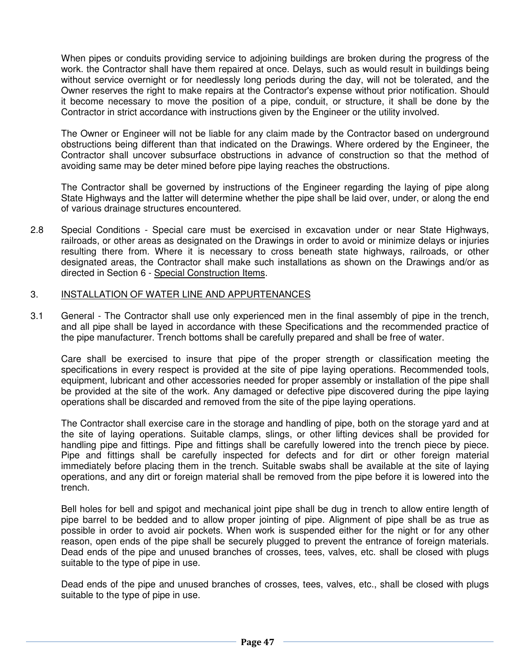When pipes or conduits providing service to adjoining buildings are broken during the progress of the work. the Contractor shall have them repaired at once. Delays, such as would result in buildings being without service overnight or for needlessly long periods during the day, will not be tolerated, and the Owner reserves the right to make repairs at the Contractor's expense without prior notification. Should it become necessary to move the position of a pipe, conduit, or structure, it shall be done by the Contractor in strict accordance with instructions given by the Engineer or the utility involved.

 The Owner or Engineer will not be liable for any claim made by the Contractor based on underground obstructions being different than that indicated on the Drawings. Where ordered by the Engineer, the Contractor shall uncover subsurface obstructions in advance of construction so that the method of avoiding same may be deter mined before pipe laying reaches the obstructions.

 The Contractor shall be governed by instructions of the Engineer regarding the laying of pipe along State Highways and the latter will determine whether the pipe shall be laid over, under, or along the end of various drainage structures encountered.

2.8 Special Conditions - Special care must be exercised in excavation under or near State Highways, railroads, or other areas as designated on the Drawings in order to avoid or minimize delays or injuries resulting there from. Where it is necessary to cross beneath state highways, railroads, or other designated areas, the Contractor shall make such installations as shown on the Drawings and/or as directed in Section 6 - Special Construction Items.

#### 3. INSTALLATION OF WATER LINE AND APPURTENANCES

3.1 General - The Contractor shall use only experienced men in the final assembly of pipe in the trench, and all pipe shall be layed in accordance with these Specifications and the recommended practice of the pipe manufacturer. Trench bottoms shall be carefully prepared and shall be free of water.

 Care shall be exercised to insure that pipe of the proper strength or classification meeting the specifications in every respect is provided at the site of pipe laying operations. Recommended tools, equipment, lubricant and other accessories needed for proper assembly or installation of the pipe shall be provided at the site of the work. Any damaged or defective pipe discovered during the pipe laying operations shall be discarded and removed from the site of the pipe laying operations.

 The Contractor shall exercise care in the storage and handling of pipe, both on the storage yard and at the site of laying operations. Suitable clamps, slings, or other lifting devices shall be provided for handling pipe and fittings. Pipe and fittings shall be carefully lowered into the trench piece by piece. Pipe and fittings shall be carefully inspected for defects and for dirt or other foreign material immediately before placing them in the trench. Suitable swabs shall be available at the site of laying operations, and any dirt or foreign material shall be removed from the pipe before it is lowered into the trench.

 Bell holes for bell and spigot and mechanical joint pipe shall be dug in trench to allow entire length of pipe barrel to be bedded and to allow proper jointing of pipe. Alignment of pipe shall be as true as possible in order to avoid air pockets. When work is suspended either for the night or for any other reason, open ends of the pipe shall be securely plugged to prevent the entrance of foreign materials. Dead ends of the pipe and unused branches of crosses, tees, valves, etc. shall be closed with plugs suitable to the type of pipe in use.

 Dead ends of the pipe and unused branches of crosses, tees, valves, etc., shall be closed with plugs suitable to the type of pipe in use.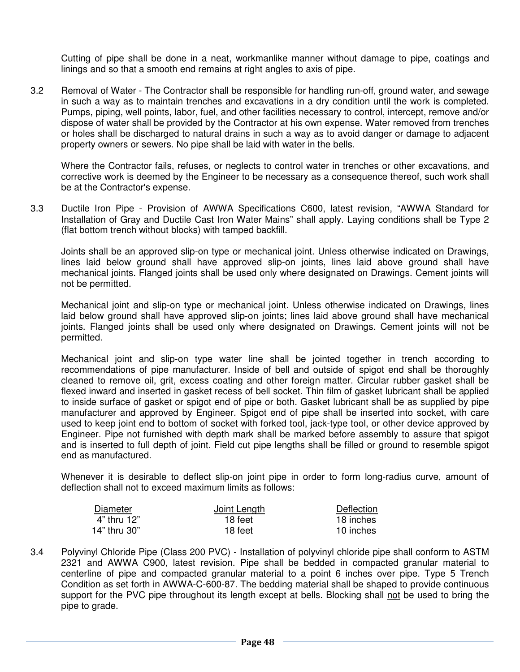Cutting of pipe shall be done in a neat, workmanlike manner without damage to pipe, coatings and linings and so that a smooth end remains at right angles to axis of pipe.

3.2 Removal of Water - The Contractor shall be responsible for handling run-off, ground water, and sewage in such a way as to maintain trenches and excavations in a dry condition until the work is completed. Pumps, piping, well points, labor, fuel, and other facilities necessary to control, intercept, remove and/or dispose of water shall be provided by the Contractor at his own expense. Water removed from trenches or holes shall be discharged to natural drains in such a way as to avoid danger or damage to adjacent property owners or sewers. No pipe shall be laid with water in the bells.

 Where the Contractor fails, refuses, or neglects to control water in trenches or other excavations, and corrective work is deemed by the Engineer to be necessary as a consequence thereof, such work shall be at the Contractor's expense.

3.3 Ductile Iron Pipe - Provision of AWWA Specifications C600, latest revision, "AWWA Standard for Installation of Gray and Ductile Cast Iron Water Mains" shall apply. Laying conditions shall be Type 2 (flat bottom trench without blocks) with tamped backfill.

 Joints shall be an approved slip-on type or mechanical joint. Unless otherwise indicated on Drawings, lines laid below ground shall have approved slip-on joints, lines laid above ground shall have mechanical joints. Flanged joints shall be used only where designated on Drawings. Cement joints will not be permitted.

 Mechanical joint and slip-on type or mechanical joint. Unless otherwise indicated on Drawings, lines laid below ground shall have approved slip-on joints; lines laid above ground shall have mechanical joints. Flanged joints shall be used only where designated on Drawings. Cement joints will not be permitted.

 Mechanical joint and slip-on type water line shall be jointed together in trench according to recommendations of pipe manufacturer. Inside of bell and outside of spigot end shall be thoroughly cleaned to remove oil, grit, excess coating and other foreign matter. Circular rubber gasket shall be flexed inward and inserted in gasket recess of bell socket. Thin film of gasket lubricant shall be applied to inside surface of gasket or spigot end of pipe or both. Gasket lubricant shall be as supplied by pipe manufacturer and approved by Engineer. Spigot end of pipe shall be inserted into socket, with care used to keep joint end to bottom of socket with forked tool, jack-type tool, or other device approved by Engineer. Pipe not furnished with depth mark shall be marked before assembly to assure that spigot and is inserted to full depth of joint. Field cut pipe lengths shall be filled or ground to resemble spigot end as manufactured.

Whenever it is desirable to deflect slip-on joint pipe in order to form long-radius curve, amount of deflection shall not to exceed maximum limits as follows:

| Diameter     | Joint Length | Deflection |
|--------------|--------------|------------|
| 4" thru 12"  | 18 feet      | 18 inches  |
| 14" thru 30" | 18 feet      | 10 inches  |

3.4 Polyvinyl Chloride Pipe (Class 200 PVC) - Installation of polyvinyl chloride pipe shall conform to ASTM 2321 and AWWA C900, latest revision. Pipe shall be bedded in compacted granular material to centerline of pipe and compacted granular material to a point 6 inches over pipe. Type 5 Trench Condition as set forth in AWWA-C-600-87. The bedding material shall be shaped to provide continuous support for the PVC pipe throughout its length except at bells. Blocking shall not be used to bring the pipe to grade.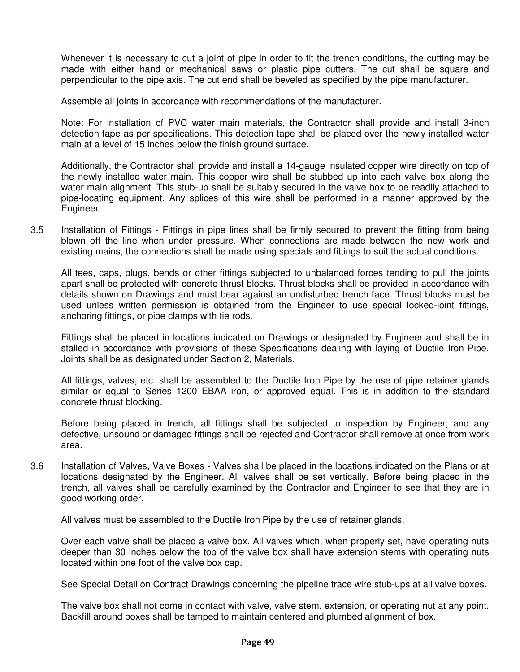Whenever it is necessary to cut a joint of pipe in order to fit the trench conditions, the cutting may be made with either hand or mechanical saws or plastic pipe cutters. The cut shall be square and perpendicular to the pipe axis. The cut end shall be beveled as specified by the pipe manufacturer.

Assemble all joints in accordance with recommendations of the manufacturer.

 Note: For installation of PVC water main materials, the Contractor shall provide and install 3-inch detection tape as per specifications. This detection tape shall be placed over the newly installed water main at a level of 15 inches below the finish ground surface.

 Additionally, the Contractor shall provide and install a 14-gauge insulated copper wire directly on top of the newly installed water main. This copper wire shall be stubbed up into each valve box along the water main alignment. This stub-up shall be suitably secured in the valve box to be readily attached to pipe-locating equipment. Any splices of this wire shall be performed in a manner approved by the Engineer.

3.5 Installation of Fittings - Fittings in pipe lines shall be firmly secured to prevent the fitting from being blown off the line when under pressure. When connections are made between the new work and existing mains, the connections shall be made using specials and fittings to suit the actual conditions.

 All tees, caps, plugs, bends or other fittings subjected to unbalanced forces tending to pull the joints apart shall be protected with concrete thrust blocks. Thrust blocks shall be provided in accordance with details shown on Drawings and must bear against an undisturbed trench face. Thrust blocks must be used unless written permission is obtained from the Engineer to use special locked-joint fittings, anchoring fittings, or pipe clamps with tie rods.

 Fittings shall be placed in locations indicated on Drawings or designated by Engineer and shall be in stalled in accordance with provisions of these Specifications dealing with laying of Ductile Iron Pipe. Joints shall be as designated under Section 2, Materials.

 All fittings, valves, etc. shall be assembled to the Ductile Iron Pipe by the use of pipe retainer glands similar or equal to Series 1200 EBAA iron, or approved equal. This is in addition to the standard concrete thrust blocking.

 Before being placed in trench, all fittings shall be subjected to inspection by Engineer; and any defective, unsound or damaged fittings shall be rejected and Contractor shall remove at once from work area.

3.6 Installation of Valves, Valve Boxes - Valves shall be placed in the locations indicated on the Plans or at locations designated by the Engineer. All valves shall be set vertically. Before being placed in the trench, all valves shall be carefully examined by the Contractor and Engineer to see that they are in good working order.

All valves must be assembled to the Ductile Iron Pipe by the use of retainer glands.

 Over each valve shall be placed a valve box. All valves which, when properly set, have operating nuts deeper than 30 inches below the top of the valve box shall have extension stems with operating nuts located within one foot of the valve box cap.

See Special Detail on Contract Drawings concerning the pipeline trace wire stub-ups at all valve boxes.

 The valve box shall not come in contact with valve, valve stem, extension, or operating nut at any point. Backfill around boxes shall be tamped to maintain centered and plumbed alignment of box.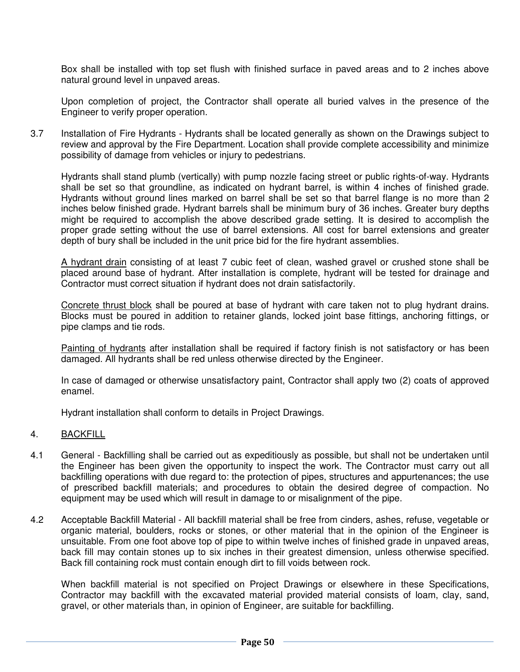Box shall be installed with top set flush with finished surface in paved areas and to 2 inches above natural ground level in unpaved areas.

 Upon completion of project, the Contractor shall operate all buried valves in the presence of the Engineer to verify proper operation.

3.7 Installation of Fire Hydrants - Hydrants shall be located generally as shown on the Drawings subject to review and approval by the Fire Department. Location shall provide complete accessibility and minimize possibility of damage from vehicles or injury to pedestrians.

Hydrants shall stand plumb (vertically) with pump nozzle facing street or public rights-of-way. Hydrants shall be set so that groundline, as indicated on hydrant barrel, is within 4 inches of finished grade. Hydrants without ground lines marked on barrel shall be set so that barrel flange is no more than 2 inches below finished grade. Hydrant barrels shall be minimum bury of 36 inches. Greater bury depths might be required to accomplish the above described grade setting. It is desired to accomplish the proper grade setting without the use of barrel extensions. All cost for barrel extensions and greater depth of bury shall be included in the unit price bid for the fire hydrant assemblies.

 A hydrant drain consisting of at least 7 cubic feet of clean, washed gravel or crushed stone shall be placed around base of hydrant. After installation is complete, hydrant will be tested for drainage and Contractor must correct situation if hydrant does not drain satisfactorily.

 Concrete thrust block shall be poured at base of hydrant with care taken not to plug hydrant drains. Blocks must be poured in addition to retainer glands, locked joint base fittings, anchoring fittings, or pipe clamps and tie rods.

 Painting of hydrants after installation shall be required if factory finish is not satisfactory or has been damaged. All hydrants shall be red unless otherwise directed by the Engineer.

 In case of damaged or otherwise unsatisfactory paint, Contractor shall apply two (2) coats of approved enamel.

Hydrant installation shall conform to details in Project Drawings.

#### 4. BACKFILL

- 4.1 General Backfilling shall be carried out as expeditiously as possible, but shall not be undertaken until the Engineer has been given the opportunity to inspect the work. The Contractor must carry out all backfilling operations with due regard to: the protection of pipes, structures and appurtenances; the use of prescribed backfill materials; and procedures to obtain the desired degree of compaction. No equipment may be used which will result in damage to or misalignment of the pipe.
- 4.2 Acceptable Backfill Material All backfill material shall be free from cinders, ashes, refuse, vegetable or organic material, boulders, rocks or stones, or other material that in the opinion of the Engineer is unsuitable. From one foot above top of pipe to within twelve inches of finished grade in unpaved areas, back fill may contain stones up to six inches in their greatest dimension, unless otherwise specified. Back fill containing rock must contain enough dirt to fill voids between rock.

When backfill material is not specified on Project Drawings or elsewhere in these Specifications, Contractor may backfill with the excavated material provided material consists of loam, clay, sand, gravel, or other materials than, in opinion of Engineer, are suitable for backfilling.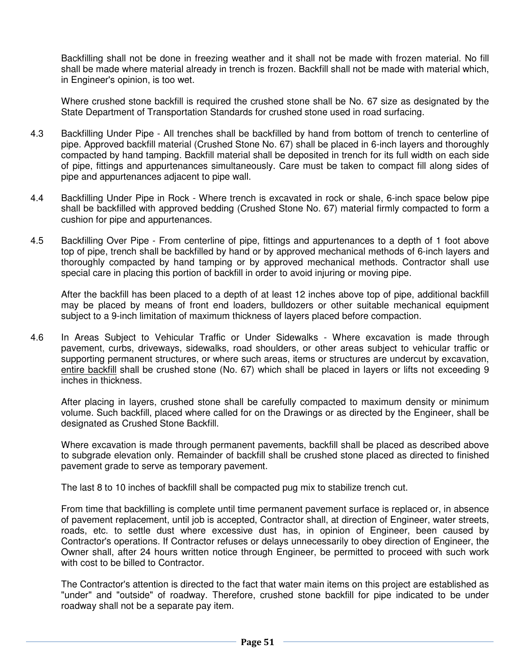Backfilling shall not be done in freezing weather and it shall not be made with frozen material. No fill shall be made where material already in trench is frozen. Backfill shall not be made with material which, in Engineer's opinion, is too wet.

 Where crushed stone backfill is required the crushed stone shall be No. 67 size as designated by the State Department of Transportation Standards for crushed stone used in road surfacing.

- 4.3 Backfilling Under Pipe All trenches shall be backfilled by hand from bottom of trench to centerline of pipe. Approved backfill material (Crushed Stone No. 67) shall be placed in 6-inch layers and thoroughly compacted by hand tamping. Backfill material shall be deposited in trench for its full width on each side of pipe, fittings and appurtenances simultaneously. Care must be taken to compact fill along sides of pipe and appurtenances adjacent to pipe wall.
- 4.4 Backfilling Under Pipe in Rock Where trench is excavated in rock or shale, 6-inch space below pipe shall be backfilled with approved bedding (Crushed Stone No. 67) material firmly compacted to form a cushion for pipe and appurtenances.
- 4.5 Backfilling Over Pipe From centerline of pipe, fittings and appurtenances to a depth of 1 foot above top of pipe, trench shall be backfilled by hand or by approved mechanical methods of 6-inch layers and thoroughly compacted by hand tamping or by approved mechanical methods. Contractor shall use special care in placing this portion of backfill in order to avoid injuring or moving pipe.

 After the backfill has been placed to a depth of at least 12 inches above top of pipe, additional backfill may be placed by means of front end loaders, bulldozers or other suitable mechanical equipment subject to a 9-inch limitation of maximum thickness of layers placed before compaction.

4.6 In Areas Subject to Vehicular Traffic or Under Sidewalks - Where excavation is made through pavement, curbs, driveways, sidewalks, road shoulders, or other areas subject to vehicular traffic or supporting permanent structures, or where such areas, items or structures are undercut by excavation, entire backfill shall be crushed stone (No. 67) which shall be placed in layers or lifts not exceeding 9 inches in thickness.

After placing in layers, crushed stone shall be carefully compacted to maximum density or minimum volume. Such backfill, placed where called for on the Drawings or as directed by the Engineer, shall be designated as Crushed Stone Backfill.

 Where excavation is made through permanent pavements, backfill shall be placed as described above to subgrade elevation only. Remainder of backfill shall be crushed stone placed as directed to finished pavement grade to serve as temporary pavement.

The last 8 to 10 inches of backfill shall be compacted pug mix to stabilize trench cut.

 From time that backfilling is complete until time permanent pavement surface is replaced or, in absence of pavement replacement, until job is accepted, Contractor shall, at direction of Engineer, water streets, roads, etc. to settle dust where excessive dust has, in opinion of Engineer, been caused by Contractor's operations. If Contractor refuses or delays unnecessarily to obey direction of Engineer, the Owner shall, after 24 hours written notice through Engineer, be permitted to proceed with such work with cost to be billed to Contractor.

 The Contractor's attention is directed to the fact that water main items on this project are established as "under" and "outside" of roadway. Therefore, crushed stone backfill for pipe indicated to be under roadway shall not be a separate pay item.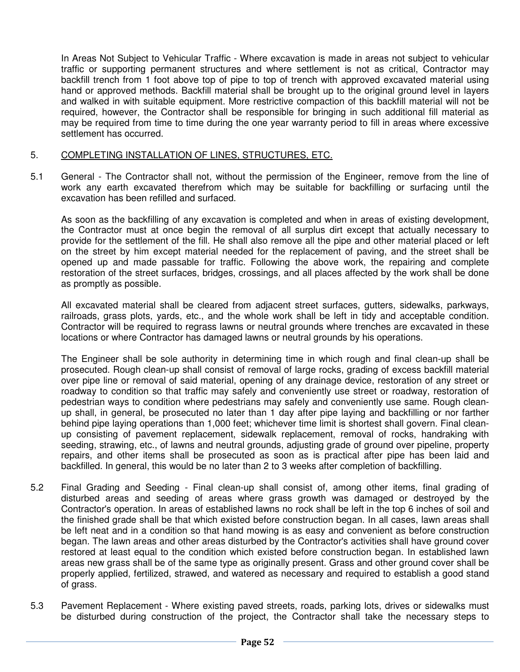In Areas Not Subject to Vehicular Traffic - Where excavation is made in areas not subject to vehicular traffic or supporting permanent structures and where settlement is not as critical, Contractor may backfill trench from 1 foot above top of pipe to top of trench with approved excavated material using hand or approved methods. Backfill material shall be brought up to the original ground level in layers and walked in with suitable equipment. More restrictive compaction of this backfill material will not be required, however, the Contractor shall be responsible for bringing in such additional fill material as may be required from time to time during the one year warranty period to fill in areas where excessive settlement has occurred.

#### 5. COMPLETING INSTALLATION OF LINES, STRUCTURES, ETC.

5.1 General - The Contractor shall not, without the permission of the Engineer, remove from the line of work any earth excavated therefrom which may be suitable for backfilling or surfacing until the excavation has been refilled and surfaced.

As soon as the backfilling of any excavation is completed and when in areas of existing development, the Contractor must at once begin the removal of all surplus dirt except that actually necessary to provide for the settlement of the fill. He shall also remove all the pipe and other material placed or left on the street by him except material needed for the replacement of paving, and the street shall be opened up and made passable for traffic. Following the above work, the repairing and complete restoration of the street surfaces, bridges, crossings, and all places affected by the work shall be done as promptly as possible.

 All excavated material shall be cleared from adjacent street surfaces, gutters, sidewalks, parkways, railroads, grass plots, yards, etc., and the whole work shall be left in tidy and acceptable condition. Contractor will be required to regrass lawns or neutral grounds where trenches are excavated in these locations or where Contractor has damaged lawns or neutral grounds by his operations.

 The Engineer shall be sole authority in determining time in which rough and final clean-up shall be prosecuted. Rough clean-up shall consist of removal of large rocks, grading of excess backfill material over pipe line or removal of said material, opening of any drainage device, restoration of any street or roadway to condition so that traffic may safely and conveniently use street or roadway, restoration of pedestrian ways to condition where pedestrians may safely and conveniently use same. Rough cleanup shall, in general, be prosecuted no later than 1 day after pipe laying and backfilling or nor farther behind pipe laying operations than 1,000 feet; whichever time limit is shortest shall govern. Final cleanup consisting of pavement replacement, sidewalk replacement, removal of rocks, handraking with seeding, strawing, etc., of lawns and neutral grounds, adjusting grade of ground over pipeline, property repairs, and other items shall be prosecuted as soon as is practical after pipe has been laid and backfilled. In general, this would be no later than 2 to 3 weeks after completion of backfilling.

- 5.2 Final Grading and Seeding Final clean-up shall consist of, among other items, final grading of disturbed areas and seeding of areas where grass growth was damaged or destroyed by the Contractor's operation. In areas of established lawns no rock shall be left in the top 6 inches of soil and the finished grade shall be that which existed before construction began. In all cases, lawn areas shall be left neat and in a condition so that hand mowing is as easy and convenient as before construction began. The lawn areas and other areas disturbed by the Contractor's activities shall have ground cover restored at least equal to the condition which existed before construction began. In established lawn areas new grass shall be of the same type as originally present. Grass and other ground cover shall be properly applied, fertilized, strawed, and watered as necessary and required to establish a good stand of grass.
- 5.3 Pavement Replacement Where existing paved streets, roads, parking lots, drives or sidewalks must be disturbed during construction of the project, the Contractor shall take the necessary steps to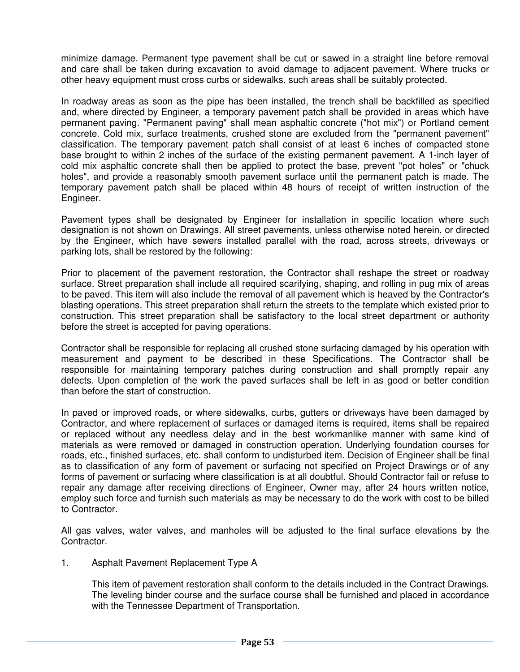minimize damage. Permanent type pavement shall be cut or sawed in a straight line before removal and care shall be taken during excavation to avoid damage to adjacent pavement. Where trucks or other heavy equipment must cross curbs or sidewalks, such areas shall be suitably protected.

 In roadway areas as soon as the pipe has been installed, the trench shall be backfilled as specified and, where directed by Engineer, a temporary pavement patch shall be provided in areas which have permanent paving. "Permanent paving" shall mean asphaltic concrete ("hot mix") or Portland cement concrete. Cold mix, surface treatments, crushed stone are excluded from the "permanent pavement" classification. The temporary pavement patch shall consist of at least 6 inches of compacted stone base brought to within 2 inches of the surface of the existing permanent pavement. A 1-inch layer of cold mix asphaltic concrete shall then be applied to protect the base, prevent "pot holes" or "chuck holes", and provide a reasonably smooth pavement surface until the permanent patch is made. The temporary pavement patch shall be placed within 48 hours of receipt of written instruction of the Engineer.

Pavement types shall be designated by Engineer for installation in specific location where such designation is not shown on Drawings. All street pavements, unless otherwise noted herein, or directed by the Engineer, which have sewers installed parallel with the road, across streets, driveways or parking lots, shall be restored by the following:

 Prior to placement of the pavement restoration, the Contractor shall reshape the street or roadway surface. Street preparation shall include all required scarifying, shaping, and rolling in pug mix of areas to be paved. This item will also include the removal of all pavement which is heaved by the Contractor's blasting operations. This street preparation shall return the streets to the template which existed prior to construction. This street preparation shall be satisfactory to the local street department or authority before the street is accepted for paving operations.

 Contractor shall be responsible for replacing all crushed stone surfacing damaged by his operation with measurement and payment to be described in these Specifications. The Contractor shall be responsible for maintaining temporary patches during construction and shall promptly repair any defects. Upon completion of the work the paved surfaces shall be left in as good or better condition than before the start of construction.

In paved or improved roads, or where sidewalks, curbs, gutters or driveways have been damaged by Contractor, and where replacement of surfaces or damaged items is required, items shall be repaired or replaced without any needless delay and in the best workmanlike manner with same kind of materials as were removed or damaged in construction operation. Underlying foundation courses for roads, etc., finished surfaces, etc. shall conform to undisturbed item. Decision of Engineer shall be final as to classification of any form of pavement or surfacing not specified on Project Drawings or of any forms of pavement or surfacing where classification is at all doubtful. Should Contractor fail or refuse to repair any damage after receiving directions of Engineer, Owner may, after 24 hours written notice, employ such force and furnish such materials as may be necessary to do the work with cost to be billed to Contractor.

 All gas valves, water valves, and manholes will be adjusted to the final surface elevations by the Contractor.

1. Asphalt Pavement Replacement Type A

 This item of pavement restoration shall conform to the details included in the Contract Drawings. The leveling binder course and the surface course shall be furnished and placed in accordance with the Tennessee Department of Transportation.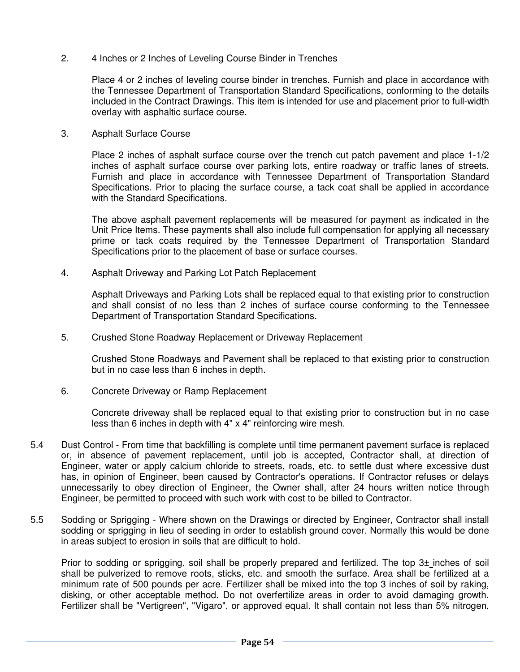2. 4 Inches or 2 Inches of Leveling Course Binder in Trenches

 Place 4 or 2 inches of leveling course binder in trenches. Furnish and place in accordance with the Tennessee Department of Transportation Standard Specifications, conforming to the details included in the Contract Drawings. This item is intended for use and placement prior to full-width overlay with asphaltic surface course.

3. Asphalt Surface Course

 Place 2 inches of asphalt surface course over the trench cut patch pavement and place 1-1/2 inches of asphalt surface course over parking lots, entire roadway or traffic lanes of streets. Furnish and place in accordance with Tennessee Department of Transportation Standard Specifications. Prior to placing the surface course, a tack coat shall be applied in accordance with the Standard Specifications.

The above asphalt pavement replacements will be measured for payment as indicated in the Unit Price Items. These payments shall also include full compensation for applying all necessary prime or tack coats required by the Tennessee Department of Transportation Standard Specifications prior to the placement of base or surface courses.

4. Asphalt Driveway and Parking Lot Patch Replacement

 Asphalt Driveways and Parking Lots shall be replaced equal to that existing prior to construction and shall consist of no less than 2 inches of surface course conforming to the Tennessee Department of Transportation Standard Specifications.

5. Crushed Stone Roadway Replacement or Driveway Replacement

 Crushed Stone Roadways and Pavement shall be replaced to that existing prior to construction but in no case less than 6 inches in depth.

6. Concrete Driveway or Ramp Replacement

 Concrete driveway shall be replaced equal to that existing prior to construction but in no case less than 6 inches in depth with 4" x 4" reinforcing wire mesh.

- 5.4 Dust Control From time that backfilling is complete until time permanent pavement surface is replaced or, in absence of pavement replacement, until job is accepted, Contractor shall, at direction of Engineer, water or apply calcium chloride to streets, roads, etc. to settle dust where excessive dust has, in opinion of Engineer, been caused by Contractor's operations. If Contractor refuses or delays unnecessarily to obey direction of Engineer, the Owner shall, after 24 hours written notice through Engineer, be permitted to proceed with such work with cost to be billed to Contractor.
- 5.5 Sodding or Sprigging Where shown on the Drawings or directed by Engineer, Contractor shall install sodding or sprigging in lieu of seeding in order to establish ground cover. Normally this would be done in areas subject to erosion in soils that are difficult to hold.

 Prior to sodding or sprigging, soil shall be properly prepared and fertilized. The top 3± inches of soil shall be pulverized to remove roots, sticks, etc. and smooth the surface. Area shall be fertilized at a minimum rate of 500 pounds per acre. Fertilizer shall be mixed into the top 3 inches of soil by raking, disking, or other acceptable method. Do not overfertilize areas in order to avoid damaging growth. Fertilizer shall be "Vertigreen", "Vigaro", or approved equal. It shall contain not less than 5% nitrogen,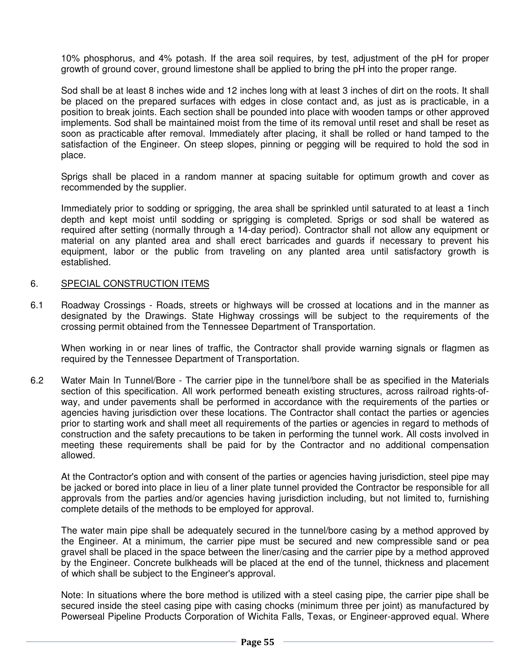10% phosphorus, and 4% potash. If the area soil requires, by test, adjustment of the pH for proper growth of ground cover, ground limestone shall be applied to bring the pH into the proper range.

 Sod shall be at least 8 inches wide and 12 inches long with at least 3 inches of dirt on the roots. It shall be placed on the prepared surfaces with edges in close contact and, as just as is practicable, in a position to break joints. Each section shall be pounded into place with wooden tamps or other approved implements. Sod shall be maintained moist from the time of its removal until reset and shall be reset as soon as practicable after removal. Immediately after placing, it shall be rolled or hand tamped to the satisfaction of the Engineer. On steep slopes, pinning or pegging will be required to hold the sod in place.

 Sprigs shall be placed in a random manner at spacing suitable for optimum growth and cover as recommended by the supplier.

 Immediately prior to sodding or sprigging, the area shall be sprinkled until saturated to at least a 1inch depth and kept moist until sodding or sprigging is completed. Sprigs or sod shall be watered as required after setting (normally through a 14-day period). Contractor shall not allow any equipment or material on any planted area and shall erect barricades and guards if necessary to prevent his equipment, labor or the public from traveling on any planted area until satisfactory growth is established.

#### 6. SPECIAL CONSTRUCTION ITEMS

6.1 Roadway Crossings - Roads, streets or highways will be crossed at locations and in the manner as designated by the Drawings. State Highway crossings will be subject to the requirements of the crossing permit obtained from the Tennessee Department of Transportation.

When working in or near lines of traffic, the Contractor shall provide warning signals or flagmen as required by the Tennessee Department of Transportation.

6.2 Water Main In Tunnel/Bore - The carrier pipe in the tunnel/bore shall be as specified in the Materials section of this specification. All work performed beneath existing structures, across railroad rights-ofway, and under pavements shall be performed in accordance with the requirements of the parties or agencies having jurisdiction over these locations. The Contractor shall contact the parties or agencies prior to starting work and shall meet all requirements of the parties or agencies in regard to methods of construction and the safety precautions to be taken in performing the tunnel work. All costs involved in meeting these requirements shall be paid for by the Contractor and no additional compensation allowed.

 At the Contractor's option and with consent of the parties or agencies having jurisdiction, steel pipe may be jacked or bored into place in lieu of a liner plate tunnel provided the Contractor be responsible for all approvals from the parties and/or agencies having jurisdiction including, but not limited to, furnishing complete details of the methods to be employed for approval.

 The water main pipe shall be adequately secured in the tunnel/bore casing by a method approved by the Engineer. At a minimum, the carrier pipe must be secured and new compressible sand or pea gravel shall be placed in the space between the liner/casing and the carrier pipe by a method approved by the Engineer. Concrete bulkheads will be placed at the end of the tunnel, thickness and placement of which shall be subject to the Engineer's approval.

 Note: In situations where the bore method is utilized with a steel casing pipe, the carrier pipe shall be secured inside the steel casing pipe with casing chocks (minimum three per joint) as manufactured by Powerseal Pipeline Products Corporation of Wichita Falls, Texas, or Engineer-approved equal. Where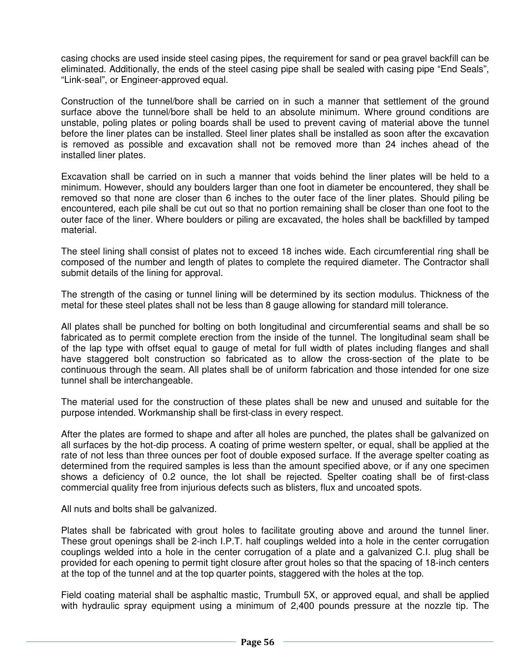casing chocks are used inside steel casing pipes, the requirement for sand or pea gravel backfill can be eliminated. Additionally, the ends of the steel casing pipe shall be sealed with casing pipe "End Seals", "Link-seal", or Engineer-approved equal.

 Construction of the tunnel/bore shall be carried on in such a manner that settlement of the ground surface above the tunnel/bore shall be held to an absolute minimum. Where ground conditions are unstable, poling plates or poling boards shall be used to prevent caving of material above the tunnel before the liner plates can be installed. Steel liner plates shall be installed as soon after the excavation is removed as possible and excavation shall not be removed more than 24 inches ahead of the installed liner plates.

 Excavation shall be carried on in such a manner that voids behind the liner plates will be held to a minimum. However, should any boulders larger than one foot in diameter be encountered, they shall be removed so that none are closer than 6 inches to the outer face of the liner plates. Should piling be encountered, each pile shall be cut out so that no portion remaining shall be closer than one foot to the outer face of the liner. Where boulders or piling are excavated, the holes shall be backfilled by tamped material.

The steel lining shall consist of plates not to exceed 18 inches wide. Each circumferential ring shall be composed of the number and length of plates to complete the required diameter. The Contractor shall submit details of the lining for approval.

 The strength of the casing or tunnel lining will be determined by its section modulus. Thickness of the metal for these steel plates shall not be less than 8 gauge allowing for standard mill tolerance.

 All plates shall be punched for bolting on both longitudinal and circumferential seams and shall be so fabricated as to permit complete erection from the inside of the tunnel. The longitudinal seam shall be of the lap type with offset equal to gauge of metal for full width of plates including flanges and shall have staggered bolt construction so fabricated as to allow the cross-section of the plate to be continuous through the seam. All plates shall be of uniform fabrication and those intended for one size tunnel shall be interchangeable.

 The material used for the construction of these plates shall be new and unused and suitable for the purpose intended. Workmanship shall be first-class in every respect.

 After the plates are formed to shape and after all holes are punched, the plates shall be galvanized on all surfaces by the hot-dip process. A coating of prime western spelter, or equal, shall be applied at the rate of not less than three ounces per foot of double exposed surface. If the average spelter coating as determined from the required samples is less than the amount specified above, or if any one specimen shows a deficiency of 0.2 ounce, the lot shall be rejected. Spelter coating shall be of first-class commercial quality free from injurious defects such as blisters, flux and uncoated spots.

All nuts and bolts shall be galvanized.

 Plates shall be fabricated with grout holes to facilitate grouting above and around the tunnel liner. These grout openings shall be 2-inch I.P.T. half couplings welded into a hole in the center corrugation couplings welded into a hole in the center corrugation of a plate and a galvanized C.I. plug shall be provided for each opening to permit tight closure after grout holes so that the spacing of 18-inch centers at the top of the tunnel and at the top quarter points, staggered with the holes at the top.

 Field coating material shall be asphaltic mastic, Trumbull 5X, or approved equal, and shall be applied with hydraulic spray equipment using a minimum of 2,400 pounds pressure at the nozzle tip. The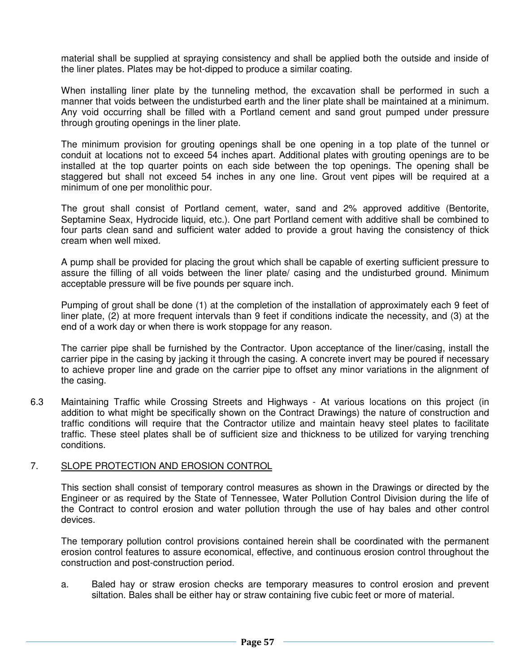material shall be supplied at spraying consistency and shall be applied both the outside and inside of the liner plates. Plates may be hot-dipped to produce a similar coating.

 When installing liner plate by the tunneling method, the excavation shall be performed in such a manner that voids between the undisturbed earth and the liner plate shall be maintained at a minimum. Any void occurring shall be filled with a Portland cement and sand grout pumped under pressure through grouting openings in the liner plate.

 The minimum provision for grouting openings shall be one opening in a top plate of the tunnel or conduit at locations not to exceed 54 inches apart. Additional plates with grouting openings are to be installed at the top quarter points on each side between the top openings. The opening shall be staggered but shall not exceed 54 inches in any one line. Grout vent pipes will be required at a minimum of one per monolithic pour.

 The grout shall consist of Portland cement, water, sand and 2% approved additive (Bentorite, Septamine Seax, Hydrocide liquid, etc.). One part Portland cement with additive shall be combined to four parts clean sand and sufficient water added to provide a grout having the consistency of thick cream when well mixed.

 A pump shall be provided for placing the grout which shall be capable of exerting sufficient pressure to assure the filling of all voids between the liner plate/ casing and the undisturbed ground. Minimum acceptable pressure will be five pounds per square inch.

 Pumping of grout shall be done (1) at the completion of the installation of approximately each 9 feet of liner plate, (2) at more frequent intervals than 9 feet if conditions indicate the necessity, and (3) at the end of a work day or when there is work stoppage for any reason.

 The carrier pipe shall be furnished by the Contractor. Upon acceptance of the liner/casing, install the carrier pipe in the casing by jacking it through the casing. A concrete invert may be poured if necessary to achieve proper line and grade on the carrier pipe to offset any minor variations in the alignment of the casing.

6.3 Maintaining Traffic while Crossing Streets and Highways - At various locations on this project (in addition to what might be specifically shown on the Contract Drawings) the nature of construction and traffic conditions will require that the Contractor utilize and maintain heavy steel plates to facilitate traffic. These steel plates shall be of sufficient size and thickness to be utilized for varying trenching conditions.

#### 7. SLOPE PROTECTION AND EROSION CONTROL

 This section shall consist of temporary control measures as shown in the Drawings or directed by the Engineer or as required by the State of Tennessee, Water Pollution Control Division during the life of the Contract to control erosion and water pollution through the use of hay bales and other control devices.

 The temporary pollution control provisions contained herein shall be coordinated with the permanent erosion control features to assure economical, effective, and continuous erosion control throughout the construction and post-construction period.

 a. Baled hay or straw erosion checks are temporary measures to control erosion and prevent siltation. Bales shall be either hay or straw containing five cubic feet or more of material.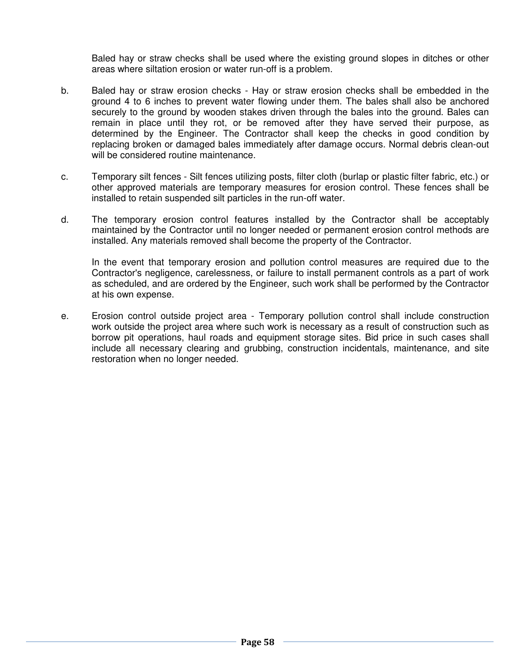Baled hay or straw checks shall be used where the existing ground slopes in ditches or other areas where siltation erosion or water run-off is a problem.

- b. Baled hay or straw erosion checks Hay or straw erosion checks shall be embedded in the ground 4 to 6 inches to prevent water flowing under them. The bales shall also be anchored securely to the ground by wooden stakes driven through the bales into the ground. Bales can remain in place until they rot, or be removed after they have served their purpose, as determined by the Engineer. The Contractor shall keep the checks in good condition by replacing broken or damaged bales immediately after damage occurs. Normal debris clean-out will be considered routine maintenance.
- c. Temporary silt fences Silt fences utilizing posts, filter cloth (burlap or plastic filter fabric, etc.) or other approved materials are temporary measures for erosion control. These fences shall be installed to retain suspended silt particles in the run-off water.
- d. The temporary erosion control features installed by the Contractor shall be acceptably maintained by the Contractor until no longer needed or permanent erosion control methods are installed. Any materials removed shall become the property of the Contractor.

In the event that temporary erosion and pollution control measures are required due to the Contractor's negligence, carelessness, or failure to install permanent controls as a part of work as scheduled, and are ordered by the Engineer, such work shall be performed by the Contractor at his own expense.

 e. Erosion control outside project area - Temporary pollution control shall include construction work outside the project area where such work is necessary as a result of construction such as borrow pit operations, haul roads and equipment storage sites. Bid price in such cases shall include all necessary clearing and grubbing, construction incidentals, maintenance, and site restoration when no longer needed.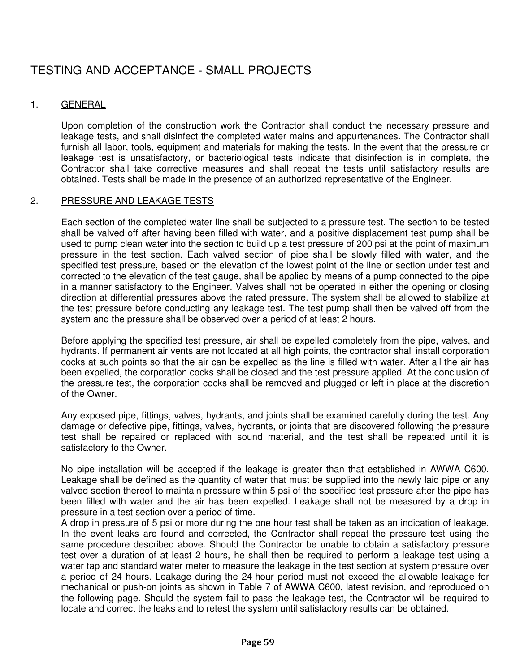# TESTING AND ACCEPTANCE - SMALL PROJECTS

#### 1. GENERAL

 Upon completion of the construction work the Contractor shall conduct the necessary pressure and leakage tests, and shall disinfect the completed water mains and appurtenances. The Contractor shall furnish all labor, tools, equipment and materials for making the tests. In the event that the pressure or leakage test is unsatisfactory, or bacteriological tests indicate that disinfection is in complete, the Contractor shall take corrective measures and shall repeat the tests until satisfactory results are obtained. Tests shall be made in the presence of an authorized representative of the Engineer.

#### 2. PRESSURE AND LEAKAGE TESTS

 Each section of the completed water line shall be subjected to a pressure test. The section to be tested shall be valved off after having been filled with water, and a positive displacement test pump shall be used to pump clean water into the section to build up a test pressure of 200 psi at the point of maximum pressure in the test section. Each valved section of pipe shall be slowly filled with water, and the specified test pressure, based on the elevation of the lowest point of the line or section under test and corrected to the elevation of the test gauge, shall be applied by means of a pump connected to the pipe in a manner satisfactory to the Engineer. Valves shall not be operated in either the opening or closing direction at differential pressures above the rated pressure. The system shall be allowed to stabilize at the test pressure before conducting any leakage test. The test pump shall then be valved off from the system and the pressure shall be observed over a period of at least 2 hours.

 Before applying the specified test pressure, air shall be expelled completely from the pipe, valves, and hydrants. If permanent air vents are not located at all high points, the contractor shall install corporation cocks at such points so that the air can be expelled as the line is filled with water. After all the air has been expelled, the corporation cocks shall be closed and the test pressure applied. At the conclusion of the pressure test, the corporation cocks shall be removed and plugged or left in place at the discretion of the Owner.

 Any exposed pipe, fittings, valves, hydrants, and joints shall be examined carefully during the test. Any damage or defective pipe, fittings, valves, hydrants, or joints that are discovered following the pressure test shall be repaired or replaced with sound material, and the test shall be repeated until it is satisfactory to the Owner.

 No pipe installation will be accepted if the leakage is greater than that established in AWWA C600. Leakage shall be defined as the quantity of water that must be supplied into the newly laid pipe or any valved section thereof to maintain pressure within 5 psi of the specified test pressure after the pipe has been filled with water and the air has been expelled. Leakage shall not be measured by a drop in pressure in a test section over a period of time.

 A drop in pressure of 5 psi or more during the one hour test shall be taken as an indication of leakage. In the event leaks are found and corrected, the Contractor shall repeat the pressure test using the same procedure described above. Should the Contractor be unable to obtain a satisfactory pressure test over a duration of at least 2 hours, he shall then be required to perform a leakage test using a water tap and standard water meter to measure the leakage in the test section at system pressure over a period of 24 hours. Leakage during the 24-hour period must not exceed the allowable leakage for mechanical or push-on joints as shown in Table 7 of AWWA C600, latest revision, and reproduced on the following page. Should the system fail to pass the leakage test, the Contractor will be required to locate and correct the leaks and to retest the system until satisfactory results can be obtained.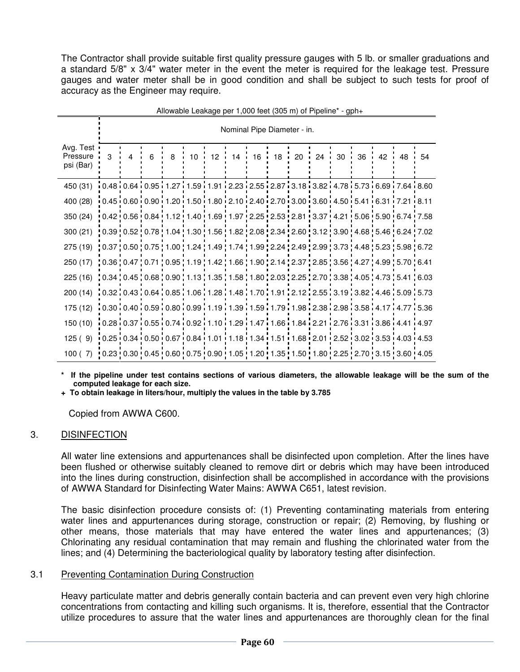The Contractor shall provide suitable first quality pressure gauges with 5 lb. or smaller graduations and a standard 5/8" x 3/4" water meter in the event the meter is required for the leakage test. Pressure gauges and water meter shall be in good condition and shall be subject to such tests for proof of accuracy as the Engineer may require.

| $\frac{1}{2}$ increased Educated por 1,000 1001 (000 111) or 1 iponito                                                                                                                                   |                                                                                                                                                                                                                                                                                                                                                                                                                               |                             |   |   |  |  |  |  |  |                                  |  |  |       |
|----------------------------------------------------------------------------------------------------------------------------------------------------------------------------------------------------------|-------------------------------------------------------------------------------------------------------------------------------------------------------------------------------------------------------------------------------------------------------------------------------------------------------------------------------------------------------------------------------------------------------------------------------|-----------------------------|---|---|--|--|--|--|--|----------------------------------|--|--|-------|
|                                                                                                                                                                                                          |                                                                                                                                                                                                                                                                                                                                                                                                                               | Nominal Pipe Diameter - in. |   |   |  |  |  |  |  |                                  |  |  |       |
| Avg. Test<br>Pressure<br>psi (Bar)                                                                                                                                                                       | 3                                                                                                                                                                                                                                                                                                                                                                                                                             | 4                           | 6 | 8 |  |  |  |  |  | 10 12 14 16 18 20 24 30 36 42 48 |  |  | $-54$ |
| 450 (31)                                                                                                                                                                                                 | $10.48\,\,\rule{0pt}{0pt}\,\rule{0pt}{0pt}\,\rule{0pt}{0pt}\,\rule{0pt}{0pt}\,\rule{0pt}{0pt}\,\rule{0pt}{0pt}\,\rule{0pt}{0pt}\,\rule{0pt}{0pt}\,\rule{0pt}{0pt}\,\rule{0pt}{0pt}\,\rule{0pt}{0pt}\,\rule{0pt}{0pt}\,\rule{0pt}{0pt}\,\rule{0pt}{0pt}\,\rule{0pt}{0pt}\,\rule{0pt}{0pt}\,\rule{0pt}{0pt}\,\rule{0pt}{0pt}\,\rule{0pt}{0pt}\,\rule{0pt}{0pt}\,\rule{0pt}{0pt}\,\rule{0pt}{0pt}\,\rule{0pt}{0pt}\,\rule{0pt}{$ |                             |   |   |  |  |  |  |  |                                  |  |  |       |
| 400 (28)                                                                                                                                                                                                 | $0.45\cdot 0.60\cdot 0.90\cdot 1.20\cdot 1.50\cdot 1.80\cdot 2.10\cdot 2.40\cdot 2.70\cdot 3.00\cdot 3.60\cdot 4.50\cdot 5.41\cdot 6.31\cdot 7.21\cdot 8.11$                                                                                                                                                                                                                                                                  |                             |   |   |  |  |  |  |  |                                  |  |  |       |
| 350 (24)                                                                                                                                                                                                 | $0.42$ $0.56$ $0.84$ $1.12$ $1.40$ $1.69$ $1.97$ $2.25$ $2.53$ $2.81$ $3.37$ $4.21$ $5.06$ $5.90$ $6.74$ $7.58$                                                                                                                                                                                                                                                                                                               |                             |   |   |  |  |  |  |  |                                  |  |  |       |
| 300(21)                                                                                                                                                                                                  | !0.39 !0.52 !0.78 !1.04 !1.30 !1.56 !1.82 !2.08 !2.34 !2.60 !3.12 !3.90 !4.68 !5.46 !6.24 !7.02                                                                                                                                                                                                                                                                                                                               |                             |   |   |  |  |  |  |  |                                  |  |  |       |
| 275 (19) $\mid$ 0.37 $\mid$ 0.50 $\mid$ 0.75 $\mid$ 1.00 $\mid$ 1.24 $\mid$ 1.49 $\mid$ 1.74 $\mid$ 1.99 $\mid$ 2.24 $\mid$ 2.49 $\mid$ 2.99 $\mid$ 3.73 $\mid$ 4.48 $\mid$ 5.23 $\mid$ 5.98 $\mid$ 6.72 |                                                                                                                                                                                                                                                                                                                                                                                                                               |                             |   |   |  |  |  |  |  |                                  |  |  |       |
| 250 (17) $\mid$ 0.36 $\mid$ 0.47 $\mid$ 0.71 $\mid$ 0.95 $\mid$ 1.19 $\mid$ 1.42 $\mid$ 1.66 $\mid$ 1.90 $\mid$ 2.14 $\mid$ 2.37 $\mid$ 2.85 $\mid$ 3.56 $\mid$ 4.27 $\mid$ 4.99 $\mid$ 5.70 $\mid$ 6.41 |                                                                                                                                                                                                                                                                                                                                                                                                                               |                             |   |   |  |  |  |  |  |                                  |  |  |       |
| 225 (16) $\mid$ 0.34 $\mid$ 0.45 $\mid$ 0.68 $\mid$ 0.90 $\mid$ 1.13 $\mid$ 1.35 $\mid$ 1.58 $\mid$ 1.80 $\mid$ 2.03 $\mid$ 2.25 $\mid$ 2.70 $\mid$ 3.38 $\mid$ 4.05 $\mid$ 4.73 $\mid$ 5.41 $\mid$ 6.03 |                                                                                                                                                                                                                                                                                                                                                                                                                               |                             |   |   |  |  |  |  |  |                                  |  |  |       |
| 200(14)                                                                                                                                                                                                  | $1.03210.4310.6410.8511.0611.2811.4811.7011.9112.1212.5513.1913.8214.4615.0915.73$                                                                                                                                                                                                                                                                                                                                            |                             |   |   |  |  |  |  |  |                                  |  |  |       |
| 175 (12)                                                                                                                                                                                                 | $1.59$ 1.7.8 $1.17$ $1.47$ 1.59 $1.69$ 1.9 $1.19$ 1.79 $1.59$ 1.79 $1.79$ 1.98 $2.38$ $2.98$ $3.58$ $1.17$ $1.477$ $1.536$                                                                                                                                                                                                                                                                                                    |                             |   |   |  |  |  |  |  |                                  |  |  |       |
| 150 (10) $\overline{10.28 \cdot 0.37 \cdot 0.55 \cdot 0.74 \cdot 0.92 \cdot 1.10 \cdot 1.29 \cdot 1.47 \cdot 1.66 \cdot 1.84 \cdot 2.21 \cdot 2.76 \cdot 3.31 \cdot 3.86 \cdot 4.41 \cdot 4.97}$         |                                                                                                                                                                                                                                                                                                                                                                                                                               |                             |   |   |  |  |  |  |  |                                  |  |  |       |
| 125(9)                                                                                                                                                                                                   | $0.25\cdot 0.34\cdot 0.50\cdot 0.67\cdot 0.84\cdot 1.01\cdot 1.18\cdot 1.34\cdot 1.51\cdot 1.68\cdot 2.01\cdot 2.52\cdot 3.02\cdot 3.53\cdot 4.03\cdot 4.53$                                                                                                                                                                                                                                                                  |                             |   |   |  |  |  |  |  |                                  |  |  |       |
| 100(7)                                                                                                                                                                                                   | 0.23   0.30   0.45   0.60   0.75   0.90   1.05   1.20   1.35   1.50   1.80   2.25   2.70   3.15   3.60   4.05                                                                                                                                                                                                                                                                                                                 |                             |   |   |  |  |  |  |  |                                  |  |  |       |

Allowable Leakage per 1,000 feet (305 m) of Pipeline\* -  $mh+$ 

If the pipeline under test contains sections of various diameters, the allowable leakage will be the sum of the **computed leakage for each size.** 

 **+ To obtain leakage in liters/hour, multiply the values in the table by 3.785**

Copied from AWWA C600.

#### 3. DISINFECTION

 All water line extensions and appurtenances shall be disinfected upon completion. After the lines have been flushed or otherwise suitably cleaned to remove dirt or debris which may have been introduced into the lines during construction, disinfection shall be accomplished in accordance with the provisions of AWWA Standard for Disinfecting Water Mains: AWWA C651, latest revision.

 The basic disinfection procedure consists of: (1) Preventing contaminating materials from entering water lines and appurtenances during storage, construction or repair; (2) Removing, by flushing or other means, those materials that may have entered the water lines and appurtenances; (3) Chlorinating any residual contamination that may remain and flushing the chlorinated water from the lines; and (4) Determining the bacteriological quality by laboratory testing after disinfection.

#### 3.1 Preventing Contamination During Construction

 Heavy particulate matter and debris generally contain bacteria and can prevent even very high chlorine concentrations from contacting and killing such organisms. It is, therefore, essential that the Contractor utilize procedures to assure that the water lines and appurtenances are thoroughly clean for the final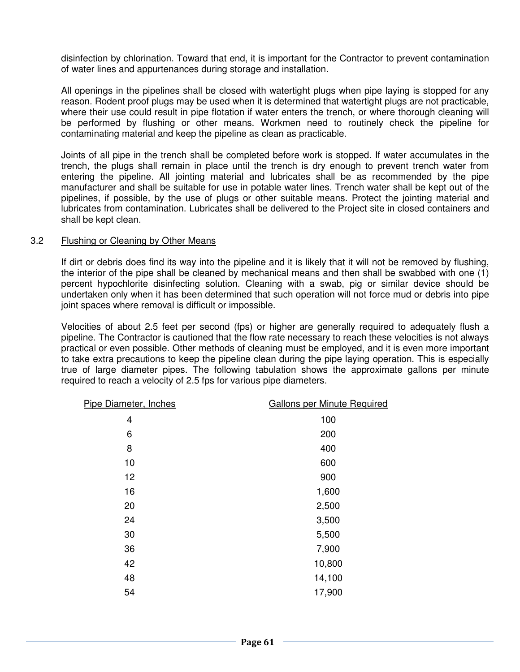disinfection by chlorination. Toward that end, it is important for the Contractor to prevent contamination of water lines and appurtenances during storage and installation.

 All openings in the pipelines shall be closed with watertight plugs when pipe laying is stopped for any reason. Rodent proof plugs may be used when it is determined that watertight plugs are not practicable, where their use could result in pipe flotation if water enters the trench, or where thorough cleaning will be performed by flushing or other means. Workmen need to routinely check the pipeline for contaminating material and keep the pipeline as clean as practicable.

 Joints of all pipe in the trench shall be completed before work is stopped. If water accumulates in the trench, the plugs shall remain in place until the trench is dry enough to prevent trench water from entering the pipeline. All jointing material and lubricates shall be as recommended by the pipe manufacturer and shall be suitable for use in potable water lines. Trench water shall be kept out of the pipelines, if possible, by the use of plugs or other suitable means. Protect the jointing material and lubricates from contamination. Lubricates shall be delivered to the Project site in closed containers and shall be kept clean.

#### 3.2 Flushing or Cleaning by Other Means

 If dirt or debris does find its way into the pipeline and it is likely that it will not be removed by flushing, the interior of the pipe shall be cleaned by mechanical means and then shall be swabbed with one (1) percent hypochlorite disinfecting solution. Cleaning with a swab, pig or similar device should be undertaken only when it has been determined that such operation will not force mud or debris into pipe joint spaces where removal is difficult or impossible.

 Velocities of about 2.5 feet per second (fps) or higher are generally required to adequately flush a pipeline. The Contractor is cautioned that the flow rate necessary to reach these velocities is not always practical or even possible. Other methods of cleaning must be employed, and it is even more important to take extra precautions to keep the pipeline clean during the pipe laying operation. This is especially true of large diameter pipes. The following tabulation shows the approximate gallons per minute required to reach a velocity of 2.5 fps for various pipe diameters.

| Pipe Diameter, Inches | <b>Gallons per Minute Required</b> |
|-----------------------|------------------------------------|
| 4                     | 100                                |
| 6                     | 200                                |
| 8                     | 400                                |
| 10                    | 600                                |
| 12                    | 900                                |
| 16                    | 1,600                              |
| 20                    | 2,500                              |
| 24                    | 3,500                              |
| 30                    | 5,500                              |
| 36                    | 7,900                              |
| 42                    | 10,800                             |
| 48                    | 14,100                             |
| 54                    | 17,900                             |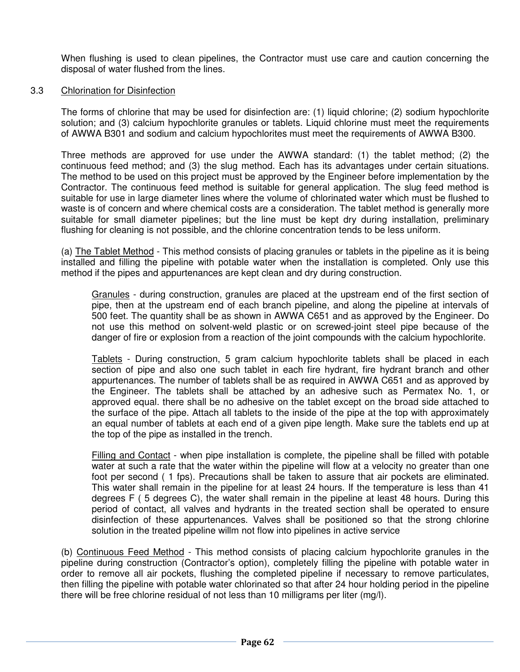When flushing is used to clean pipelines, the Contractor must use care and caution concerning the disposal of water flushed from the lines.

#### 3.3 Chlorination for Disinfection

 The forms of chlorine that may be used for disinfection are: (1) liquid chlorine; (2) sodium hypochlorite solution; and (3) calcium hypochlorite granules or tablets. Liquid chlorine must meet the requirements of AWWA B301 and sodium and calcium hypochlorites must meet the requirements of AWWA B300.

 Three methods are approved for use under the AWWA standard: (1) the tablet method; (2) the continuous feed method; and (3) the slug method. Each has its advantages under certain situations. The method to be used on this project must be approved by the Engineer before implementation by the Contractor. The continuous feed method is suitable for general application. The slug feed method is suitable for use in large diameter lines where the volume of chlorinated water which must be flushed to waste is of concern and where chemical costs are a consideration. The tablet method is generally more suitable for small diameter pipelines; but the line must be kept dry during installation, preliminary flushing for cleaning is not possible, and the chlorine concentration tends to be less uniform.

 (a) The Tablet Method - This method consists of placing granules or tablets in the pipeline as it is being installed and filling the pipeline with potable water when the installation is completed. Only use this method if the pipes and appurtenances are kept clean and dry during construction.

Granules - during construction, granules are placed at the upstream end of the first section of pipe, then at the upstream end of each branch pipeline, and along the pipeline at intervals of 500 feet. The quantity shall be as shown in AWWA C651 and as approved by the Engineer. Do not use this method on solvent-weld plastic or on screwed-joint steel pipe because of the danger of fire or explosion from a reaction of the joint compounds with the calcium hypochlorite.

Tablets - During construction, 5 gram calcium hypochlorite tablets shall be placed in each section of pipe and also one such tablet in each fire hydrant, fire hydrant branch and other appurtenances. The number of tablets shall be as required in AWWA C651 and as approved by the Engineer. The tablets shall be attached by an adhesive such as Permatex No. 1, or approved equal. there shall be no adhesive on the tablet except on the broad side attached to the surface of the pipe. Attach all tablets to the inside of the pipe at the top with approximately an equal number of tablets at each end of a given pipe length. Make sure the tablets end up at the top of the pipe as installed in the trench.

**Filling and Contact** - when pipe installation is complete, the pipeline shall be filled with potable water at such a rate that the water within the pipeline will flow at a velocity no greater than one foot per second ( 1 fps). Precautions shall be taken to assure that air pockets are eliminated. This water shall remain in the pipeline for at least 24 hours. If the temperature is less than 41 degrees F ( 5 degrees C), the water shall remain in the pipeline at least 48 hours. During this period of contact, all valves and hydrants in the treated section shall be operated to ensure disinfection of these appurtenances. Valves shall be positioned so that the strong chlorine solution in the treated pipeline willm not flow into pipelines in active service

 (b) Continuous Feed Method - This method consists of placing calcium hypochlorite granules in the pipeline during construction (Contractor's option), completely filling the pipeline with potable water in order to remove all air pockets, flushing the completed pipeline if necessary to remove particulates, then filling the pipeline with potable water chlorinated so that after 24 hour holding period in the pipeline there will be free chlorine residual of not less than 10 milligrams per liter (mg/l).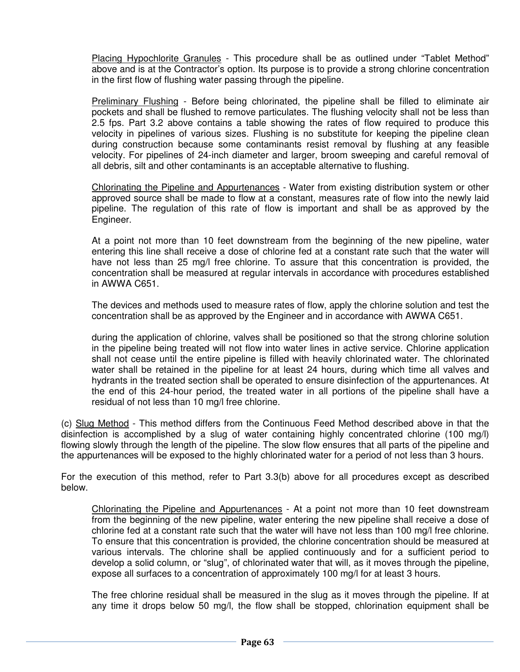Placing Hypochlorite Granules - This procedure shall be as outlined under "Tablet Method" above and is at the Contractor's option. Its purpose is to provide a strong chlorine concentration in the first flow of flushing water passing through the pipeline.

Preliminary Flushing - Before being chlorinated, the pipeline shall be filled to eliminate air pockets and shall be flushed to remove particulates. The flushing velocity shall not be less than 2.5 fps. Part 3.2 above contains a table showing the rates of flow required to produce this velocity in pipelines of various sizes. Flushing is no substitute for keeping the pipeline clean during construction because some contaminants resist removal by flushing at any feasible velocity. For pipelines of 24-inch diameter and larger, broom sweeping and careful removal of all debris, silt and other contaminants is an acceptable alternative to flushing.

Chlorinating the Pipeline and Appurtenances - Water from existing distribution system or other approved source shall be made to flow at a constant, measures rate of flow into the newly laid pipeline. The regulation of this rate of flow is important and shall be as approved by the Engineer.

At a point not more than 10 feet downstream from the beginning of the new pipeline, water entering this line shall receive a dose of chlorine fed at a constant rate such that the water will have not less than 25 mg/l free chlorine. To assure that this concentration is provided, the concentration shall be measured at regular intervals in accordance with procedures established in AWWA C651.

The devices and methods used to measure rates of flow, apply the chlorine solution and test the concentration shall be as approved by the Engineer and in accordance with AWWA C651.

during the application of chlorine, valves shall be positioned so that the strong chlorine solution in the pipeline being treated will not flow into water lines in active service. Chlorine application shall not cease until the entire pipeline is filled with heavily chlorinated water. The chlorinated water shall be retained in the pipeline for at least 24 hours, during which time all valves and hydrants in the treated section shall be operated to ensure disinfection of the appurtenances. At the end of this 24-hour period, the treated water in all portions of the pipeline shall have a residual of not less than 10 mg/l free chlorine.

 (c) Slug Method - This method differs from the Continuous Feed Method described above in that the disinfection is accomplished by a slug of water containing highly concentrated chlorine (100 mg/l) flowing slowly through the length of the pipeline. The slow flow ensures that all parts of the pipeline and the appurtenances will be exposed to the highly chlorinated water for a period of not less than 3 hours.

 For the execution of this method, refer to Part 3.3(b) above for all procedures except as described below.

Chlorinating the Pipeline and Appurtenances - At a point not more than 10 feet downstream from the beginning of the new pipeline, water entering the new pipeline shall receive a dose of chlorine fed at a constant rate such that the water will have not less than 100 mg/l free chlorine. To ensure that this concentration is provided, the chlorine concentration should be measured at various intervals. The chlorine shall be applied continuously and for a sufficient period to develop a solid column, or "slug", of chlorinated water that will, as it moves through the pipeline, expose all surfaces to a concentration of approximately 100 mg/l for at least 3 hours.

The free chlorine residual shall be measured in the slug as it moves through the pipeline. If at any time it drops below 50 mg/l, the flow shall be stopped, chlorination equipment shall be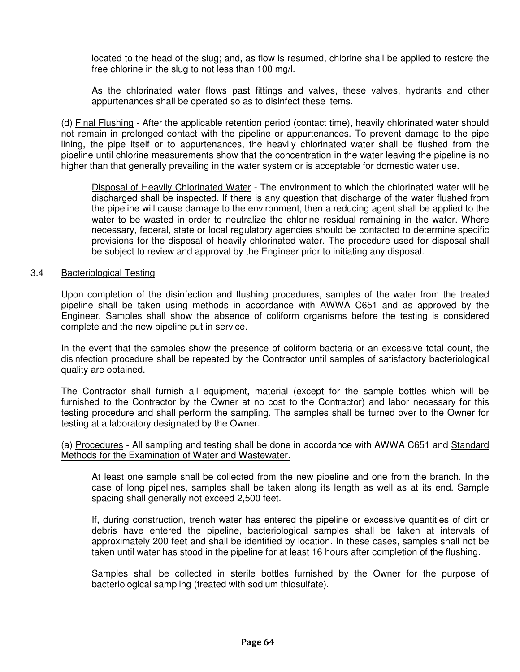located to the head of the slug; and, as flow is resumed, chlorine shall be applied to restore the free chlorine in the slug to not less than 100 mg/l.

As the chlorinated water flows past fittings and valves, these valves, hydrants and other appurtenances shall be operated so as to disinfect these items.

 (d) Final Flushing - After the applicable retention period (contact time), heavily chlorinated water should not remain in prolonged contact with the pipeline or appurtenances. To prevent damage to the pipe lining, the pipe itself or to appurtenances, the heavily chlorinated water shall be flushed from the pipeline until chlorine measurements show that the concentration in the water leaving the pipeline is no higher than that generally prevailing in the water system or is acceptable for domestic water use.

Disposal of Heavily Chlorinated Water - The environment to which the chlorinated water will be discharged shall be inspected. If there is any question that discharge of the water flushed from the pipeline will cause damage to the environment, then a reducing agent shall be applied to the water to be wasted in order to neutralize the chlorine residual remaining in the water. Where necessary, federal, state or local regulatory agencies should be contacted to determine specific provisions for the disposal of heavily chlorinated water. The procedure used for disposal shall be subject to review and approval by the Engineer prior to initiating any disposal.

#### 3.4 Bacteriological Testing

 Upon completion of the disinfection and flushing procedures, samples of the water from the treated pipeline shall be taken using methods in accordance with AWWA C651 and as approved by the Engineer. Samples shall show the absence of coliform organisms before the testing is considered complete and the new pipeline put in service.

 In the event that the samples show the presence of coliform bacteria or an excessive total count, the disinfection procedure shall be repeated by the Contractor until samples of satisfactory bacteriological quality are obtained.

 The Contractor shall furnish all equipment, material (except for the sample bottles which will be furnished to the Contractor by the Owner at no cost to the Contractor) and labor necessary for this testing procedure and shall perform the sampling. The samples shall be turned over to the Owner for testing at a laboratory designated by the Owner.

 (a) Procedures - All sampling and testing shall be done in accordance with AWWA C651 and Standard Methods for the Examination of Water and Wastewater.

At least one sample shall be collected from the new pipeline and one from the branch. In the case of long pipelines, samples shall be taken along its length as well as at its end. Sample spacing shall generally not exceed 2,500 feet.

If, during construction, trench water has entered the pipeline or excessive quantities of dirt or debris have entered the pipeline, bacteriological samples shall be taken at intervals of approximately 200 feet and shall be identified by location. In these cases, samples shall not be taken until water has stood in the pipeline for at least 16 hours after completion of the flushing.

Samples shall be collected in sterile bottles furnished by the Owner for the purpose of bacteriological sampling (treated with sodium thiosulfate).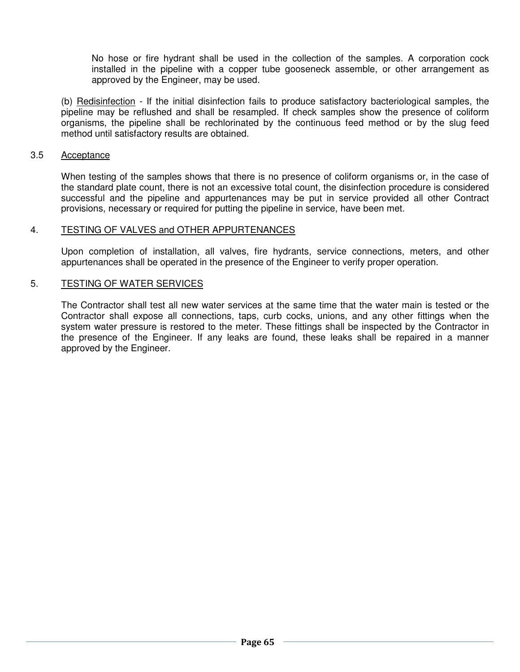No hose or fire hydrant shall be used in the collection of the samples. A corporation cock installed in the pipeline with a copper tube gooseneck assemble, or other arrangement as approved by the Engineer, may be used.

 (b) Redisinfection - If the initial disinfection fails to produce satisfactory bacteriological samples, the pipeline may be reflushed and shall be resampled. If check samples show the presence of coliform organisms, the pipeline shall be rechlorinated by the continuous feed method or by the slug feed method until satisfactory results are obtained.

#### 3.5 Acceptance

 When testing of the samples shows that there is no presence of coliform organisms or, in the case of the standard plate count, there is not an excessive total count, the disinfection procedure is considered successful and the pipeline and appurtenances may be put in service provided all other Contract provisions, necessary or required for putting the pipeline in service, have been met.

#### 4. TESTING OF VALVES and OTHER APPURTENANCES

 Upon completion of installation, all valves, fire hydrants, service connections, meters, and other appurtenances shall be operated in the presence of the Engineer to verify proper operation.

#### 5. TESTING OF WATER SERVICES

 The Contractor shall test all new water services at the same time that the water main is tested or the Contractor shall expose all connections, taps, curb cocks, unions, and any other fittings when the system water pressure is restored to the meter. These fittings shall be inspected by the Contractor in the presence of the Engineer. If any leaks are found, these leaks shall be repaired in a manner approved by the Engineer.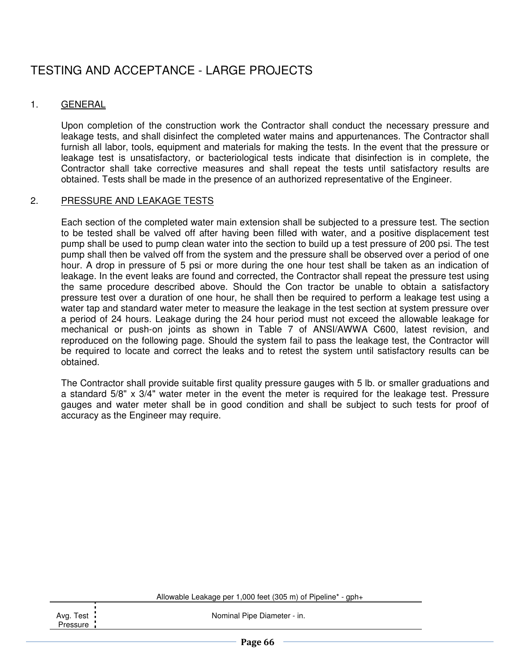# TESTING AND ACCEPTANCE - LARGE PROJECTS

#### 1. GENERAL

 Upon completion of the construction work the Contractor shall conduct the necessary pressure and leakage tests, and shall disinfect the completed water mains and appurtenances. The Contractor shall furnish all labor, tools, equipment and materials for making the tests. In the event that the pressure or leakage test is unsatisfactory, or bacteriological tests indicate that disinfection is in complete, the Contractor shall take corrective measures and shall repeat the tests until satisfactory results are obtained. Tests shall be made in the presence of an authorized representative of the Engineer.

#### 2. PRESSURE AND LEAKAGE TESTS

 Each section of the completed water main extension shall be subjected to a pressure test. The section to be tested shall be valved off after having been filled with water, and a positive displacement test pump shall be used to pump clean water into the section to build up a test pressure of 200 psi. The test pump shall then be valved off from the system and the pressure shall be observed over a period of one hour. A drop in pressure of 5 psi or more during the one hour test shall be taken as an indication of leakage. In the event leaks are found and corrected, the Contractor shall repeat the pressure test using the same procedure described above. Should the Con tractor be unable to obtain a satisfactory pressure test over a duration of one hour, he shall then be required to perform a leakage test using a water tap and standard water meter to measure the leakage in the test section at system pressure over a period of 24 hours. Leakage during the 24 hour period must not exceed the allowable leakage for mechanical or push-on joints as shown in Table 7 of ANSI/AWWA C600, latest revision, and reproduced on the following page. Should the system fail to pass the leakage test, the Contractor will be required to locate and correct the leaks and to retest the system until satisfactory results can be obtained.

 The Contractor shall provide suitable first quality pressure gauges with 5 lb. or smaller graduations and a standard 5/8" x 3/4" water meter in the event the meter is required for the leakage test. Pressure gauges and water meter shall be in good condition and shall be subject to such tests for proof of accuracy as the Engineer may require.

Allowable Leakage per 1,000 feet (305 m) of Pipeline\* - gph+

Nominal Pipe Diameter - in.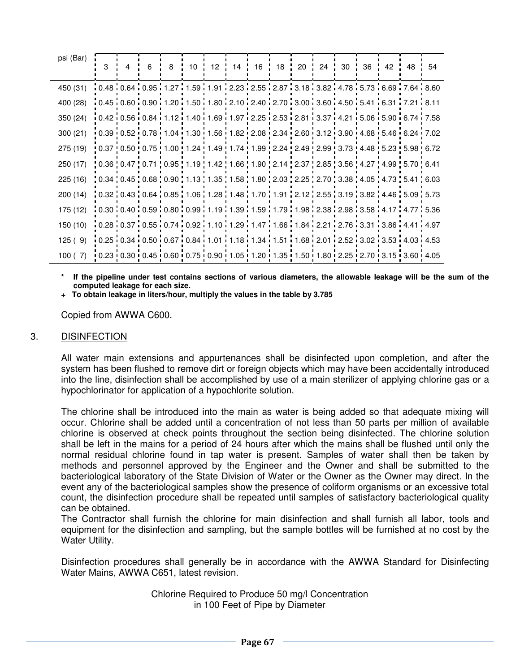| psi (Bar) | 3                                                                                                                                                                                                                              | 4 | 6 | 8 | 10 | $12 \cdot$ | $14$ : |                                                                                                                                                                             | 16 18 20 | 24 | 30 | 36 42 48 | 54 |
|-----------|--------------------------------------------------------------------------------------------------------------------------------------------------------------------------------------------------------------------------------|---|---|---|----|------------|--------|-----------------------------------------------------------------------------------------------------------------------------------------------------------------------------|----------|----|----|----------|----|
| 450 (31)  | $10.48\overline{10.64}\overline{10.95}$ $11.27\overline{11.59}$ $1.91\overline{12.23}\overline{12.55}$ $12.87\overline{13.18}\overline{13.82}\overline{14.78}\overline{15.73}\overline{16.69}\overline{17.64}\overline{18.60}$ |   |   |   |    |            |        |                                                                                                                                                                             |          |    |    |          |    |
| 400 (28)  |                                                                                                                                                                                                                                |   |   |   |    |            |        | $0.45 \cdot 0.60 \cdot 0.90 \cdot 1.20 \cdot 1.50 \cdot 1.80 \cdot 2.10 \cdot 2.40 \cdot 2.70 \cdot 3.00 \cdot 3.60 \cdot 4.50 \cdot 5.41 \cdot 6.31 \cdot 7.21 \cdot 8.11$ |          |    |    |          |    |
| 350(24)   |                                                                                                                                                                                                                                |   |   |   |    |            |        | $0.42:0.56:0.84:1.12:1.40:1.69:1.97:2.25:2.53:2.81:3.37:4.21:5.06:5.90:6.74:7.58$                                                                                           |          |    |    |          |    |
| 300(21)   |                                                                                                                                                                                                                                |   |   |   |    |            |        | 0.39 0.52 0.78 1.04 1.30 1.56 1.82 2.08 2.34 2.60 3.12 3.90 4.68 5.46 6.24 7.02                                                                                             |          |    |    |          |    |
| 275 (19)  |                                                                                                                                                                                                                                |   |   |   |    |            |        | 0.37   0.50   0.75   1.00   1.24   1.49   1.74   1.99   2.24   2.49   2.99   3.73   4.48   5.23   5.98   6.72                                                               |          |    |    |          |    |
| 250(17)   |                                                                                                                                                                                                                                |   |   |   |    |            |        | 0.36   0.47   0.71   0.95   1.19   1.42   1.66   1.90   2.14   2.37   2.85   3.56   4.27   4.99   5.70   6.41                                                               |          |    |    |          |    |
| 225(16)   |                                                                                                                                                                                                                                |   |   |   |    |            |        | , 0.34 , 0.45 , 0.68 , 0.90 , 1.13 , 1.35 , 1.58 , 1.80 , 2.03 , 2.25 , 2.70 , 3.38 , 4.05 , 4.73 , 5.41 , 6.03                                                             |          |    |    |          |    |
| 200(14)   |                                                                                                                                                                                                                                |   |   |   |    |            |        | $(0.32, 0.43, 0.64, 0.85, 1.06, 1.28, 1.48, 1.70, 1.91, 2.12, 2.55, 3.19, 3.82, 4.46, 5.09, 5.73)$                                                                          |          |    |    |          |    |
| 175 (12)  | $10.30$ $10.40$ $10.59$ $10.80$ $10.99$ $11.19$ $11.39$ $11.59$ $11.79$ $11.98$ $12.38$ $12.38$ $13.58$ $14.17$ $14.77$ $15.36$                                                                                                |   |   |   |    |            |        |                                                                                                                                                                             |          |    |    |          |    |
| 150 (10)  |                                                                                                                                                                                                                                |   |   |   |    |            |        | 0.28 0.37 0.55 0.74 0.92 1.10 1.29 1.47 1.66 1.84 2.21 2.76 3.31 3.86 4.41 4.97                                                                                             |          |    |    |          |    |
| 125(9)    |                                                                                                                                                                                                                                |   |   |   |    |            |        | $0.25:0.34:0.50:0.67:0.84:1.01:1.18:1.34:1.51:1.68:2.01:2.52:3.02:3.53:4.03:4.53$                                                                                           |          |    |    |          |    |
| 100(7)    |                                                                                                                                                                                                                                |   |   |   |    |            |        | 0.23 0.30 0.45 0.60 0.75 0.90 1.05 1.20 1.35 1.50 1.80 2.25 2.70 3.15 3.60 4.05                                                                                             |          |    |    |          |    |

If the pipeline under test contains sections of various diameters, the allowable leakage will be the sum of the **computed leakage for each size.** 

 **+ To obtain leakage in liters/hour, multiply the values in the table by 3.785**

Copied from AWWA C600.

#### 3. DISINFECTION

 All water main extensions and appurtenances shall be disinfected upon completion, and after the system has been flushed to remove dirt or foreign objects which may have been accidentally introduced into the line, disinfection shall be accomplished by use of a main sterilizer of applying chlorine gas or a hypochlorinator for application of a hypochlorite solution.

 The chlorine shall be introduced into the main as water is being added so that adequate mixing will occur. Chlorine shall be added until a concentration of not less than 50 parts per million of available chlorine is observed at check points throughout the section being disinfected. The chlorine solution shall be left in the mains for a period of 24 hours after which the mains shall be flushed until only the normal residual chlorine found in tap water is present. Samples of water shall then be taken by methods and personnel approved by the Engineer and the Owner and shall be submitted to the bacteriological laboratory of the State Division of Water or the Owner as the Owner may direct. In the event any of the bacteriological samples show the presence of coliform organisms or an excessive total count, the disinfection procedure shall be repeated until samples of satisfactory bacteriological quality can be obtained.

 The Contractor shall furnish the chlorine for main disinfection and shall furnish all labor, tools and equipment for the disinfection and sampling, but the sample bottles will be furnished at no cost by the Water Utility.

 Disinfection procedures shall generally be in accordance with the AWWA Standard for Disinfecting Water Mains, AWWA C651, latest revision.

> Chlorine Required to Produce 50 mg/l Concentration in 100 Feet of Pipe by Diameter